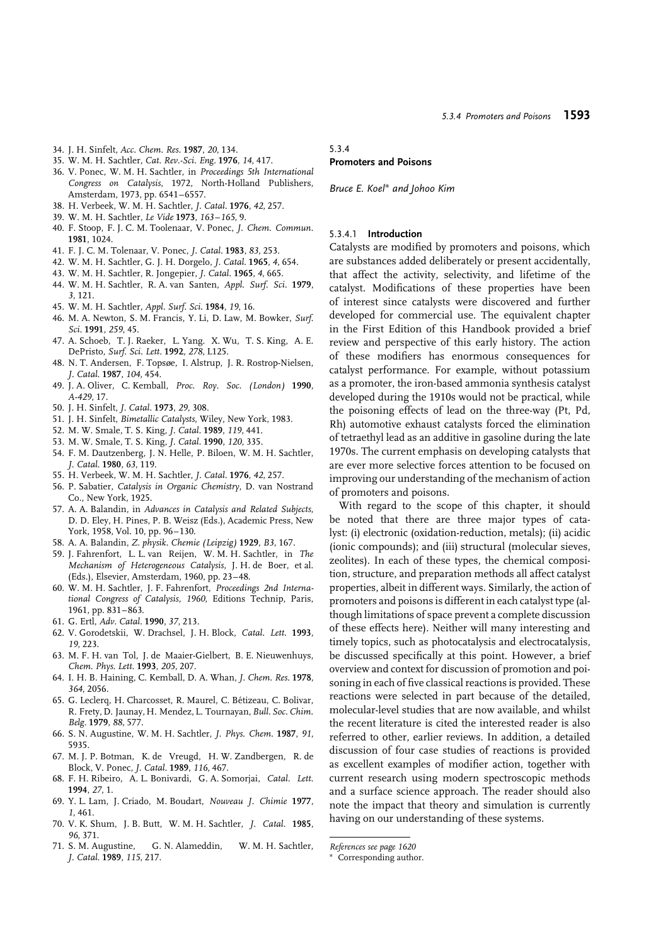- 34. J. H. Sinfelt, *Acc. Chem. Res.* **1987**, *20*, 134.
- 35. W. M. H. Sachtler, *Cat. Rev.-Sci. Eng.* **1976**, *14*, 417.
- 36. V. Ponec, W. M. H. Sachtler, in *Proceedings 5th International Congress on Catalysis*, 1972, North-Holland Publishers, Amsterdam, 1973, pp. 6541–6557.
- 38. H. Verbeek, W. M. H. Sachtler, *J. Catal.* **1976**, *42*, 257.
- 39. W. M. H. Sachtler, *Le Vide* **1973**, *163–165*, 9.
- 40. F. Stoop, F. J. C. M. Toolenaar, V. Ponec, *J. Chem. Commun.* **1981**, 1024.
- 41. F. J. C. M. Tolenaar, V. Ponec, *J. Catal.* **1983**, *83*, 253.
- 42. W. M. H. Sachtler, G. J. H. Dorgelo, *J. Catal.* **1965**, *4*, 654.
- 43. W. M. H. Sachtler, R. Jongepier, *J. Catal.* **1965**, *4*, 665.
- 44. W. M. H. Sachtler, R. A. van Santen, *Appl. Surf. Sci.* **1979**, *3*, 121.
- 45. W. M. H. Sachtler, *Appl. Surf. Sci.* **1984**, *19*, 16.
- 46. M. A. Newton, S. M. Francis, Y. Li, D. Law, M. Bowker, *Surf. Sci.* **1991**, *259*, 45.
- 47. A. Schoeb, T. J. Raeker, L. Yang. X. Wu, T. S. King, A. E. DePristo, *Surf. Sci. Lett.* **1992**, *278*, L125.
- 48. N. T. Andersen, F. Topsøe, I. Alstrup, J. R. Rostrop-Nielsen, *J. Catal.* **1987**, *104*, 454.
- 49. J. A. Oliver, C. Kemball, *Proc. Roy. Soc. (London)* **1990**, *A-429*, 17.
- 50. J. H. Sinfelt, *J. Catal.* **1973**, *29*, 308.
- 51. J. H. Sinfelt, *Bimetallic Catalysts*, Wiley, New York, 1983.
- 52. M. W. Smale, T. S. King, *J. Catal.* **1989**, *119*, 441.
- 53. M. W. Smale, T. S. King, *J. Catal.* **1990**, *120*, 335.
- 54. F. M. Dautzenberg, J. N. Helle, P. Biloen, W. M. H. Sachtler, *J. Catal.* **1980**, *63*, 119.
- 55. H. Verbeek, W. M. H. Sachtler, *J. Catal.* **1976**, *42*, 257.
- 56. P. Sabatier, *Catalysis in Organic Chemistry*, D. van Nostrand Co., New York, 1925.
- 57. A. A. Balandin, in *Advances in Catalysis and Related Subjects*, D. D. Eley, H. Pines, P. B. Weisz (Eds.), Academic Press, New York, 1958, Vol. 10, pp. 96–130.
- 58. A. A. Balandin, *Z. physik. Chemie (Leipzig)* **1929**, *B3*, 167.
- 59. J. Fahrenfort, L. L. van Reijen, W. M. H. Sachtler, in *The Mechanism of Heterogeneous Catalysis*, J. H. de Boer, et al. (Eds.), Elsevier, Amsterdam, 1960, pp. 23–48.
- 60. W. M. H. Sachtler, J. F. Fahrenfort, *Proceedings 2nd International Congress of Catalysis, 1960*, Editions Technip, Paris, 1961, pp. 831–863.
- 61. G. Ertl, *Adv. Catal.* **1990**, *37*, 213.
- 62. V. Gorodetskii, W. Drachsel, J. H. Block, *Catal. Lett.* **1993**, *19*, 223.
- 63. M. F. H. van Tol, J. de Maaier-Gielbert, B. E. Nieuwenhuys, *Chem. Phys. Lett.* **1993**, *205*, 207.
- 64. I. H. B. Haining, C. Kemball, D. A. Whan, *J. Chem. Res.* **1978**, *364*, 2056.
- 65. G. Leclerq, H. Charcosset, R. Maurel, C. Betizeau, C. Bolivar, ´ R. Frety, D. Jaunay, H. Mendez, L. Tournayan, *Bull. Soc. Chim. Belg.* **1979**, *88*, 577.
- 66. S. N. Augustine, W. M. H. Sachtler, *J. Phys. Chem.* **1987**, *91*, 5935.
- 67. M. J. P. Botman, K. de Vreugd, H. W. Zandbergen, R. de Block, V. Ponec, *J. Catal.* **1989**, *116*, 467.
- 68. F. H. Ribeiro, A. L. Bonivardi, G. A. Somorjai, *Catal. Lett.* **1994**, *27*, 1.
- 69. Y. L. Lam, J. Criado, M. Boudart, *Nouveau J. Chimie* **1977**, *1*, 461.
- 70. V. K. Shum, J. B. Butt, W. M. H. Sachtler, *J. Catal.* **1985**, *96*, 371.
- 71. S. M. Augustine, G. N. Alameddin, W. M. H. Sachtler, *J. Catal.* **1989**, *115*, 217.

#### 5.3.4

# **Promoters and Poisons**

*Bruce E. Koel*<sup>∗</sup> *and Johoo Kim*

#### 5.3.4.1 **Introduction**

Catalysts are modified by promoters and poisons, which are substances added deliberately or present accidentally, that affect the activity, selectivity, and lifetime of the catalyst. Modifications of these properties have been of interest since catalysts were discovered and further developed for commercial use. The equivalent chapter in the First Edition of this Handbook provided a brief review and perspective of this early history. The action of these modifiers has enormous consequences for catalyst performance. For example, without potassium as a promoter, the iron-based ammonia synthesis catalyst developed during the 1910s would not be practical, while the poisoning effects of lead on the three-way (Pt, Pd, Rh) automotive exhaust catalysts forced the elimination of tetraethyl lead as an additive in gasoline during the late 1970s. The current emphasis on developing catalysts that are ever more selective forces attention to be focused on improving our understanding of the mechanism of action of promoters and poisons.

With regard to the scope of this chapter, it should be noted that there are three major types of catalyst: (i) electronic (oxidation-reduction, metals); (ii) acidic (ionic compounds); and (iii) structural (molecular sieves, zeolites). In each of these types, the chemical composition, structure, and preparation methods all affect catalyst properties, albeit in different ways. Similarly, the action of promoters and poisons is different in each catalyst type (although limitations of space prevent a complete discussion of these effects here). Neither will many interesting and timely topics, such as photocatalysis and electrocatalysis, be discussed specifically at this point. However, a brief overview and context for discussion of promotion and poisoning in each of five classical reactions is provided. These reactions were selected in part because of the detailed, molecular-level studies that are now available, and whilst the recent literature is cited the interested reader is also referred to other, earlier reviews. In addition, a detailed discussion of four case studies of reactions is provided as excellent examples of modifier action, together with current research using modern spectroscopic methods and a surface science approach. The reader should also note the impact that theory and simulation is currently having on our understanding of these systems.

*References see page 1620*

Corresponding author.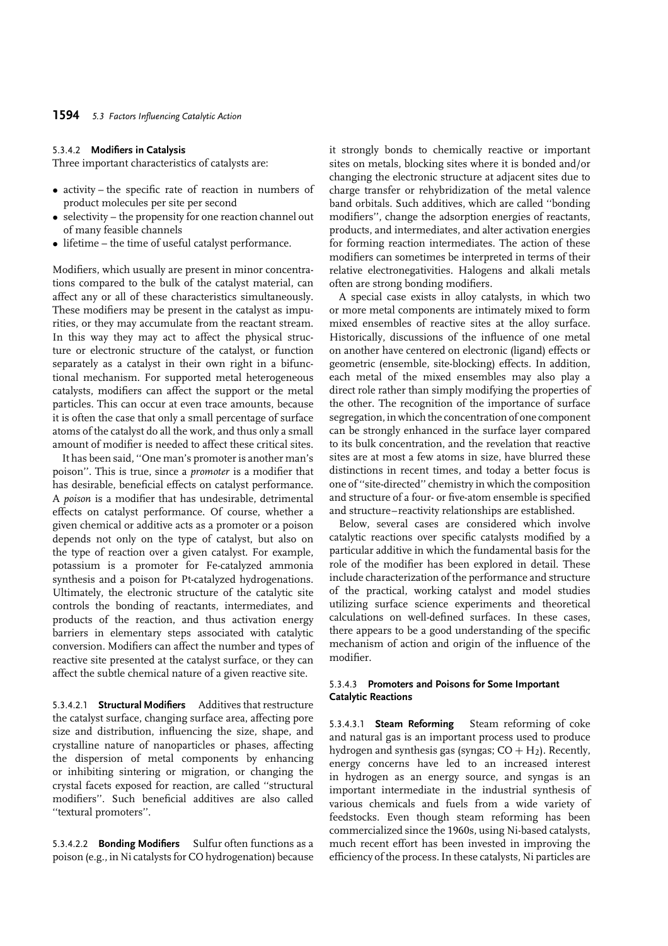#### 5.3.4.2 **Modifiers in Catalysis**

Three important characteristics of catalysts are:

- activity the specific rate of reaction in numbers of product molecules per site per second
- selectivity the propensity for one reaction channel out of many feasible channels
- lifetime the time of useful catalyst performance.

Modifiers, which usually are present in minor concentrations compared to the bulk of the catalyst material, can affect any or all of these characteristics simultaneously. These modifiers may be present in the catalyst as impurities, or they may accumulate from the reactant stream. In this way they may act to affect the physical structure or electronic structure of the catalyst, or function separately as a catalyst in their own right in a bifunctional mechanism. For supported metal heterogeneous catalysts, modifiers can affect the support or the metal particles. This can occur at even trace amounts, because it is often the case that only a small percentage of surface atoms of the catalyst do all the work, and thus only a small amount of modifier is needed to affect these critical sites.

It has been said, ''One man's promoter is another man's poison''. This is true, since a *promoter* is a modifier that has desirable, beneficial effects on catalyst performance. A *poison* is a modifier that has undesirable, detrimental effects on catalyst performance. Of course, whether a given chemical or additive acts as a promoter or a poison depends not only on the type of catalyst, but also on the type of reaction over a given catalyst. For example, potassium is a promoter for Fe-catalyzed ammonia synthesis and a poison for Pt-catalyzed hydrogenations. Ultimately, the electronic structure of the catalytic site controls the bonding of reactants, intermediates, and products of the reaction, and thus activation energy barriers in elementary steps associated with catalytic conversion. Modifiers can affect the number and types of reactive site presented at the catalyst surface, or they can affect the subtle chemical nature of a given reactive site.

5.3.4.2.1 **Structural Modifiers** Additives that restructure the catalyst surface, changing surface area, affecting pore size and distribution, influencing the size, shape, and crystalline nature of nanoparticles or phases, affecting the dispersion of metal components by enhancing or inhibiting sintering or migration, or changing the crystal facets exposed for reaction, are called ''structural modifiers''. Such beneficial additives are also called ''textural promoters''.

5.3.4.2.2 **Bonding Modifiers** Sulfur often functions as a poison (e.g., in Ni catalysts for CO hydrogenation) because

it strongly bonds to chemically reactive or important sites on metals, blocking sites where it is bonded and/or changing the electronic structure at adjacent sites due to charge transfer or rehybridization of the metal valence band orbitals. Such additives, which are called ''bonding modifiers'', change the adsorption energies of reactants, products, and intermediates, and alter activation energies for forming reaction intermediates. The action of these modifiers can sometimes be interpreted in terms of their relative electronegativities. Halogens and alkali metals often are strong bonding modifiers.

A special case exists in alloy catalysts, in which two or more metal components are intimately mixed to form mixed ensembles of reactive sites at the alloy surface. Historically, discussions of the influence of one metal on another have centered on electronic (ligand) effects or geometric (ensemble, site-blocking) effects. In addition, each metal of the mixed ensembles may also play a direct role rather than simply modifying the properties of the other. The recognition of the importance of surface segregation, in which the concentration of one component can be strongly enhanced in the surface layer compared to its bulk concentration, and the revelation that reactive sites are at most a few atoms in size, have blurred these distinctions in recent times, and today a better focus is one of ''site-directed'' chemistry in which the composition and structure of a four- or five-atom ensemble is specified and structure–reactivity relationships are established.

Below, several cases are considered which involve catalytic reactions over specific catalysts modified by a particular additive in which the fundamental basis for the role of the modifier has been explored in detail. These include characterization of the performance and structure of the practical, working catalyst and model studies utilizing surface science experiments and theoretical calculations on well-defined surfaces. In these cases, there appears to be a good understanding of the specific mechanism of action and origin of the influence of the modifier.

#### 5.3.4.3 **Promoters and Poisons for Some Important Catalytic Reactions**

5.3.4.3.1 **Steam Reforming** Steam reforming of coke and natural gas is an important process used to produce hydrogen and synthesis gas (syngas;  $CO + H<sub>2</sub>$ ). Recently, energy concerns have led to an increased interest in hydrogen as an energy source, and syngas is an important intermediate in the industrial synthesis of various chemicals and fuels from a wide variety of feedstocks. Even though steam reforming has been commercialized since the 1960s, using Ni-based catalysts, much recent effort has been invested in improving the efficiency of the process. In these catalysts, Ni particles are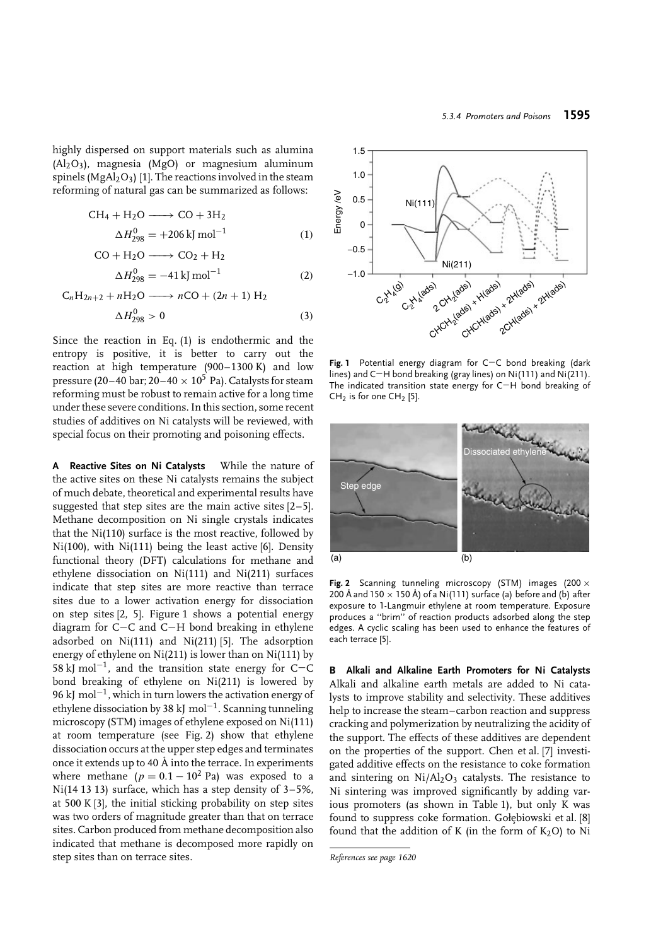highly dispersed on support materials such as alumina (Al2O3), magnesia (MgO) or magnesium aluminum spinels ( $MgAl<sub>2</sub>O<sub>3</sub>$ ) [1]. The reactions involved in the steam reforming of natural gas can be summarized as follows:

$$
CH4 + H2O \longrightarrow CO + 3H2
$$
  

$$
\Delta H2980 = +206 \text{ kJ mol}^{-1}
$$
 (1)

$$
CO + H2O \longrightarrow CO2 + H2
$$
  

$$
\Delta H2980 = -41 \text{ kJ mol}^{-1}
$$
 (2)

$$
C_nH_{2n+2} + nH_2O \longrightarrow nCO + (2n+1) H_2
$$
  

$$
\Delta H_{298}^0 > 0
$$
 (3)

Since the reaction in Eq. (1) is endothermic and the entropy is positive, it is better to carry out the reaction at high temperature (900–1300 K) and low pressure (20–40 bar;  $20-40 \times 10^5$  Pa). Catalysts for steam reforming must be robust to remain active for a long time under these severe conditions. In this section, some recent studies of additives on Ni catalysts will be reviewed, with special focus on their promoting and poisoning effects.

**A Reactive Sites on Ni Catalysts** While the nature of the active sites on these Ni catalysts remains the subject of much debate, theoretical and experimental results have suggested that step sites are the main active sites [2–5]. Methane decomposition on Ni single crystals indicates that the Ni(110) surface is the most reactive, followed by Ni(100), with Ni(111) being the least active [6]. Density functional theory (DFT) calculations for methane and ethylene dissociation on Ni(111) and Ni(211) surfaces indicate that step sites are more reactive than terrace sites due to a lower activation energy for dissociation on step sites [2, 5]. Figure 1 shows a potential energy diagram for C−C and C−H bond breaking in ethylene adsorbed on Ni(111) and Ni(211) [5]. The adsorption energy of ethylene on Ni(211) is lower than on Ni(111) by 58 kJ mol<sup>-1</sup>, and the transition state energy for C−C bond breaking of ethylene on Ni(211) is lowered by 96 kJ mol<sup>−</sup>1, which in turn lowers the activation energy of ethylene dissociation by 38 kJ mol<sup>−</sup>1. Scanning tunneling microscopy (STM) images of ethylene exposed on Ni(111) at room temperature (see Fig. 2) show that ethylene dissociation occurs at the upper step edges and terminates once it extends up to 40  $\AA$  into the terrace. In experiments where methane ( $p = 0.1 - 10^2$  Pa) was exposed to a Ni(14 13 13) surface, which has a step density of 3–5%, at 500 K [3], the initial sticking probability on step sites was two orders of magnitude greater than that on terrace sites. Carbon produced from methane decomposition also indicated that methane is decomposed more rapidly on step sites than on terrace sites.



**Fig. 1** Potential energy diagram for C−C bond breaking (dark lines) and C−H bond breaking (gray lines) on Ni(111) and Ni(211). The indicated transition state energy for C−H bond breaking of  $CH<sub>2</sub>$  is for one  $CH<sub>2</sub>$  [5].



**Fig. 2** Scanning tunneling microscopy (STM) images (200 × 200 Å and 150  $\times$  150 Å) of a Ni(111) surface (a) before and (b) after exposure to 1-Langmuir ethylene at room temperature. Exposure produces a ''brim'' of reaction products adsorbed along the step edges. A cyclic scaling has been used to enhance the features of each terrace [5].

**B Alkali and Alkaline Earth Promoters for Ni Catalysts** Alkali and alkaline earth metals are added to Ni catalysts to improve stability and selectivity. These additives help to increase the steam–carbon reaction and suppress cracking and polymerization by neutralizing the acidity of the support. The effects of these additives are dependent on the properties of the support. Chen et al. [7] investigated additive effects on the resistance to coke formation and sintering on  $Ni/Al<sub>2</sub>O<sub>3</sub>$  catalysts. The resistance to Ni sintering was improved significantly by adding various promoters (as shown in Table 1), but only K was found to suppress coke formation. Gołębiowski et al. [8] found that the addition of K (in the form of  $K_2O$ ) to Ni

*References see page 1620*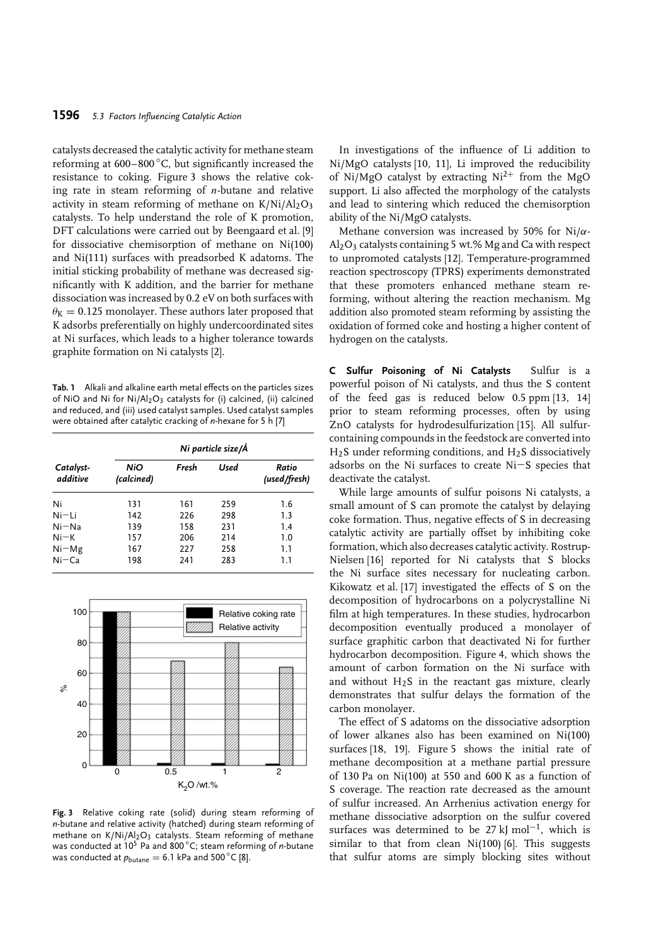## **1596** *5.3 Factors Influencing Catalytic Action*

catalysts decreased the catalytic activity for methane steam reforming at 600–800 °C, but significantly increased the resistance to coking. Figure 3 shows the relative coking rate in steam reforming of *n*-butane and relative activity in steam reforming of methane on  $K/Ni/Al_2O_3$ catalysts. To help understand the role of K promotion, DFT calculations were carried out by Beengaard et al. [9] for dissociative chemisorption of methane on Ni(100) and Ni(111) surfaces with preadsorbed K adatoms. The initial sticking probability of methane was decreased significantly with K addition, and the barrier for methane dissociation was increased by 0.2 eV on both surfaces with  $\theta$ <sub>K</sub> = 0.125 monolayer. These authors later proposed that K adsorbs preferentially on highly undercoordinated sites at Ni surfaces, which leads to a higher tolerance towards graphite formation on Ni catalysts [2].

**Tab. 1** Alkali and alkaline earth metal effects on the particles sizes of NiO and Ni for Ni/Al<sub>2</sub>O<sub>3</sub> catalysts for (i) calcined, (ii) calcined and reduced, and (iii) used catalyst samples. Used catalyst samples were obtained after catalytic cracking of *n*-hexane for 5 h [7]

| Catalyst-<br>additive | Ni particle size/Å       |       |      |                       |  |  |
|-----------------------|--------------------------|-------|------|-----------------------|--|--|
|                       | <b>NiO</b><br>(calcined) | Fresh | Used | Ratio<br>(used/fresh) |  |  |
| Ni                    | 131                      | 161   | 259  | 1.6                   |  |  |
| Ni–Li                 | 142                      | 226   | 298  | 1.3                   |  |  |
| $Ni - Na$             | 139                      | 158   | 231  | 1.4                   |  |  |
| $Ni-K$                | 157                      | 206   | 214  | 1.0                   |  |  |
| $Ni-Mg$               | 167                      | 227   | 258  | 1.1                   |  |  |
| $Ni-Ca$               | 198                      | 241   | 283  | 1.1                   |  |  |



**Fig. 3** Relative coking rate (solid) during steam reforming of *n*-butane and relative activity (hatched) during steam reforming of methane on  $K/Ni/Al_2O_3$  catalysts. Steam reforming of methane was conducted at 10<sup>5</sup> Pa and 800 ◦ C; steam reforming of *n*-butane was conducted at  $p_{\text{butane}} = 6.1$  kPa and 500  $^{\circ}$ C [8].

In investigations of the influence of Li addition to Ni/MgO catalysts [10, 11], Li improved the reducibility of Ni/MgO catalyst by extracting  $Ni^{2+}$  from the MgO support. Li also affected the morphology of the catalysts and lead to sintering which reduced the chemisorption ability of the Ni/MgO catalysts.

Methane conversion was increased by 50% for Ni/*α*- $Al_2O_3$  catalysts containing 5 wt.% Mg and Ca with respect to unpromoted catalysts [12]. Temperature-programmed reaction spectroscopy (TPRS) experiments demonstrated that these promoters enhanced methane steam reforming, without altering the reaction mechanism. Mg addition also promoted steam reforming by assisting the oxidation of formed coke and hosting a higher content of hydrogen on the catalysts.

**C Sulfur Poisoning of Ni Catalysts** Sulfur is a powerful poison of Ni catalysts, and thus the S content of the feed gas is reduced below 0.5 ppm [13, 14] prior to steam reforming processes, often by using ZnO catalysts for hydrodesulfurization [15]. All sulfurcontaining compounds in the feedstock are converted into  $H<sub>2</sub>S$  under reforming conditions, and  $H<sub>2</sub>S$  dissociatively adsorbs on the Ni surfaces to create Ni−S species that deactivate the catalyst.

While large amounts of sulfur poisons Ni catalysts, a small amount of S can promote the catalyst by delaying coke formation. Thus, negative effects of S in decreasing catalytic activity are partially offset by inhibiting coke formation, which also decreases catalytic activity. Rostrup-Nielsen [16] reported for Ni catalysts that S blocks the Ni surface sites necessary for nucleating carbon. Kikowatz et al. [17] investigated the effects of S on the decomposition of hydrocarbons on a polycrystalline Ni film at high temperatures. In these studies, hydrocarbon decomposition eventually produced a monolayer of surface graphitic carbon that deactivated Ni for further hydrocarbon decomposition. Figure 4, which shows the amount of carbon formation on the Ni surface with and without  $H_2S$  in the reactant gas mixture, clearly demonstrates that sulfur delays the formation of the carbon monolayer.

The effect of S adatoms on the dissociative adsorption of lower alkanes also has been examined on Ni(100) surfaces [18, 19]. Figure 5 shows the initial rate of methane decomposition at a methane partial pressure of 130 Pa on Ni(100) at 550 and 600 K as a function of S coverage. The reaction rate decreased as the amount of sulfur increased. An Arrhenius activation energy for methane dissociative adsorption on the sulfur covered surfaces was determined to be 27 kJ mol<sup>-1</sup>, which is similar to that from clean  $Ni(100)$  [6]. This suggests that sulfur atoms are simply blocking sites without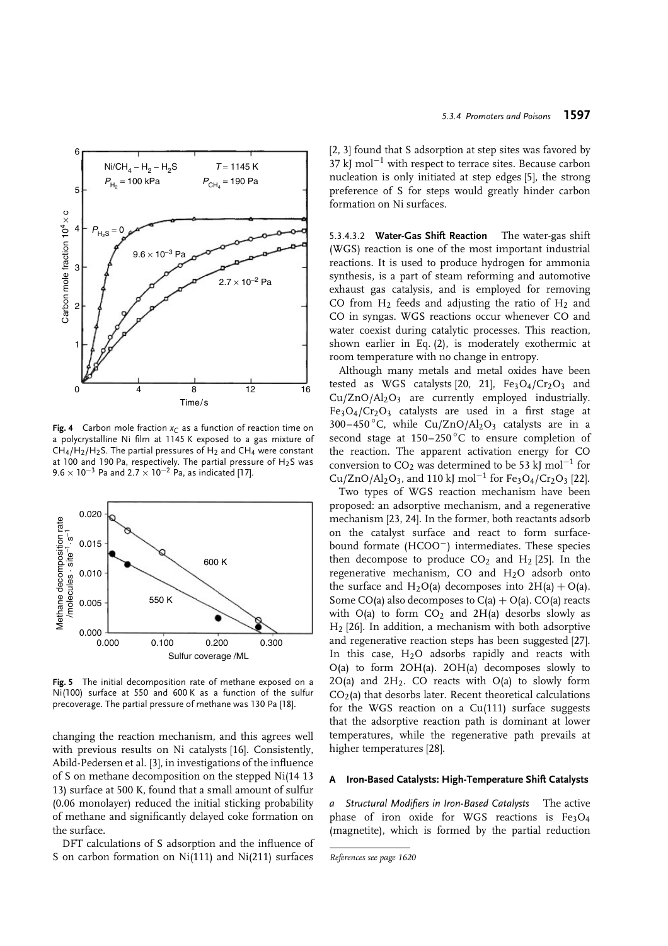

**Fig. 4** Carbon mole fraction  $x_C$  as a function of reaction time on a polycrystalline Ni film at 1145 K exposed to a gas mixture of  $CH_4/H_2/H_2$ S. The partial pressures of H<sub>2</sub> and CH<sub>4</sub> were constant at 100 and 190 Pa, respectively. The partial pressure of H2S was 9*.*6 × 10−<sup>3</sup> Pa and 2*.*7 × 10−<sup>2</sup> Pa, as indicated [17].



**Fig. 5** The initial decomposition rate of methane exposed on a Ni(100) surface at 550 and 600 K as a function of the sulfur precoverage. The partial pressure of methane was 130 Pa [18].

changing the reaction mechanism, and this agrees well with previous results on Ni catalysts [16]. Consistently, Abild-Pedersen et al. [3], in investigations of the influence of S on methane decomposition on the stepped Ni(14 13 13) surface at 500 K, found that a small amount of sulfur (0.06 monolayer) reduced the initial sticking probability of methane and significantly delayed coke formation on the surface.

DFT calculations of S adsorption and the influence of S on carbon formation on Ni(111) and Ni(211) surfaces

[2, 3] found that S adsorption at step sites was favored by  $37 \text{ kJ}$  mol<sup>-1</sup> with respect to terrace sites. Because carbon nucleation is only initiated at step edges [5], the strong preference of S for steps would greatly hinder carbon formation on Ni surfaces.

5.3.4.3.2 **Water-Gas Shift Reaction** The water-gas shift (WGS) reaction is one of the most important industrial reactions. It is used to produce hydrogen for ammonia synthesis, is a part of steam reforming and automotive exhaust gas catalysis, and is employed for removing CO from  $H_2$  feeds and adjusting the ratio of  $H_2$  and CO in syngas. WGS reactions occur whenever CO and water coexist during catalytic processes. This reaction, shown earlier in Eq. (2), is moderately exothermic at room temperature with no change in entropy.

Although many metals and metal oxides have been tested as WGS catalysts [20, 21],  $Fe<sub>3</sub>O<sub>4</sub>/Cr<sub>2</sub>O<sub>3</sub>$  and  $Cu/ZnO/Al<sub>2</sub>O<sub>3</sub>$  are currently employed industrially. Fe3O4/Cr2O3 catalysts are used in a first stage at 300–450 ◦ C, while Cu/ZnO/Al2O3 catalysts are in a second stage at  $150-250\degree C$  to ensure completion of the reaction. The apparent activation energy for CO conversion to CO<sub>2</sub> was determined to be 53 kJ mol<sup>-1</sup> for  $Cu/ZnO/Al_2O_3$ , and 110 kJ mol<sup>-1</sup> for Fe<sub>3</sub>O<sub>4</sub>/Cr<sub>2</sub>O<sub>3</sub> [22].

Two types of WGS reaction mechanism have been proposed: an adsorptive mechanism, and a regenerative mechanism [23, 24]. In the former, both reactants adsorb on the catalyst surface and react to form surfacebound formate (HCOO−) intermediates. These species then decompose to produce  $CO<sub>2</sub>$  and  $H<sub>2</sub>$  [25]. In the regenerative mechanism, CO and  $H<sub>2</sub>O$  adsorb onto the surface and  $H_2O(a)$  decomposes into  $2H(a) + O(a)$ . Some CO(a) also decomposes to  $C(a) + O(a)$ . CO(a) reacts with  $O(a)$  to form  $CO<sub>2</sub>$  and  $2H(a)$  desorbs slowly as  $H<sub>2</sub>$  [26]. In addition, a mechanism with both adsorptive and regenerative reaction steps has been suggested [27]. In this case,  $H<sub>2</sub>O$  adsorbs rapidly and reacts with O(a) to form 2OH(a). 2OH(a) decomposes slowly to  $2O(a)$  and  $2H_2$ . CO reacts with  $O(a)$  to slowly form  $CO<sub>2</sub>(a)$  that desorbs later. Recent theoretical calculations for the WGS reaction on a Cu(111) surface suggests that the adsorptive reaction path is dominant at lower temperatures, while the regenerative path prevails at higher temperatures [28].

### **A Iron-Based Catalysts: High-Temperature Shift Catalysts**

*a Structural Modifiers in Iron-Based Catalysts* The active phase of iron oxide for WGS reactions is  $Fe<sub>3</sub>O<sub>4</sub>$ (magnetite), which is formed by the partial reduction

*References see page 1620*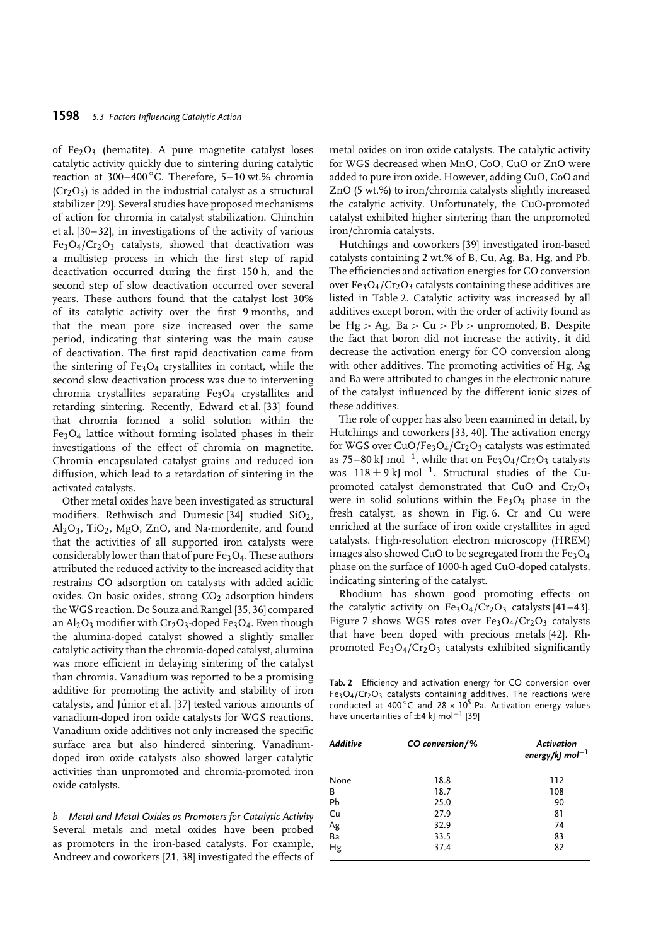of  $Fe<sub>2</sub>O<sub>3</sub>$  (hematite). A pure magnetite catalyst loses catalytic activity quickly due to sintering during catalytic reaction at 300-400°C. Therefore, 5-10 wt.% chromia  $(Cr<sub>2</sub>O<sub>3</sub>)$  is added in the industrial catalyst as a structural stabilizer [29]. Several studies have proposed mechanisms of action for chromia in catalyst stabilization. Chinchin et al. [30–32], in investigations of the activity of various  $Fe<sub>3</sub>O<sub>4</sub>/Cr<sub>2</sub>O<sub>3</sub>$  catalysts, showed that deactivation was a multistep process in which the first step of rapid deactivation occurred during the first 150 h, and the second step of slow deactivation occurred over several years. These authors found that the catalyst lost 30% of its catalytic activity over the first 9 months, and that the mean pore size increased over the same period, indicating that sintering was the main cause of deactivation. The first rapid deactivation came from the sintering of  $Fe<sub>3</sub>O<sub>4</sub>$  crystallites in contact, while the second slow deactivation process was due to intervening chromia crystallites separating Fe3O4 crystallites and retarding sintering. Recently, Edward et al. [33] found that chromia formed a solid solution within the Fe3O4 lattice without forming isolated phases in their investigations of the effect of chromia on magnetite. Chromia encapsulated catalyst grains and reduced ion diffusion, which lead to a retardation of sintering in the activated catalysts.

Other metal oxides have been investigated as structural modifiers. Rethwisch and Dumesic [34] studied  $SiO<sub>2</sub>$ , Al2O3, TiO2, MgO, ZnO, and Na-mordenite, and found that the activities of all supported iron catalysts were considerably lower than that of pure  $Fe<sub>3</sub>O<sub>4</sub>$ . These authors attributed the reduced activity to the increased acidity that restrains CO adsorption on catalysts with added acidic oxides. On basic oxides, strong CO<sub>2</sub> adsorption hinders the WGS reaction. De Souza and Rangel [35, 36] compared an  $\text{Al}_2\text{O}_3$  modifier with Cr<sub>2</sub>O<sub>3</sub>-doped Fe<sub>3</sub>O<sub>4</sub>. Even though the alumina-doped catalyst showed a slightly smaller catalytic activity than the chromia-doped catalyst, alumina was more efficient in delaying sintering of the catalyst than chromia. Vanadium was reported to be a promising additive for promoting the activity and stability of iron catalysts, and Júnior et al. [37] tested various amounts of vanadium-doped iron oxide catalysts for WGS reactions. Vanadium oxide additives not only increased the specific surface area but also hindered sintering. Vanadiumdoped iron oxide catalysts also showed larger catalytic activities than unpromoted and chromia-promoted iron oxide catalysts.

*b Metal and Metal Oxides as Promoters for Catalytic Activity* Several metals and metal oxides have been probed as promoters in the iron-based catalysts. For example, Andreev and coworkers [21, 38] investigated the effects of

metal oxides on iron oxide catalysts. The catalytic activity for WGS decreased when MnO, CoO, CuO or ZnO were added to pure iron oxide. However, adding CuO, CoO and ZnO (5 wt.%) to iron/chromia catalysts slightly increased the catalytic activity. Unfortunately, the CuO-promoted catalyst exhibited higher sintering than the unpromoted iron/chromia catalysts.

Hutchings and coworkers [39] investigated iron-based catalysts containing 2 wt.% of B, Cu, Ag, Ba, Hg, and Pb. The efficiencies and activation energies for CO conversion over  $Fe<sub>3</sub>O<sub>4</sub>/Cr<sub>2</sub>O<sub>3</sub>$  catalysts containing these additives are listed in Table 2. Catalytic activity was increased by all additives except boron, with the order of activity found as be Hg *>* Ag, Ba *>* Cu *>* Pb *>* unpromoted, B. Despite the fact that boron did not increase the activity, it did decrease the activation energy for CO conversion along with other additives. The promoting activities of Hg, Ag and Ba were attributed to changes in the electronic nature of the catalyst influenced by the different ionic sizes of these additives.

The role of copper has also been examined in detail, by Hutchings and coworkers [33, 40]. The activation energy for WGS over CuO/Fe3O4/Cr2O3 catalysts was estimated as 75–80 kJ mol<sup>-1</sup>, while that on Fe<sub>3</sub>O<sub>4</sub>/Cr<sub>2</sub>O<sub>3</sub> catalysts was  $118 \pm 9$  kJ mol<sup>-1</sup>. Structural studies of the Cupromoted catalyst demonstrated that CuO and  $Cr_2O_3$ were in solid solutions within the  $Fe<sub>3</sub>O<sub>4</sub>$  phase in the fresh catalyst, as shown in Fig. 6. Cr and Cu were enriched at the surface of iron oxide crystallites in aged catalysts. High-resolution electron microscopy (HREM) images also showed CuO to be segregated from the  $Fe<sub>3</sub>O<sub>4</sub>$ phase on the surface of 1000-h aged CuO-doped catalysts, indicating sintering of the catalyst.

Rhodium has shown good promoting effects on the catalytic activity on  $Fe<sub>3</sub>O<sub>4</sub>/Cr<sub>2</sub>O<sub>3</sub>$  catalysts [41-43]. Figure 7 shows WGS rates over  $Fe<sub>3</sub>O<sub>4</sub>/Cr<sub>2</sub>O<sub>3</sub>$  catalysts that have been doped with precious metals [42]. Rhpromoted  $Fe<sub>3</sub>O<sub>4</sub>/Cr<sub>2</sub>O<sub>3</sub>$  catalysts exhibited significantly

**Tab. 2** Efficiency and activation energy for CO conversion over  $Fe<sub>3</sub>O<sub>4</sub>/Cr<sub>2</sub>O<sub>3</sub>$  catalysts containing additives. The reactions were conducted at 400 $\degree$ C and 28  $\times$  10<sup>5</sup> Pa. Activation energy values have uncertainties of  $\pm 4$  kJ mol<sup>-1</sup> [39]

| Additive | CO conversion/% | Activation<br>energy/kJ mol <sup>-1</sup> |
|----------|-----------------|-------------------------------------------|
| None     | 18.8            | 112                                       |
| B        | 18.7            | 108                                       |
| Pb       | 25.0            | 90                                        |
| Cu       | 27.9            | 81                                        |
| Ag       | 32.9            | 74                                        |
| Ba       | 33.5            | 83                                        |
| Hg       | 37.4            | 82                                        |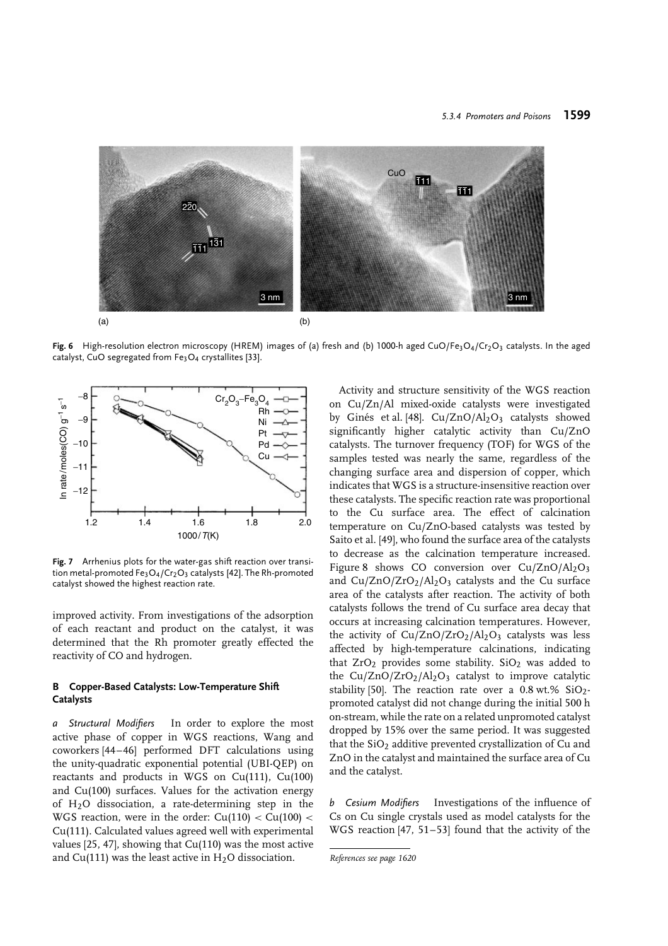

Fig. 6 High-resolution electron microscopy (HREM) images of (a) fresh and (b) 1000-h aged CuO/Fe<sub>3</sub>O<sub>4</sub>/Cr<sub>2</sub>O<sub>3</sub> catalysts. In the aged catalyst, CuO segregated from Fe3O4 crystallites [33].



**Fig. 7** Arrhenius plots for the water-gas shift reaction over transition metal-promoted  $Fe<sub>3</sub>O<sub>4</sub>/Cr<sub>2</sub>O<sub>3</sub>$  catalysts [42]. The Rh-promoted catalyst showed the highest reaction rate.

improved activity. From investigations of the adsorption of each reactant and product on the catalyst, it was determined that the Rh promoter greatly effected the reactivity of CO and hydrogen.

### **B Copper-Based Catalysts: Low-Temperature Shift Catalysts**

*a Structural Modifiers* In order to explore the most active phase of copper in WGS reactions, Wang and coworkers [44–46] performed DFT calculations using the unity-quadratic exponential potential (UBI-QEP) on reactants and products in WGS on Cu(111), Cu(100) and Cu(100) surfaces. Values for the activation energy of H2O dissociation, a rate-determining step in the WGS reaction, were in the order: Cu(110) *<* Cu(100) *<* Cu(111). Calculated values agreed well with experimental values [25, 47], showing that Cu(110) was the most active and Cu(111) was the least active in  $H<sub>2</sub>O$  dissociation.

Activity and structure sensitivity of the WGS reaction on Cu/Zn/Al mixed-oxide catalysts were investigated by Ginés et al. [48].  $Cu/ZnO/Al<sub>2</sub>O<sub>3</sub>$  catalysts showed significantly higher catalytic activity than Cu/ZnO catalysts. The turnover frequency (TOF) for WGS of the samples tested was nearly the same, regardless of the changing surface area and dispersion of copper, which indicates that WGS is a structure-insensitive reaction over these catalysts. The specific reaction rate was proportional to the Cu surface area. The effect of calcination temperature on Cu/ZnO-based catalysts was tested by Saito et al. [49], who found the surface area of the catalysts to decrease as the calcination temperature increased. Figure 8 shows CO conversion over  $Cu/ZnO/Al<sub>2</sub>O<sub>3</sub>$ and  $Cu/ZnO/ZrO<sub>2</sub>/Al<sub>2</sub>O<sub>3</sub>$  catalysts and the Cu surface area of the catalysts after reaction. The activity of both catalysts follows the trend of Cu surface area decay that occurs at increasing calcination temperatures. However, the activity of  $Cu/ZnO/ZrO<sub>2</sub>/Al<sub>2</sub>O<sub>3</sub>$  catalysts was less affected by high-temperature calcinations, indicating that  $ZrO<sub>2</sub>$  provides some stability.  $SiO<sub>2</sub>$  was added to the Cu/ZnO/ZrO<sub>2</sub>/Al<sub>2</sub>O<sub>3</sub> catalyst to improve catalytic stability [50]. The reaction rate over a  $0.8$  wt.% SiO<sub>2</sub>promoted catalyst did not change during the initial 500 h on-stream, while the rate on a related unpromoted catalyst dropped by 15% over the same period. It was suggested that the  $SiO<sub>2</sub>$  additive prevented crystallization of Cu and ZnO in the catalyst and maintained the surface area of Cu and the catalyst.

*b Cesium Modifiers* Investigations of the influence of Cs on Cu single crystals used as model catalysts for the WGS reaction [47, 51–53] found that the activity of the

*References see page 1620*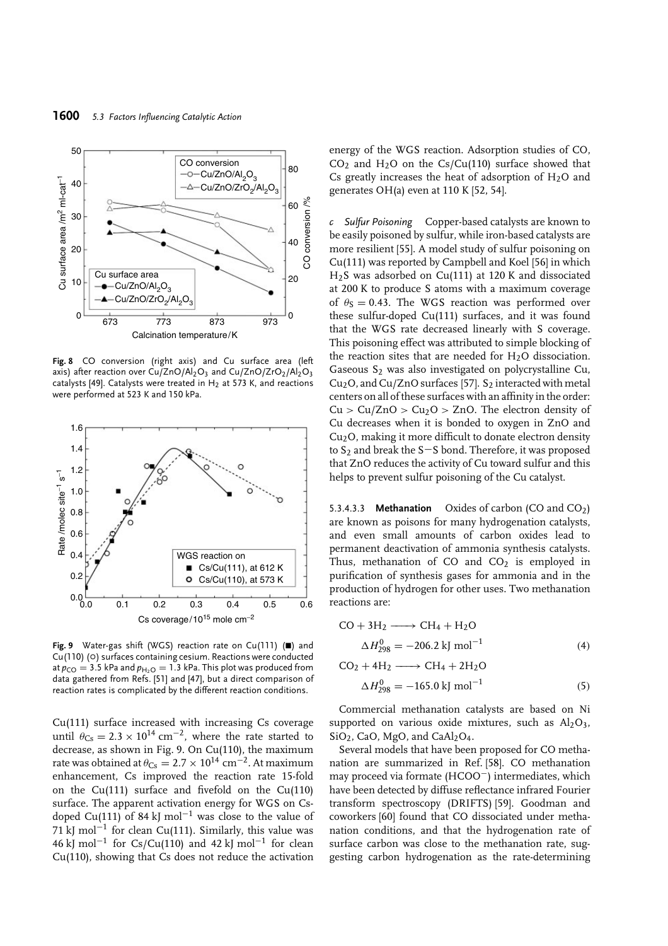

**Fig. 8** CO conversion (right axis) and Cu surface area (left axis) after reaction over  $Cu/ZnO/Al_2O_3$  and  $Cu/ZnO/ZrO_2/Al_2O_3$ catalysts [49]. Catalysts were treated in  $H_2$  at 573 K, and reactions were performed at 523 K and 150 kPa.



Fig. 9 Water-gas shift (WGS) reaction rate on Cu(111) () and Cu(110) (o) surfaces containing cesium. Reactions were conducted at  $p_{CO} = 3.5$  kPa and  $p_{H_2O} = 1.3$  kPa. This plot was produced from data gathered from Refs. [51] and [47], but a direct comparison of reaction rates is complicated by the different reaction conditions.

Cu(111) surface increased with increasing Cs coverage until  $\theta_{\text{Cs}} = 2.3 \times 10^{14} \text{ cm}^{-2}$ , where the rate started to decrease, as shown in Fig. 9. On Cu(110), the maximum rate was obtained at  $\theta_{\text{Cs}} = 2.7 \times 10^{14} \text{ cm}^{-2}$ . At maximum enhancement, Cs improved the reaction rate 15-fold on the Cu(111) surface and fivefold on the Cu(110) surface. The apparent activation energy for WGS on Csdoped Cu(111) of 84 kJ mol<sup>-1</sup> was close to the value of 71 kJ mol<sup>-1</sup> for clean Cu(111). Similarly, this value was 46 kJ mol<sup>-1</sup> for Cs/Cu(110) and 42 kJ mol<sup>-1</sup> for clean Cu(110), showing that Cs does not reduce the activation

energy of the WGS reaction. Adsorption studies of CO,  $CO<sub>2</sub>$  and H<sub>2</sub>O on the Cs/Cu(110) surface showed that Cs greatly increases the heat of adsorption of  $H<sub>2</sub>O$  and generates  $OH(a)$  even at 110 K [52, 54].

*c Sulfur Poisoning* Copper-based catalysts are known to be easily poisoned by sulfur, while iron-based catalysts are more resilient [55]. A model study of sulfur poisoning on Cu(111) was reported by Campbell and Koel [56] in which H2S was adsorbed on Cu(111) at 120 K and dissociated at 200 K to produce S atoms with a maximum coverage of  $\theta$ s = 0.43. The WGS reaction was performed over these sulfur-doped Cu(111) surfaces, and it was found that the WGS rate decreased linearly with S coverage. This poisoning effect was attributed to simple blocking of the reaction sites that are needed for  $H<sub>2</sub>O$  dissociation. Gaseous  $S_2$  was also investigated on polycrystalline Cu,  $Cu<sub>2</sub>O$ , and Cu/ZnO surfaces [57]. S<sub>2</sub> interacted with metal centers on all of these surfaces with an affinity in the order:  $Cu > Cu/ZnO > Cu<sub>2</sub>O > ZnO$ . The electron density of Cu decreases when it is bonded to oxygen in ZnO and Cu2O, making it more difficult to donate electron density to S<sub>2</sub> and break the S−S bond. Therefore, it was proposed that ZnO reduces the activity of Cu toward sulfur and this helps to prevent sulfur poisoning of the Cu catalyst.

5.3.4.3.3 **Methanation** Oxides of carbon (CO and CO<sub>2</sub>) are known as poisons for many hydrogenation catalysts, and even small amounts of carbon oxides lead to permanent deactivation of ammonia synthesis catalysts. Thus, methanation of CO and  $CO<sub>2</sub>$  is employed in purification of synthesis gases for ammonia and in the production of hydrogen for other uses. Two methanation reactions are:

$$
CO + 3H2 \longrightarrow CH4 + H2O
$$
  
\n
$$
\Delta H2980 = -206.2 \text{ kJ mol}^{-1}
$$
  
\n
$$
CO2 + 4H2 \longrightarrow CH4 + 2H2O
$$
\n(4)

$$
\Delta H_{298}^0 = -165.0 \text{ kJ mol}^{-1} \tag{5}
$$

Commercial methanation catalysts are based on Ni supported on various oxide mixtures, such as  $Al_2O_3$ ,  $SiO<sub>2</sub>$ , CaO, MgO, and CaAl<sub>2</sub>O<sub>4</sub>.

Several models that have been proposed for CO methanation are summarized in Ref. [58]. CO methanation may proceed via formate (HCOO−) intermediates, which have been detected by diffuse reflectance infrared Fourier transform spectroscopy (DRIFTS) [59]. Goodman and coworkers [60] found that CO dissociated under methanation conditions, and that the hydrogenation rate of surface carbon was close to the methanation rate, suggesting carbon hydrogenation as the rate-determining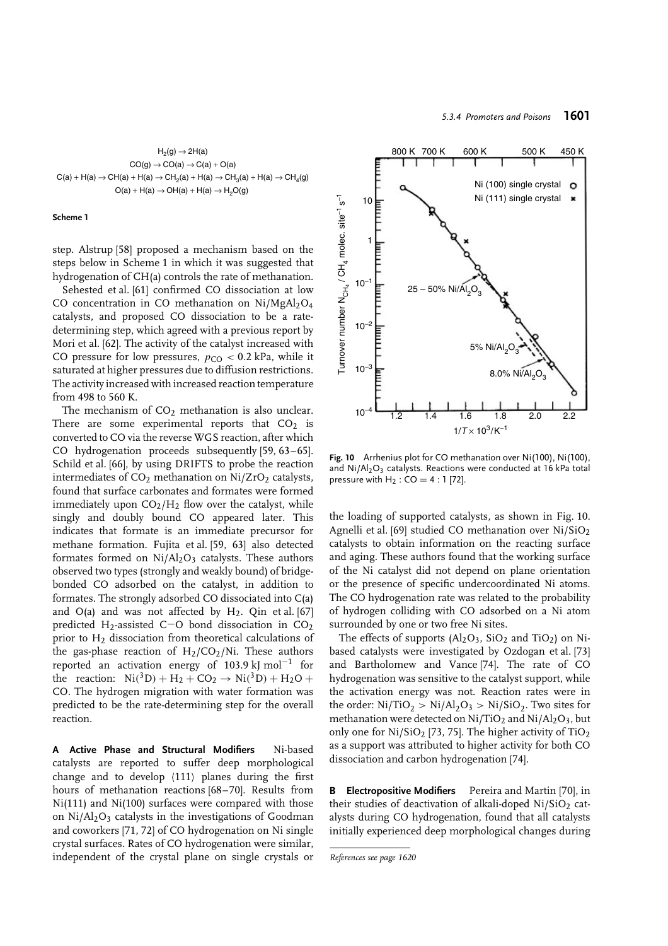



step. Alstrup [58] proposed a mechanism based on the steps below in Scheme 1 in which it was suggested that hydrogenation of CH(a) controls the rate of methanation.

Sehested et al. [61] confirmed CO dissociation at low CO concentration in CO methanation on  $Ni/MgAl<sub>2</sub>O<sub>4</sub>$ catalysts, and proposed CO dissociation to be a ratedetermining step, which agreed with a previous report by Mori et al. [62]. The activity of the catalyst increased with CO pressure for low pressures,  $p_{CO} < 0.2$  kPa, while it saturated at higher pressures due to diffusion restrictions. The activity increased with increased reaction temperature from 498 to 560 K.

The mechanism of  $CO<sub>2</sub>$  methanation is also unclear. There are some experimental reports that  $CO<sub>2</sub>$  is converted to CO via the reverse WGS reaction, after which CO hydrogenation proceeds subsequently [59, 63–65]. Schild et al. [66], by using DRIFTS to probe the reaction intermediates of  $CO<sub>2</sub>$  methanation on Ni/ZrO<sub>2</sub> catalysts, found that surface carbonates and formates were formed immediately upon  $CO<sub>2</sub>/H<sub>2</sub>$  flow over the catalyst, while singly and doubly bound CO appeared later. This indicates that formate is an immediate precursor for methane formation. Fujita et al. [59, 63] also detected formates formed on  $Ni/Al<sub>2</sub>O<sub>3</sub>$  catalysts. These authors observed two types (strongly and weakly bound) of bridgebonded CO adsorbed on the catalyst, in addition to formates. The strongly adsorbed CO dissociated into C(a) and O(a) and was not affected by  $H_2$ . Oin et al. [67] predicted H2-assisted C−O bond dissociation in CO2 prior to  $H_2$  dissociation from theoretical calculations of the gas-phase reaction of  $H_2/CO_2/Ni$ . These authors reported an activation energy of 103.9 kJ mol−<sup>1</sup> for the reaction:  $Ni(^{3}D) + H_{2} + CO_{2} \rightarrow Ni(^{3}D) + H_{2}O +$ CO. The hydrogen migration with water formation was predicted to be the rate-determining step for the overall reaction.

**A Active Phase and Structural Modifiers** Ni-based catalysts are reported to suffer deep morphological change and to develop  $\langle 111 \rangle$  planes during the first hours of methanation reactions [68–70]. Results from Ni(111) and Ni(100) surfaces were compared with those on  $Ni/Al<sub>2</sub>O<sub>3</sub>$  catalysts in the investigations of Goodman and coworkers [71, 72] of CO hydrogenation on Ni single crystal surfaces. Rates of CO hydrogenation were similar, independent of the crystal plane on single crystals or



**Fig. 10** Arrhenius plot for CO methanation over Ni(100), Ni(100), and  $Ni/Al<sub>2</sub>O<sub>3</sub>$  catalysts. Reactions were conducted at 16 kPa total pressure with  $H_2$  :  $CO = 4 : 1$  [72].

the loading of supported catalysts, as shown in Fig. 10. Agnelli et al. [69] studied CO methanation over Ni/SiO<sub>2</sub> catalysts to obtain information on the reacting surface and aging. These authors found that the working surface of the Ni catalyst did not depend on plane orientation or the presence of specific undercoordinated Ni atoms. The CO hydrogenation rate was related to the probability of hydrogen colliding with CO adsorbed on a Ni atom surrounded by one or two free Ni sites.

The effects of supports  $(Al<sub>2</sub>O<sub>3</sub>, SiO<sub>2</sub> and TiO<sub>2</sub>)$  on Nibased catalysts were investigated by Ozdogan et al. [73] and Bartholomew and Vance [74]. The rate of CO hydrogenation was sensitive to the catalyst support, while the activation energy was not. Reaction rates were in the order:  $Ni/TiO<sub>2</sub> > Ni/Al<sub>2</sub>O<sub>3</sub> > Ni/SiO<sub>2</sub>$ . Two sites for methanation were detected on  $Ni/TiO<sub>2</sub>$  and  $Ni/Al<sub>2</sub>O<sub>3</sub>$ , but only one for  $Ni/SiO<sub>2</sub>$  [73, 75]. The higher activity of TiO<sub>2</sub> as a support was attributed to higher activity for both CO dissociation and carbon hydrogenation [74].

**B Electropositive Modifiers** Pereira and Martin [70], in their studies of deactivation of alkali-doped  $Ni/SiO<sub>2</sub>$  catalysts during CO hydrogenation, found that all catalysts initially experienced deep morphological changes during

*References see page 1620*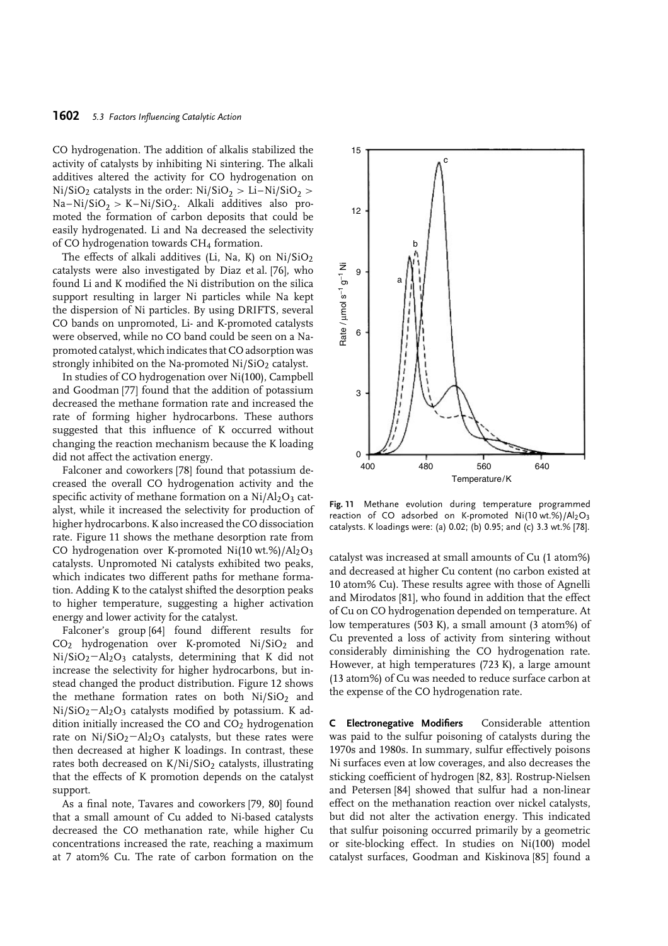CO hydrogenation. The addition of alkalis stabilized the activity of catalysts by inhibiting Ni sintering. The alkali additives altered the activity for CO hydrogenation on  $Ni/SiO<sub>2</sub>$  catalysts in the order:  $Ni/SiO<sub>2</sub> > Li-Ni/SiO<sub>2</sub> >$ Na–Ni/SiO<sub>2</sub> > K–Ni/SiO<sub>2</sub>. Alkali additives also promoted the formation of carbon deposits that could be easily hydrogenated. Li and Na decreased the selectivity of CO hydrogenation towards CH4 formation.

The effects of alkali additives (Li, Na, K) on  $Ni/SiO<sub>2</sub>$ catalysts were also investigated by Diaz et al. [76], who found Li and K modified the Ni distribution on the silica support resulting in larger Ni particles while Na kept the dispersion of Ni particles. By using DRIFTS, several CO bands on unpromoted, Li- and K-promoted catalysts were observed, while no CO band could be seen on a Napromoted catalyst, which indicates that CO adsorption was strongly inhibited on the Na-promoted Ni/SiO<sub>2</sub> catalyst.

In studies of CO hydrogenation over Ni(100), Campbell and Goodman [77] found that the addition of potassium decreased the methane formation rate and increased the rate of forming higher hydrocarbons. These authors suggested that this influence of K occurred without changing the reaction mechanism because the K loading did not affect the activation energy.

Falconer and coworkers [78] found that potassium decreased the overall CO hydrogenation activity and the specific activity of methane formation on a  $Ni/Al_2O_3$  catalyst, while it increased the selectivity for production of higher hydrocarbons. K also increased the CO dissociation rate. Figure 11 shows the methane desorption rate from CO hydrogenation over K-promoted Ni(10 wt.%)/Al<sub>2</sub>O<sub>3</sub> catalysts. Unpromoted Ni catalysts exhibited two peaks, which indicates two different paths for methane formation. Adding K to the catalyst shifted the desorption peaks to higher temperature, suggesting a higher activation energy and lower activity for the catalyst.

Falconer's group [64] found different results for  $CO<sub>2</sub>$  hydrogenation over K-promoted Ni/SiO<sub>2</sub> and Ni/SiO2−Al2O3 catalysts, determining that K did not increase the selectivity for higher hydrocarbons, but instead changed the product distribution. Figure 12 shows the methane formation rates on both  $Ni/SiO<sub>2</sub>$  and Ni/SiO<sub>2</sub>−Al<sub>2</sub>O<sub>3</sub> catalysts modified by potassium. K addition initially increased the CO and  $CO<sub>2</sub>$  hydrogenation rate on  $Ni/SiO<sub>2</sub>−Al<sub>2</sub>O<sub>3</sub>$  catalysts, but these rates were then decreased at higher K loadings. In contrast, these rates both decreased on K/Ni/SiO<sub>2</sub> catalysts, illustrating that the effects of K promotion depends on the catalyst support.

As a final note, Tavares and coworkers [79, 80] found that a small amount of Cu added to Ni-based catalysts decreased the CO methanation rate, while higher Cu concentrations increased the rate, reaching a maximum at 7 atom% Cu. The rate of carbon formation on the



**Fig. 11** Methane evolution during temperature programmed reaction of CO adsorbed on K-promoted Ni(10 wt.%)/Al<sub>2</sub>O<sub>3</sub> catalysts. K loadings were: (a) 0.02; (b) 0.95; and (c) 3.3 wt.% [78].

catalyst was increased at small amounts of Cu (1 atom%) and decreased at higher Cu content (no carbon existed at 10 atom% Cu). These results agree with those of Agnelli and Mirodatos [81], who found in addition that the effect of Cu on CO hydrogenation depended on temperature. At low temperatures (503 K), a small amount (3 atom%) of Cu prevented a loss of activity from sintering without considerably diminishing the CO hydrogenation rate. However, at high temperatures (723 K), a large amount (13 atom%) of Cu was needed to reduce surface carbon at the expense of the CO hydrogenation rate.

**C Electronegative Modifiers** Considerable attention was paid to the sulfur poisoning of catalysts during the 1970s and 1980s. In summary, sulfur effectively poisons Ni surfaces even at low coverages, and also decreases the sticking coefficient of hydrogen [82, 83]. Rostrup-Nielsen and Petersen [84] showed that sulfur had a non-linear effect on the methanation reaction over nickel catalysts, but did not alter the activation energy. This indicated that sulfur poisoning occurred primarily by a geometric or site-blocking effect. In studies on Ni(100) model catalyst surfaces, Goodman and Kiskinova [85] found a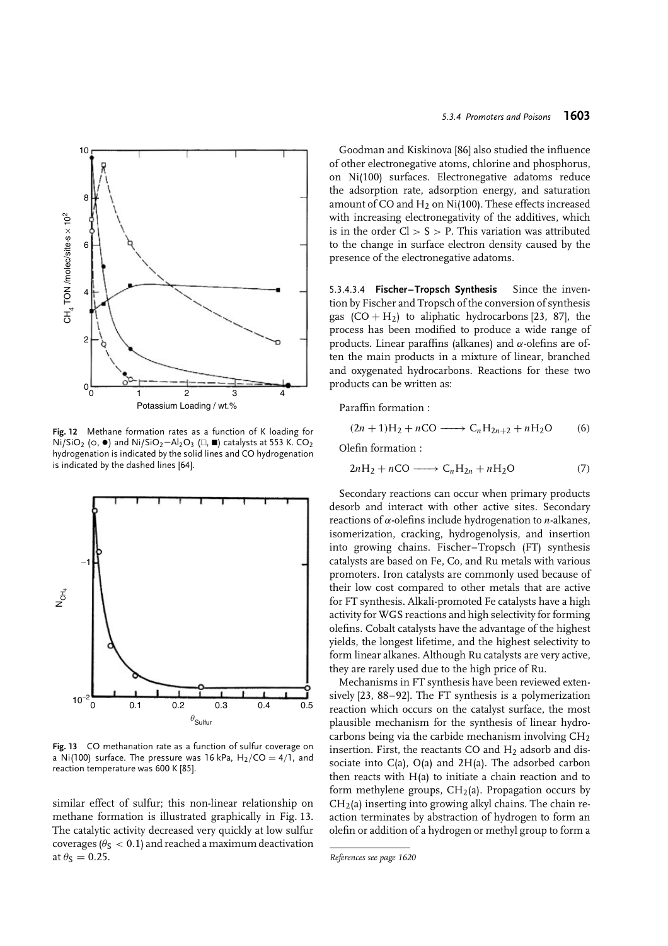

**Fig. 12** Methane formation rates as a function of K loading for Ni/SiO<sub>2</sub> (o,  $\bullet$ ) and Ni/SiO<sub>2</sub>-Al<sub>2</sub>O<sub>3</sub> (□, ■) catalysts at 553 K. CO<sub>2</sub> hydrogenation is indicated by the solid lines and CO hydrogenation is indicated by the dashed lines [64].



**Fig. 13** CO methanation rate as a function of sulfur coverage on a Ni(100) surface. The pressure was 16 kPa,  $H_2/CO = 4/1$ , and reaction temperature was 600 K [85].

similar effect of sulfur; this non-linear relationship on methane formation is illustrated graphically in Fig. 13. The catalytic activity decreased very quickly at low sulfur coverages ( $\theta$ <sub>S</sub>  $<$  0.1) and reached a maximum deactivation at  $\theta$ <sub>S</sub> = 0.25.

Goodman and Kiskinova [86] also studied the influence of other electronegative atoms, chlorine and phosphorus, on Ni(100) surfaces. Electronegative adatoms reduce the adsorption rate, adsorption energy, and saturation amount of CO and  $H_2$  on Ni(100). These effects increased with increasing electronegativity of the additives, which is in the order Cl *>* S *>* P. This variation was attributed to the change in surface electron density caused by the presence of the electronegative adatoms.

5.3.4.3.4 **Fischer–Tropsch Synthesis** Since the invention by Fischer and Tropsch of the conversion of synthesis gas  $(CO + H_2)$  to aliphatic hydrocarbons [23, 87], the process has been modified to produce a wide range of products. Linear paraffins (alkanes) and *α*-olefins are often the main products in a mixture of linear, branched and oxygenated hydrocarbons. Reactions for these two products can be written as:

Paraffin formation :

$$
(2n+1)H2 + nCO \longrightarrow CnH2n+2 + nH2O \qquad (6)
$$

Olefin formation :

$$
2nH_2 + nCO \longrightarrow C_nH_{2n} + nH_2O \tag{7}
$$

Secondary reactions can occur when primary products desorb and interact with other active sites. Secondary reactions of *α*-olefins include hydrogenation to *n*-alkanes, isomerization, cracking, hydrogenolysis, and insertion into growing chains. Fischer–Tropsch (FT) synthesis catalysts are based on Fe, Co, and Ru metals with various promoters. Iron catalysts are commonly used because of their low cost compared to other metals that are active for FT synthesis. Alkali-promoted Fe catalysts have a high activity for WGS reactions and high selectivity for forming olefins. Cobalt catalysts have the advantage of the highest yields, the longest lifetime, and the highest selectivity to form linear alkanes. Although Ru catalysts are very active, they are rarely used due to the high price of Ru.

Mechanisms in FT synthesis have been reviewed extensively [23, 88–92]. The FT synthesis is a polymerization reaction which occurs on the catalyst surface, the most plausible mechanism for the synthesis of linear hydrocarbons being via the carbide mechanism involving  $CH<sub>2</sub>$ insertion. First, the reactants CO and  $H_2$  adsorb and dissociate into C(a), O(a) and 2H(a). The adsorbed carbon then reacts with H(a) to initiate a chain reaction and to form methylene groups,  $CH<sub>2</sub>(a)$ . Propagation occurs by  $CH<sub>2</sub>(a)$  inserting into growing alkyl chains. The chain reaction terminates by abstraction of hydrogen to form an olefin or addition of a hydrogen or methyl group to form a

*References see page 1620*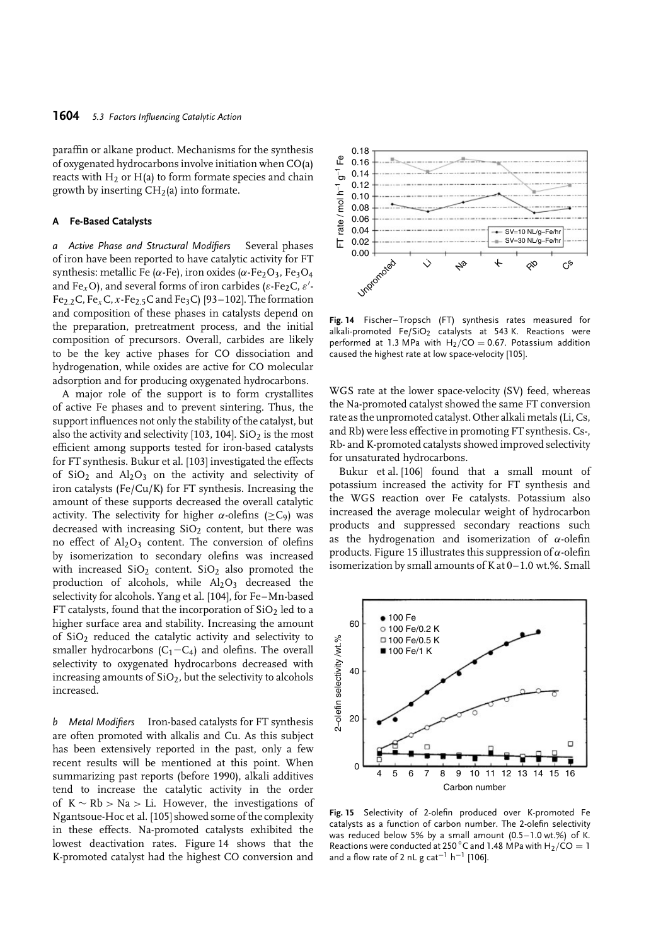paraffin or alkane product. Mechanisms for the synthesis of oxygenated hydrocarbons involve initiation when CO(a) reacts with  $H_2$  or  $H(a)$  to form formate species and chain growth by inserting  $CH<sub>2</sub>(a)$  into formate.

### **A Fe-Based Catalysts**

*a Active Phase and Structural Modifiers* Several phases of iron have been reported to have catalytic activity for FT synthesis: metallic Fe ( $\alpha$ -Fe), iron oxides ( $\alpha$ -Fe<sub>2</sub>O<sub>3</sub>, Fe<sub>3</sub>O<sub>4</sub> and Fe<sub>x</sub>O), and several forms of iron carbides ( $\varepsilon$ -Fe<sub>2</sub>C,  $\varepsilon'$ -Fe2*.*2C, Fe*x*C, *x*-Fe2*.*5C and Fe3C) [93–102]. The formation and composition of these phases in catalysts depend on the preparation, pretreatment process, and the initial composition of precursors. Overall, carbides are likely to be the key active phases for CO dissociation and hydrogenation, while oxides are active for CO molecular adsorption and for producing oxygenated hydrocarbons.

A major role of the support is to form crystallites of active Fe phases and to prevent sintering. Thus, the support influences not only the stability of the catalyst, but also the activity and selectivity [103, 104].  $SiO<sub>2</sub>$  is the most efficient among supports tested for iron-based catalysts for FT synthesis. Bukur et al. [103] investigated the effects of  $SiO<sub>2</sub>$  and  $Al<sub>2</sub>O<sub>3</sub>$  on the activity and selectivity of iron catalysts (Fe/Cu/K) for FT synthesis. Increasing the amount of these supports decreased the overall catalytic activity. The selectivity for higher  $\alpha$ -olefins ( $\geq C_9$ ) was decreased with increasing  $SiO<sub>2</sub>$  content, but there was no effect of  $Al_2O_3$  content. The conversion of olefins by isomerization to secondary olefins was increased with increased  $SiO<sub>2</sub>$  content.  $SiO<sub>2</sub>$  also promoted the production of alcohols, while  $Al_2O_3$  decreased the selectivity for alcohols. Yang et al. [104], for Fe–Mn-based FT catalysts, found that the incorporation of  $SiO<sub>2</sub>$  led to a higher surface area and stability. Increasing the amount of SiO2 reduced the catalytic activity and selectivity to smaller hydrocarbons ( $C_1-C_4$ ) and olefins. The overall selectivity to oxygenated hydrocarbons decreased with increasing amounts of  $SiO<sub>2</sub>$ , but the selectivity to alcohols increased.

*b Metal Modifiers* Iron-based catalysts for FT synthesis are often promoted with alkalis and Cu. As this subject has been extensively reported in the past, only a few recent results will be mentioned at this point. When summarizing past reports (before 1990), alkali additives tend to increase the catalytic activity in the order of K ∼ Rb *>* Na *>* Li. However, the investigations of Ngantsoue-Hoc et al. [105] showed some of the complexity in these effects. Na-promoted catalysts exhibited the lowest deactivation rates. Figure 14 shows that the K-promoted catalyst had the highest CO conversion and



**Fig. 14** Fischer–Tropsch (FT) synthesis rates measured for alkali-promoted  $Fe/SiO<sub>2</sub>$  catalysts at 543 K. Reactions were performed at 1.3 MPa with  $H_2/CO = 0.67$ . Potassium addition caused the highest rate at low space-velocity [105].

WGS rate at the lower space-velocity (SV) feed, whereas the Na-promoted catalyst showed the same FT conversion rate as the unpromoted catalyst. Other alkali metals (Li, Cs, and Rb) were less effective in promoting FT synthesis. Cs-, Rb- and K-promoted catalysts showed improved selectivity for unsaturated hydrocarbons.

Bukur et al. [106] found that a small mount of potassium increased the activity for FT synthesis and the WGS reaction over Fe catalysts. Potassium also increased the average molecular weight of hydrocarbon products and suppressed secondary reactions such as the hydrogenation and isomerization of *α*-olefin products. Figure 15 illustrates this suppression of *α*-olefin isomerization by small amounts of K at 0–1.0 wt.%. Small



**Fig. 15** Selectivity of 2-olefin produced over K-promoted Fe catalysts as a function of carbon number. The 2-olefin selectivity was reduced below 5% by a small amount (0.5–1.0 wt.%) of K. Reactions were conducted at 250 °C and 1.48 MPa with H<sub>2</sub>/CO = 1 and a flow rate of 2 nL g cat<sup>-1</sup> h<sup>-1</sup> [106].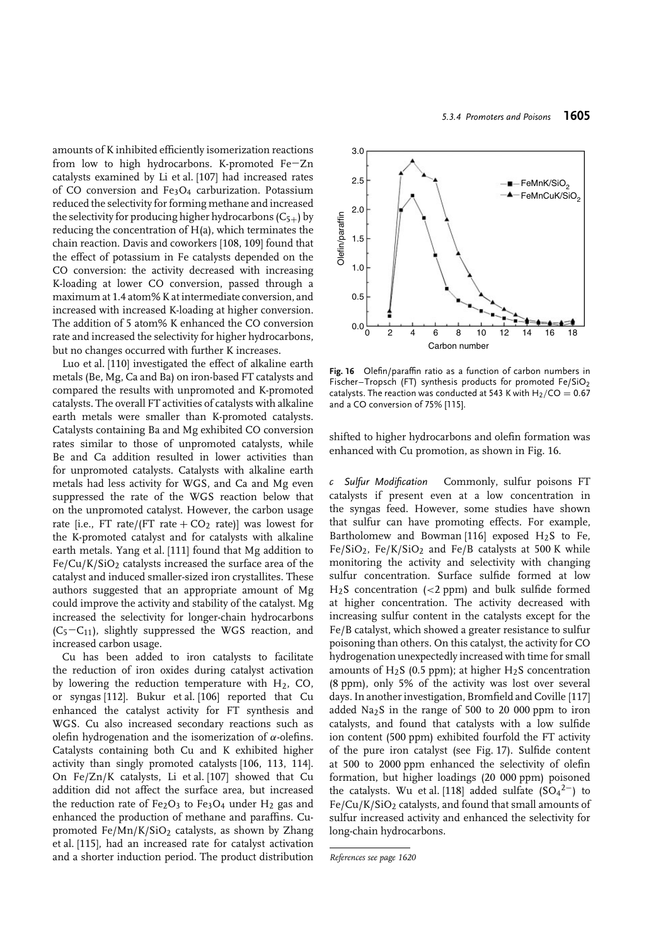amounts of K inhibited efficiently isomerization reactions from low to high hydrocarbons. K-promoted Fe−Zn catalysts examined by Li et al. [107] had increased rates of CO conversion and Fe3O4 carburization. Potassium reduced the selectivity for forming methane and increased the selectivity for producing higher hydrocarbons  $(C_{5+})$  by reducing the concentration of H(a), which terminates the chain reaction. Davis and coworkers [108, 109] found that the effect of potassium in Fe catalysts depended on the CO conversion: the activity decreased with increasing K-loading at lower CO conversion, passed through a maximum at 1.4 atom% K at intermediate conversion, and increased with increased K-loading at higher conversion. The addition of 5 atom% K enhanced the CO conversion rate and increased the selectivity for higher hydrocarbons, but no changes occurred with further K increases.

Luo et al. [110] investigated the effect of alkaline earth metals (Be, Mg, Ca and Ba) on iron-based FT catalysts and compared the results with unpromoted and K-promoted catalysts. The overall FT activities of catalysts with alkaline earth metals were smaller than K-promoted catalysts. Catalysts containing Ba and Mg exhibited CO conversion rates similar to those of unpromoted catalysts, while Be and Ca addition resulted in lower activities than for unpromoted catalysts. Catalysts with alkaline earth metals had less activity for WGS, and Ca and Mg even suppressed the rate of the WGS reaction below that on the unpromoted catalyst. However, the carbon usage rate [i.e., FT rate/(FT rate +  $CO<sub>2</sub>$  rate)] was lowest for the K-promoted catalyst and for catalysts with alkaline earth metals. Yang et al. [111] found that Mg addition to  $Fe/Cu/K/SiO<sub>2</sub>$  catalysts increased the surface area of the catalyst and induced smaller-sized iron crystallites. These authors suggested that an appropriate amount of Mg could improve the activity and stability of the catalyst. Mg increased the selectivity for longer-chain hydrocarbons  $(C_5-C_{11})$ , slightly suppressed the WGS reaction, and increased carbon usage.

Cu has been added to iron catalysts to facilitate the reduction of iron oxides during catalyst activation by lowering the reduction temperature with  $H<sub>2</sub>$ , CO, or syngas [112]. Bukur et al. [106] reported that Cu enhanced the catalyst activity for FT synthesis and WGS. Cu also increased secondary reactions such as olefin hydrogenation and the isomerization of *α*-olefins. Catalysts containing both Cu and K exhibited higher activity than singly promoted catalysts [106, 113, 114]. On Fe/Zn/K catalysts, Li et al. [107] showed that Cu addition did not affect the surface area, but increased the reduction rate of  $Fe<sub>2</sub>O<sub>3</sub>$  to  $Fe<sub>3</sub>O<sub>4</sub>$  under  $H<sub>2</sub>$  gas and enhanced the production of methane and paraffins. Cupromoted  $Fe/Mn/K/SiO<sub>2</sub>$  catalysts, as shown by Zhang et al. [115], had an increased rate for catalyst activation and a shorter induction period. The product distribution



**Fig. 16** Olefin/paraffin ratio as a function of carbon numbers in Fischer–Tropsch (FT) synthesis products for promoted Fe/SiO<sub>2</sub> catalysts. The reaction was conducted at 543 K with  $H_2/CO = 0.67$ and a CO conversion of 75% [115].

shifted to higher hydrocarbons and olefin formation was enhanced with Cu promotion, as shown in Fig. 16.

*c Sulfur Modification* Commonly, sulfur poisons FT catalysts if present even at a low concentration in the syngas feed. However, some studies have shown that sulfur can have promoting effects. For example, Bartholomew and Bowman [116] exposed  $H_2S$  to Fe,  $Fe/SiO<sub>2</sub>$ ,  $Fe/K/SiO<sub>2</sub>$  and  $Fe/B$  catalysts at 500 K while monitoring the activity and selectivity with changing sulfur concentration. Surface sulfide formed at low H2S concentration (*<*2 ppm) and bulk sulfide formed at higher concentration. The activity decreased with increasing sulfur content in the catalysts except for the Fe/B catalyst, which showed a greater resistance to sulfur poisoning than others. On this catalyst, the activity for CO hydrogenation unexpectedly increased with time for small amounts of  $H_2S$  (0.5 ppm); at higher  $H_2S$  concentration (8 ppm), only 5% of the activity was lost over several days. In another investigation, Bromfield and Coville [117] added  $Na<sub>2</sub>S$  in the range of 500 to 20 000 ppm to iron catalysts, and found that catalysts with a low sulfide ion content (500 ppm) exhibited fourfold the FT activity of the pure iron catalyst (see Fig. 17). Sulfide content at 500 to 2000 ppm enhanced the selectivity of olefin formation, but higher loadings (20 000 ppm) poisoned the catalysts. Wu et al. [118] added sulfate  $(SO_4^2$ <sup>2</sup> to  $Fe/Cu/K/SiO<sub>2</sub>$  catalysts, and found that small amounts of sulfur increased activity and enhanced the selectivity for long-chain hydrocarbons.

*References see page 1620*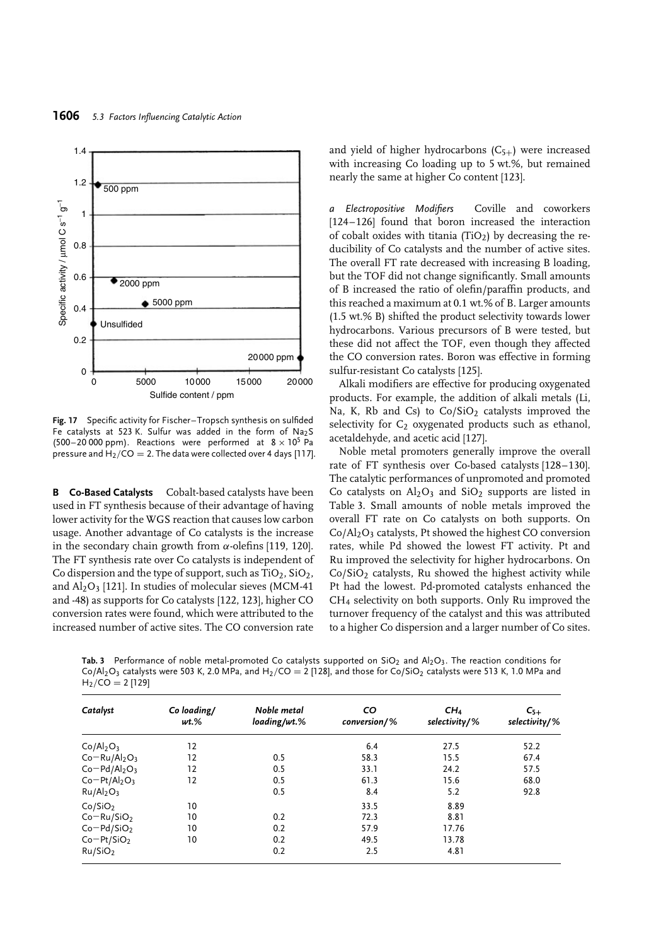

**Fig. 17** Specific activity for Fischer–Tropsch synthesis on sulfided Fe catalysts at 523 K. Sulfur was added in the form of Na2S (500–20 000 ppm). Reactions were performed at  $8 \times 10^5$  Pa pressure and  $H_2/CO = 2$ . The data were collected over 4 days [117].

**B Co-Based Catalysts** Cobalt-based catalysts have been used in FT synthesis because of their advantage of having lower activity for the WGS reaction that causes low carbon usage. Another advantage of Co catalysts is the increase in the secondary chain growth from *α*-olefins [119, 120]. The FT synthesis rate over Co catalysts is independent of Co dispersion and the type of support, such as  $TiO<sub>2</sub>$ ,  $SiO<sub>2</sub>$ , and  $Al_2O_3$  [121]. In studies of molecular sieves (MCM-41) and -48) as supports for Co catalysts [122, 123], higher CO conversion rates were found, which were attributed to the increased number of active sites. The CO conversion rate

and yield of higher hydrocarbons  $(C_{5+})$  were increased with increasing Co loading up to 5 wt.%, but remained nearly the same at higher Co content [123].

*a Electropositive Modifiers* Coville and coworkers [124–126] found that boron increased the interaction of cobalt oxides with titania (TiO<sub>2</sub>) by decreasing the reducibility of Co catalysts and the number of active sites. The overall FT rate decreased with increasing B loading, but the TOF did not change significantly. Small amounts of B increased the ratio of olefin/paraffin products, and this reached a maximum at 0.1 wt.% of B. Larger amounts (1.5 wt.% B) shifted the product selectivity towards lower hydrocarbons. Various precursors of B were tested, but these did not affect the TOF, even though they affected the CO conversion rates. Boron was effective in forming sulfur-resistant Co catalysts [125].

Alkali modifiers are effective for producing oxygenated products. For example, the addition of alkali metals (Li, Na, K, Rb and Cs) to  $Co/SiO<sub>2</sub>$  catalysts improved the selectivity for  $C_2$  oxygenated products such as ethanol, acetaldehyde, and acetic acid [127].

Noble metal promoters generally improve the overall rate of FT synthesis over Co-based catalysts [128–130]. The catalytic performances of unpromoted and promoted Co catalysts on  $Al_2O_3$  and  $SiO_2$  supports are listed in Table 3. Small amounts of noble metals improved the overall FT rate on Co catalysts on both supports. On  $Co/Al<sub>2</sub>O<sub>3</sub>$  catalysts, Pt showed the highest CO conversion rates, while Pd showed the lowest FT activity. Pt and Ru improved the selectivity for higher hydrocarbons. On  $Co/SiO<sub>2</sub>$  catalysts, Ru showed the highest activity while Pt had the lowest. Pd-promoted catalysts enhanced the CH4 selectivity on both supports. Only Ru improved the turnover frequency of the catalyst and this was attributed to a higher Co dispersion and a larger number of Co sites.

Tab. 3 Performance of noble metal-promoted Co catalysts supported on SiO<sub>2</sub> and Al<sub>2</sub>O<sub>3</sub>. The reaction conditions for  $Co/Al_2O_3$  catalysts were 503 K, 2.0 MPa, and H<sub>2</sub>/CO = 2 [128], and those for Co/SiO<sub>2</sub> catalysts were 513 K, 1.0 MPa and  $H_2$ /CO = 2 [129]

| Catalyst                          | Co loading/<br>$wt$ % | Noble metal<br>loading/wt.% | CO<br>$conversion/$ % | CH <sub>4</sub><br>selectivity/% | $C_{5+}$<br>selectivity/% |
|-----------------------------------|-----------------------|-----------------------------|-----------------------|----------------------------------|---------------------------|
|                                   |                       |                             |                       |                                  |                           |
| Co/Al <sub>2</sub> O <sub>3</sub> | 12                    |                             | 6.4                   | 27.5                             | 52.2                      |
| $Co-Ru/Al2O3$                     | 12                    | 0.5                         | 58.3                  | 15.5                             | 67.4                      |
| $Co-Pd/Al2O3$                     | 12                    | 0.5                         | 33.1                  | 24.2                             | 57.5                      |
| $Co-Pt/Al2O3$                     | 12                    | 0.5                         | 61.3                  | 15.6                             | 68.0                      |
| Ru/Al <sub>2</sub> O <sub>3</sub> |                       | 0.5                         | 8.4                   | 5.2                              | 92.8                      |
| Co/SiO <sub>2</sub>               | 10                    |                             | 33.5                  | 8.89                             |                           |
| $Co-Ru/SiO2$                      | 10                    | 0.2                         | 72.3                  | 8.81                             |                           |
| $Co-Pd/SiO2$                      | 10                    | 0.2                         | 57.9                  | 17.76                            |                           |
| $Co-Pt/SiO2$                      | 10                    | 0.2                         | 49.5                  | 13.78                            |                           |
| Ru/SiO <sub>2</sub>               |                       | 0.2                         | 2.5                   | 4.81                             |                           |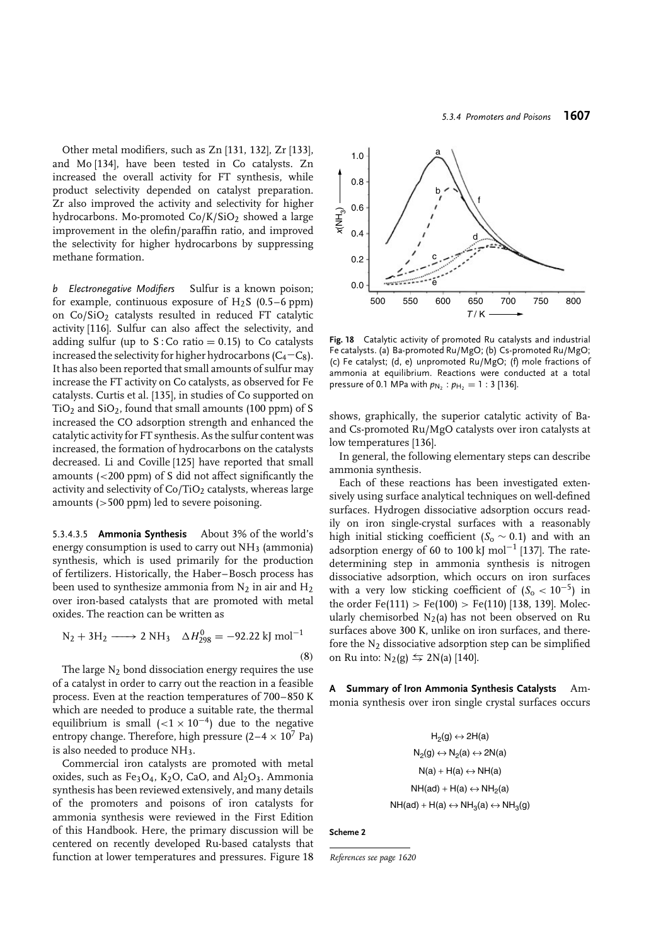Other metal modifiers, such as Zn [131, 132], Zr [133], and Mo [134], have been tested in Co catalysts. Zn increased the overall activity for FT synthesis, while product selectivity depended on catalyst preparation. Zr also improved the activity and selectivity for higher hydrocarbons. Mo-promoted  $Co/K/SiO<sub>2</sub>$  showed a large improvement in the olefin/paraffin ratio, and improved the selectivity for higher hydrocarbons by suppressing methane formation.

*b Electronegative Modifiers* Sulfur is a known poison; for example, continuous exposure of  $H_2S$  (0.5–6 ppm) on  $Co/SiO<sub>2</sub>$  catalysts resulted in reduced FT catalytic activity [116]. Sulfur can also affect the selectivity, and adding sulfur (up to  $S:Co$  ratio = 0.15) to Co catalysts increased the selectivity for higher hydrocarbons ( $C_4-C_8$ ). It has also been reported that small amounts of sulfur may increase the FT activity on Co catalysts, as observed for Fe catalysts. Curtis et al. [135], in studies of Co supported on  $TiO<sub>2</sub>$  and  $SiO<sub>2</sub>$ , found that small amounts (100 ppm) of S increased the CO adsorption strength and enhanced the catalytic activity for FT synthesis. As the sulfur content was increased, the formation of hydrocarbons on the catalysts decreased. Li and Coville [125] have reported that small amounts (*<*200 ppm) of S did not affect significantly the activity and selectivity of  $Co/TiO<sub>2</sub>$  catalysts, whereas large amounts (*>*500 ppm) led to severe poisoning.

5.3.4.3.5 **Ammonia Synthesis** About 3% of the world's energy consumption is used to carry out  $NH<sub>3</sub>$  (ammonia) synthesis, which is used primarily for the production of fertilizers. Historically, the Haber–Bosch process has been used to synthesize ammonia from  $N_2$  in air and  $H_2$ over iron-based catalysts that are promoted with metal oxides. The reaction can be written as

$$
N_2 + 3H_2 \longrightarrow 2 NH_3 \quad \Delta H_{298}^0 = -92.22 \text{ kJ mol}^{-1}
$$
\n(8)

The large  $N_2$  bond dissociation energy requires the use of a catalyst in order to carry out the reaction in a feasible process. Even at the reaction temperatures of 700–850 K which are needed to produce a suitable rate, the thermal equilibrium is small  $(<1 \times 10^{-4})$  due to the negative entropy change. Therefore, high pressure  $(2-4 \times 10^7 \text{ Pa})$ is also needed to produce  $NH_3$ .

Commercial iron catalysts are promoted with metal oxides, such as  $Fe<sub>3</sub>O<sub>4</sub>$ , K<sub>2</sub>O, CaO, and Al<sub>2</sub>O<sub>3</sub>. Ammonia synthesis has been reviewed extensively, and many details of the promoters and poisons of iron catalysts for ammonia synthesis were reviewed in the First Edition of this Handbook. Here, the primary discussion will be centered on recently developed Ru-based catalysts that function at lower temperatures and pressures. Figure 18



**Fig. 18** Catalytic activity of promoted Ru catalysts and industrial Fe catalysts. (a) Ba-promoted Ru/MgO; (b) Cs-promoted Ru/MgO; (c) Fe catalyst; (d, e) unpromoted Ru/MgO; (f) mole fractions of ammonia at equilibrium. Reactions were conducted at a total pressure of 0.1 MPa with  $p_{N_2}$ :  $p_{H_2} = 1$ : 3 [136].

shows, graphically, the superior catalytic activity of Baand Cs-promoted Ru/MgO catalysts over iron catalysts at low temperatures [136].

In general, the following elementary steps can describe ammonia synthesis.

Each of these reactions has been investigated extensively using surface analytical techniques on well-defined surfaces. Hydrogen dissociative adsorption occurs readily on iron single-crystal surfaces with a reasonably high initial sticking coefficient ( $S_0 \sim 0.1$ ) and with an adsorption energy of 60 to 100 kJ mol<sup>-1</sup> [137]. The ratedetermining step in ammonia synthesis is nitrogen dissociative adsorption, which occurs on iron surfaces with a very low sticking coefficient of  $(S_0 < 10^{-5})$  in the order Fe(111) *>* Fe(100) *>* Fe(110) [138, 139]. Molecularly chemisorbed  $N_2(a)$  has not been observed on Ru surfaces above 300 K, unlike on iron surfaces, and therefore the  $N_2$  dissociative adsorption step can be simplified on Ru into:  $N_2(g) \le 2N(a)$  [140].

**A Summary of Iron Ammonia Synthesis Catalysts** Ammonia synthesis over iron single crystal surfaces occurs

> $H_2(g) \leftrightarrow 2H(a)$  $N_2(g) \leftrightarrow N_2(a) \leftrightarrow 2N(a)$  $N(a) + H(a) \leftrightarrow NH(a)$  $NH(ad) + H(a) \leftrightarrow NH<sub>2</sub>(a)$  $NH(ad) + H(a) \leftrightarrow NH_3(a) \leftrightarrow NH_3(g)$

**Scheme 2**

*References see page 1620*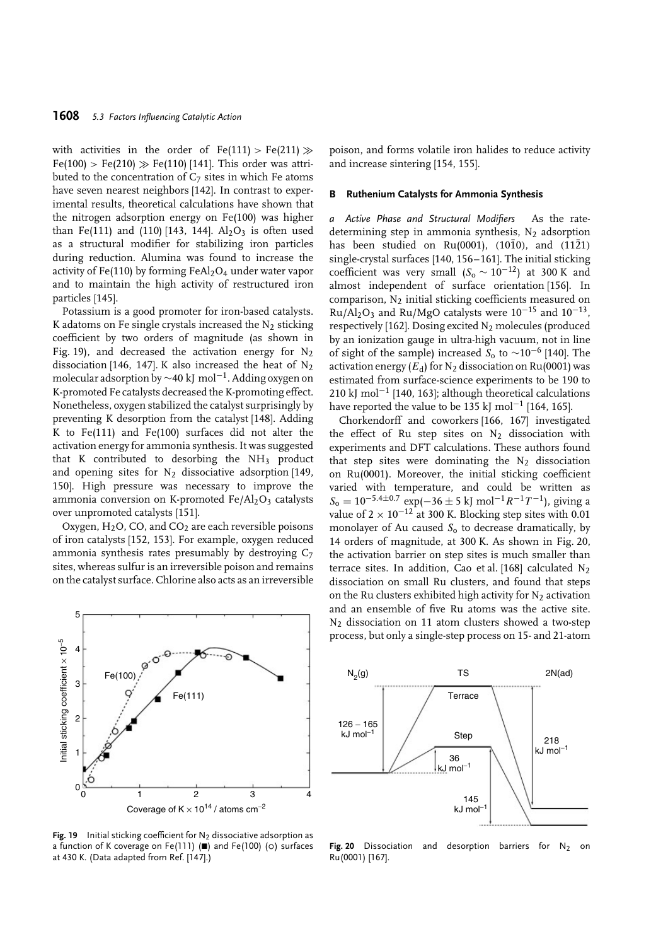with activities in the order of  $Fe(111) > Fe(211) \gg$  $Fe(100) > Fe(210) \gg Fe(110)$  [141]. This order was attributed to the concentration of  $C_7$  sites in which Fe atoms have seven nearest neighbors [142]. In contrast to experimental results, theoretical calculations have shown that the nitrogen adsorption energy on Fe(100) was higher than Fe(111) and (110) [143, 144].  $Al_2O_3$  is often used as a structural modifier for stabilizing iron particles during reduction. Alumina was found to increase the activity of Fe(110) by forming FeAl<sub>2</sub>O<sub>4</sub> under water vapor and to maintain the high activity of restructured iron particles [145].

Potassium is a good promoter for iron-based catalysts. K adatoms on Fe single crystals increased the  $N_2$  sticking coefficient by two orders of magnitude (as shown in Fig. 19), and decreased the activation energy for  $N_2$ dissociation [146, 147]. K also increased the heat of  $N_2$ molecular adsorption by ∼40 kJ mol<sup>−</sup>1. Adding oxygen on K-promoted Fe catalysts decreased the K-promoting effect. Nonetheless, oxygen stabilized the catalyst surprisingly by preventing K desorption from the catalyst [148]. Adding K to Fe(111) and Fe(100) surfaces did not alter the activation energy for ammonia synthesis. It was suggested that K contributed to desorbing the NH3 product and opening sites for  $N_2$  dissociative adsorption [149, 150]. High pressure was necessary to improve the ammonia conversion on K-promoted  $Fe/Al_2O_3$  catalysts over unpromoted catalysts [151].

Oxygen,  $H_2O$ , CO, and CO<sub>2</sub> are each reversible poisons of iron catalysts [152, 153]. For example, oxygen reduced ammonia synthesis rates presumably by destroying C7 sites, whereas sulfur is an irreversible poison and remains on the catalyst surface. Chlorine also acts as an irreversible

5 nitial sticking coefficient  $\times$  10<sup>-5</sup> Initial sticking coefficient × 10−5 4 Fe(100) 3 Fe(111) 2 1  $0 \frac{8}{0}$   $1 \frac{1}{2}$ 3 4 Coverage of K  $\times$  10<sup>14</sup> / atoms cm<sup>-2</sup>

**Fig. 19** Initial sticking coefficient for  $N_2$  dissociative adsorption as a function of K coverage on Fe(111) ( $\blacksquare$ ) and Fe(100) ( $\circ$ ) surfaces at 430 K. (Data adapted from Ref. [147].)

poison, and forms volatile iron halides to reduce activity and increase sintering [154, 155].

#### **B Ruthenium Catalysts for Ammonia Synthesis**

*a Active Phase and Structural Modifiers* As the ratedetermining step in ammonia synthesis,  $N_2$  adsorption has been studied on Ru(0001), (1010), and (1121) single-crystal surfaces [140, 156–161]. The initial sticking coefficient was very small  $(S_0 \sim 10^{-12})$  at 300 K and almost independent of surface orientation [156]. In comparison,  $N_2$  initial sticking coefficients measured on Ru/Al<sub>2</sub>O<sub>3</sub> and Ru/MgO catalysts were  $10^{-15}$  and  $10^{-13}$ , respectively [162]. Dosing excited  $N_2$  molecules (produced by an ionization gauge in ultra-high vacuum, not in line of sight of the sample) increased  $S_0$  to ~10<sup>-6</sup> [140]. The activation energy  $(E_d)$  for  $N_2$  dissociation on Ru(0001) was estimated from surface-science experiments to be 190 to 210 kJ mol<sup>-1</sup> [140, 163]; although theoretical calculations have reported the value to be 135 kJ mol<sup>-1</sup> [164, 165].

Chorkendorff and coworkers [166, 167] investigated the effect of Ru step sites on N2 dissociation with experiments and DFT calculations. These authors found that step sites were dominating the  $N_2$  dissociation on Ru(0001). Moreover, the initial sticking coefficient varied with temperature, and could be written as  $S_0 = 10^{-5.4 \pm 0.7}$  exp(−36 ± 5 kJ mol<sup>-1</sup>*R*<sup>-1</sup>*T*<sup>-1</sup>), giving a value of  $2 \times 10^{-12}$  at 300 K. Blocking step sites with 0.01 monolayer of Au caused *S*<sup>o</sup> to decrease dramatically, by 14 orders of magnitude, at 300 K. As shown in Fig. 20, the activation barrier on step sites is much smaller than terrace sites. In addition, Cao et al. [168] calculated  $N_2$ dissociation on small Ru clusters, and found that steps on the Ru clusters exhibited high activity for  $N_2$  activation and an ensemble of five Ru atoms was the active site. N2 dissociation on 11 atom clusters showed a two-step process, but only a single-step process on 15- and 21-atom



**Fig. 20** Dissociation and desorption barriers for N<sub>2</sub> on Ru(0001) [167].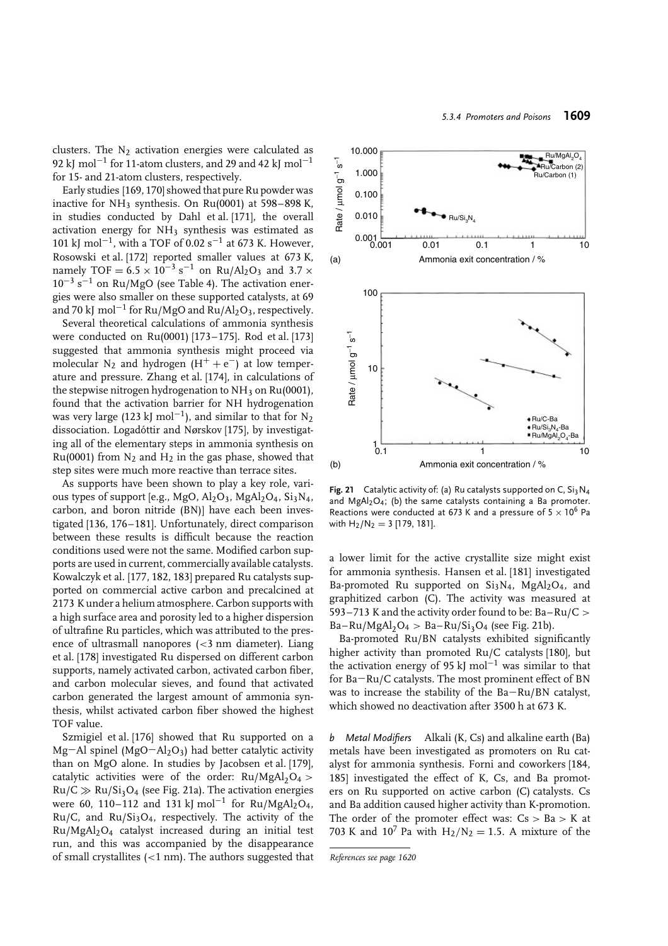clusters. The  $N_2$  activation energies were calculated as 92 kJ mol<sup>-1</sup> for 11-atom clusters, and 29 and 42 kJ mol<sup>-1</sup> for 15- and 21-atom clusters, respectively.

Early studies [169, 170] showed that pure Ru powder was inactive for  $NH_3$  synthesis. On Ru(0001) at 598–898 K, in studies conducted by Dahl et al. [171], the overall activation energy for NH<sub>3</sub> synthesis was estimated as 101 kJ mol<sup>-1</sup>, with a TOF of 0.02 s<sup>-1</sup> at 673 K. However, Rosowski et al. [172] reported smaller values at 673 K, namely TOF =  $6.5 \times 10^{-3}$  s<sup>-1</sup> on Ru/Al<sub>2</sub>O<sub>3</sub> and 3.7 ×  $10^{-3}$  s<sup>-1</sup> on Ru/MgO (see Table 4). The activation energies were also smaller on these supported catalysts, at 69 and 70 kJ mol<sup>-1</sup> for Ru/MgO and Ru/Al<sub>2</sub>O<sub>3</sub>, respectively.

Several theoretical calculations of ammonia synthesis were conducted on Ru(0001) [173–175]. Rod et al. [173] suggested that ammonia synthesis might proceed via molecular N<sub>2</sub> and hydrogen (H<sup>+</sup> + e<sup>-</sup>) at low temperature and pressure. Zhang et al. [174], in calculations of the stepwise nitrogen hydrogenation to  $NH_3$  on Ru(0001), found that the activation barrier for NH hydrogenation was very large (123 kJ mol<sup>-1</sup>), and similar to that for N<sub>2</sub> dissociation. Logadóttir and Nørskov [175], by investigating all of the elementary steps in ammonia synthesis on Ru(0001) from  $N_2$  and  $H_2$  in the gas phase, showed that step sites were much more reactive than terrace sites.

As supports have been shown to play a key role, various types of support [e.g., MgO, Al<sub>2</sub>O<sub>3</sub>, MgAl<sub>2</sub>O<sub>4</sub>, Si<sub>3</sub>N<sub>4</sub>, carbon, and boron nitride (BN)] have each been investigated [136, 176–181]. Unfortunately, direct comparison between these results is difficult because the reaction conditions used were not the same. Modified carbon supports are used in current, commercially available catalysts. Kowalczyk et al. [177, 182, 183] prepared Ru catalysts supported on commercial active carbon and precalcined at 2173 K under a helium atmosphere. Carbon supports with a high surface area and porosity led to a higher dispersion of ultrafine Ru particles, which was attributed to the presence of ultrasmall nanopores (*<*3 nm diameter). Liang et al. [178] investigated Ru dispersed on different carbon supports, namely activated carbon, activated carbon fiber, and carbon molecular sieves, and found that activated carbon generated the largest amount of ammonia synthesis, whilst activated carbon fiber showed the highest TOF value.

Szmigiel et al. [176] showed that Ru supported on a Mg−Al spinel (MgO−Al2O3) had better catalytic activity than on MgO alone. In studies by Jacobsen et al. [179], catalytic activities were of the order:  $Ru/MgAl<sub>2</sub>O<sub>4</sub>$  >  $Ru/C \gg Ru/Si<sub>3</sub>O<sub>4</sub>$  (see Fig. 21a). The activation energies were 60, 110–112 and 131 kJ mol<sup>-1</sup> for Ru/MgAl<sub>2</sub>O<sub>4</sub>, Ru/C, and Ru/Si3O4, respectively. The activity of the Ru/MgAl2O4 catalyst increased during an initial test run, and this was accompanied by the disappearance of small crystallites (*<*1 nm). The authors suggested that



**Fig. 21** Catalytic activity of: (a) Ru catalysts supported on C, Si<sub>3</sub>N<sub>4</sub> and MgAl<sub>2</sub>O<sub>4</sub>; (b) the same catalysts containing a Ba promoter. Reactions were conducted at 673 K and a pressure of  $5 \times 10^6$  Pa with  $H_2/N_2 = 3$  [179, 181].

a lower limit for the active crystallite size might exist for ammonia synthesis. Hansen et al. [181] investigated Ba-promoted Ru supported on Si3N<sub>4</sub>, MgAl<sub>2</sub>O<sub>4</sub>, and graphitized carbon (C). The activity was measured at 593–713 K and the activity order found to be: Ba–Ru/C *>* Ba–Ru/MgAl<sub>2</sub>O<sub>4</sub> > Ba–Ru/Si<sub>3</sub>O<sub>4</sub> (see Fig. 21b).

Ba-promoted Ru/BN catalysts exhibited significantly higher activity than promoted Ru/C catalysts [180], but the activation energy of 95 kJ mol<sup>-1</sup> was similar to that for Ba−Ru/C catalysts. The most prominent effect of BN was to increase the stability of the Ba−Ru/BN catalyst, which showed no deactivation after 3500 h at 673 K.

*b Metal Modifiers* Alkali (K, Cs) and alkaline earth (Ba) metals have been investigated as promoters on Ru catalyst for ammonia synthesis. Forni and coworkers [184, 185] investigated the effect of K, Cs, and Ba promoters on Ru supported on active carbon (C) catalysts. Cs and Ba addition caused higher activity than K-promotion. The order of the promoter effect was: Cs *>* Ba *>* K at 703 K and  $10^7$  Pa with  $H_2/N_2 = 1.5$ . A mixture of the

*References see page 1620*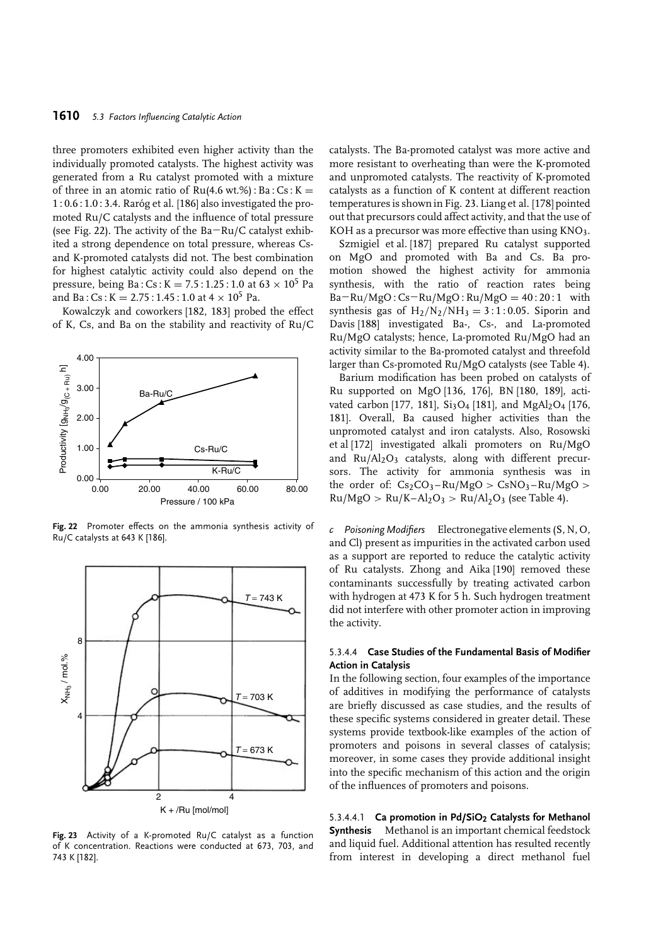three promoters exhibited even higher activity than the individually promoted catalysts. The highest activity was generated from a Ru catalyst promoted with a mixture of three in an atomic ratio of  $Ru(4.6 wt.%) : Ba : Cs : K =$  $1:0.6:1.0:3.4$ . Raróg et al. [186] also investigated the promoted Ru/C catalysts and the influence of total pressure (see Fig. 22). The activity of the Ba−Ru/C catalyst exhibited a strong dependence on total pressure, whereas Csand K-promoted catalysts did not. The best combination for highest catalytic activity could also depend on the pressure, being Ba:  $Cs: K = 7.5: 1.25: 1.0$  at  $63 \times 10^5$  Pa and Ba :  $Cs$  :  $K = 2.75$  : 1.45 : 1.0 at  $4 \times 10^5$  Pa.

Kowalczyk and coworkers [182, 183] probed the effect of K, Cs, and Ba on the stability and reactivity of Ru/C



**Fig. 22** Promoter effects on the ammonia synthesis activity of Ru/C catalysts at 643 K [186].



**Fig. 23** Activity of a K-promoted Ru/C catalyst as a function of K concentration. Reactions were conducted at 673, 703, and 743 K [182].

catalysts. The Ba-promoted catalyst was more active and more resistant to overheating than were the K-promoted and unpromoted catalysts. The reactivity of K-promoted catalysts as a function of K content at different reaction temperatures is shown in Fig. 23. Liang et al. [178] pointed out that precursors could affect activity, and that the use of KOH as a precursor was more effective than using  $KNO_3$ .

Szmigiel et al. [187] prepared Ru catalyst supported on MgO and promoted with Ba and Cs. Ba promotion showed the highest activity for ammonia synthesis, with the ratio of reaction rates being Ba−Ru*/*MgO : Cs−Ru/MgO : Ru/MgO = 40 : 20 : 1 with synthesis gas of  $H_2/N_2/NH_3 = 3:1:0.05$ . Siporin and Davis [188] investigated Ba-, Cs-, and La-promoted Ru/MgO catalysts; hence, La-promoted Ru/MgO had an activity similar to the Ba-promoted catalyst and threefold larger than Cs-promoted Ru/MgO catalysts (see Table 4).

Barium modification has been probed on catalysts of Ru supported on MgO [136, 176], BN [180, 189], activated carbon [177, 181],  $Si<sub>3</sub>O<sub>4</sub>$  [181], and  $MgAl<sub>2</sub>O<sub>4</sub>$  [176, 181]. Overall, Ba caused higher activities than the unpromoted catalyst and iron catalysts. Also, Rosowski et al [172] investigated alkali promoters on Ru/MgO and  $Ru/Al<sub>2</sub>O<sub>3</sub>$  catalysts, along with different precursors. The activity for ammonia synthesis was in the order of:  $Cs_2CO_3-Ru/MgO > CsNO_3-Ru/MgO >$  $Ru/MgO > Ru/K-Al<sub>2</sub>O<sub>3</sub> > Ru/Al<sub>2</sub>O<sub>3</sub>$  (see Table 4).

*c Poisoning Modifiers* Electronegative elements (S, N, O, and Cl) present as impurities in the activated carbon used as a support are reported to reduce the catalytic activity of Ru catalysts. Zhong and Aika [190] removed these contaminants successfully by treating activated carbon with hydrogen at 473 K for 5 h. Such hydrogen treatment did not interfere with other promoter action in improving the activity.

## 5.3.4.4 **Case Studies of the Fundamental Basis of Modifier Action in Catalysis**

In the following section, four examples of the importance of additives in modifying the performance of catalysts are briefly discussed as case studies, and the results of these specific systems considered in greater detail. These systems provide textbook-like examples of the action of promoters and poisons in several classes of catalysis; moreover, in some cases they provide additional insight into the specific mechanism of this action and the origin of the influences of promoters and poisons.

5.3.4.4.1 **Ca promotion in Pd/SiO2 Catalysts for Methanol Synthesis** Methanol is an important chemical feedstock and liquid fuel. Additional attention has resulted recently from interest in developing a direct methanol fuel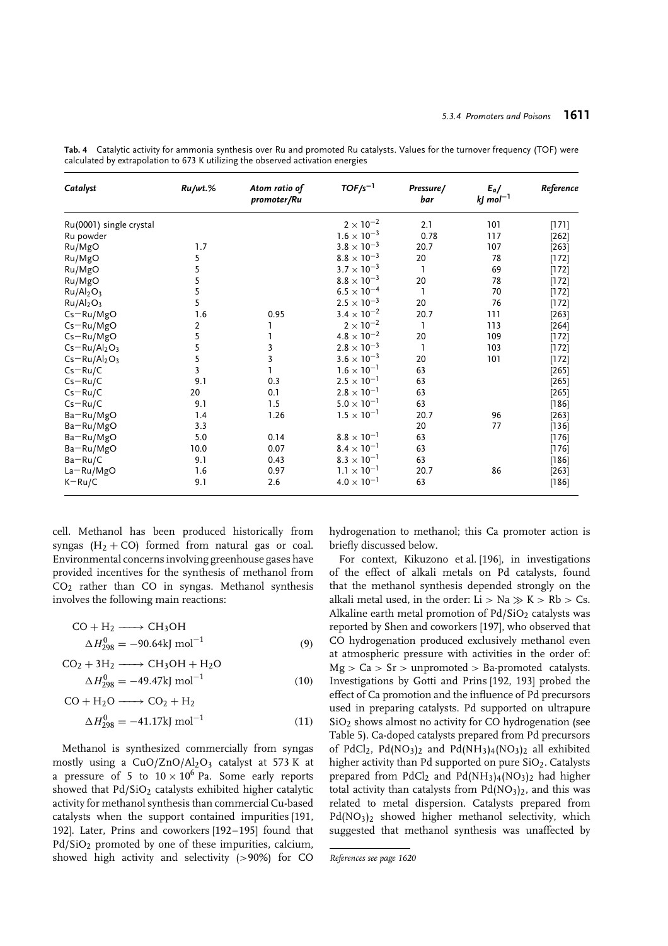| Catalyst                          | $Ru/wt.\%$     | Atom ratio of<br>promoter/Ru | $TOF/s^{-1}$         | Pressure/<br>bar | $E_a/$<br>$kj$ mol <sup>-1</sup> | Reference |
|-----------------------------------|----------------|------------------------------|----------------------|------------------|----------------------------------|-----------|
| Ru(0001) single crystal           |                |                              | $2\times10^{-2}$     | 2.1              | 101                              | [171]     |
| Ru powder                         |                |                              | $1.6 \times 10^{-3}$ | 0.78             | 117                              | $[262]$   |
| Ru/MgO                            | 1.7            |                              | $3.8 \times 10^{-3}$ | 20.7             | 107                              | $[263]$   |
| Ru/MgO                            | 5              |                              | $8.8 \times 10^{-3}$ | 20               | 78                               | $[172]$   |
| Ru/MgO                            | 5              |                              | $3.7 \times 10^{-3}$ | 1                | 69                               | $[172]$   |
| Ru/MgO                            | 5              |                              | $8.8 \times 10^{-3}$ | 20               | 78                               | $[172]$   |
| Ru/Al <sub>2</sub> O <sub>3</sub> | 5              |                              | $6.5 \times 10^{-4}$ | 1                | 70                               | $[172]$   |
| Ru/Al <sub>2</sub> O <sub>3</sub> | 5              |                              | $2.5 \times 10^{-3}$ | 20               | 76                               | $[172]$   |
| $Cs - Ru/MgO$                     | 1.6            | 0.95                         | $3.4 \times 10^{-2}$ | 20.7             | 111                              | $[263]$   |
| $Cs - Ru/MgO$                     | 2              |                              | $2\times10^{-2}$     | 1                | 113                              | $[264]$   |
| $Cs - Ru/MgO$                     | 5              |                              | $4.8 \times 10^{-2}$ | 20               | 109                              | $[172]$   |
| $Cs - Ru/Al2O3$                   | $\overline{5}$ | 3                            | $2.8 \times 10^{-3}$ | 1                | 103                              | $[172]$   |
| $Cs - Ru/Al2O3$                   | 5              | 3                            | $3.6 \times 10^{-3}$ | 20               | 101                              | $[172]$   |
| $Cs - Ru/C$                       | 3              |                              | $1.6 \times 10^{-1}$ | 63               |                                  | $[265]$   |
| $Cs - Ru/C$                       | 9.1            | 0.3                          | $2.5 \times 10^{-1}$ | 63               |                                  | [265]     |
| $Cs - Ru/C$                       | 20             | 0.1                          | $2.8 \times 10^{-1}$ | 63               |                                  | $[265]$   |
| $Cs - Ru/C$                       | 9.1            | 1.5                          | $5.0 \times 10^{-1}$ | 63               |                                  | $[186]$   |
| Ba-Ru/MgO                         | 1.4            | 1.26                         | $1.5 \times 10^{-1}$ | 20.7             | 96                               | $[263]$   |
| Ba-Ru/MgO                         | 3.3            |                              |                      | 20               | 77                               | $[136]$   |
| Ba-Ru/MgO                         | 5.0            | 0.14                         | $8.8 \times 10^{-1}$ | 63               |                                  | $[176]$   |
| Ba-Ru/MgO                         | 10.0           | 0.07                         | $8.4 \times 10^{-1}$ | 63               |                                  | [176]     |
| $Ba-Ru/C$                         | 9.1            | 0.43                         | $8.3 \times 10^{-1}$ | 63               |                                  | $[186]$   |
| $La-Ru/MgO$                       | 1.6            | 0.97                         | $1.1 \times 10^{-1}$ | 20.7             | 86                               | $[263]$   |
| $K-Ru/C$                          | 9.1            | 2.6                          | $4.0 \times 10^{-1}$ | 63               |                                  | $[186]$   |

**Tab. 4** Catalytic activity for ammonia synthesis over Ru and promoted Ru catalysts. Values for the turnover frequency (TOF) were calculated by extrapolation to 673 K utilizing the observed activation energies

cell. Methanol has been produced historically from syngas  $(H_2 + CO)$  formed from natural gas or coal. Environmental concerns involving greenhouse gases have provided incentives for the synthesis of methanol from  $CO<sub>2</sub>$  rather than  $CO$  in syngas. Methanol synthesis involves the following main reactions:

$$
CO + H2 \longrightarrow CH3OH
$$
  
\n
$$
\Delta H2980 = -90.64 \text{kJ mol}^{-1}
$$
 (9)

$$
CO2 + 3H2 \longrightarrow CH3OH + H2O
$$
  
\n
$$
\Delta H2980 = -49.47 \text{kJ mol}^{-1}
$$
 (10)

$$
CO + H2O \longrightarrow CO2 + H2
$$
  
\n
$$
\Delta H2980 = -41.17kJ mol-1
$$
 (11)

Methanol is synthesized commercially from syngas mostly using a  $CuO/ZnO/Al<sub>2</sub>O<sub>3</sub>$  catalyst at 573 K at a pressure of 5 to  $10 \times 10^6$  Pa. Some early reports showed that  $Pd/SiO<sub>2</sub>$  catalysts exhibited higher catalytic activity for methanol synthesis than commercial Cu-based catalysts when the support contained impurities [191, 192]. Later, Prins and coworkers [192–195] found that Pd/SiO<sub>2</sub> promoted by one of these impurities, calcium, showed high activity and selectivity (*>*90%) for CO

hydrogenation to methanol; this Ca promoter action is briefly discussed below.

For context, Kikuzono et al. [196], in investigations of the effect of alkali metals on Pd catalysts, found that the methanol synthesis depended strongly on the alkali metal used, in the order:  $Li > Na \gg K > Rb > Cs$ . Alkaline earth metal promotion of  $Pd/SiO<sub>2</sub>$  catalysts was reported by Shen and coworkers [197], who observed that CO hydrogenation produced exclusively methanol even at atmospheric pressure with activities in the order of: Mg *>* Ca *>* Sr *>* unpromoted *>* Ba-promoted catalysts. Investigations by Gotti and Prins [192, 193] probed the effect of Ca promotion and the influence of Pd precursors used in preparing catalysts. Pd supported on ultrapure  $SiO<sub>2</sub>$  shows almost no activity for CO hydrogenation (see Table 5). Ca-doped catalysts prepared from Pd precursors of PdCl<sub>2</sub>, Pd(NO<sub>3</sub>)<sub>2</sub> and Pd(NH<sub>3</sub>)<sub>4</sub>(NO<sub>3</sub>)<sub>2</sub> all exhibited higher activity than Pd supported on pure  $SiO<sub>2</sub>$ . Catalysts prepared from  $PdCl<sub>2</sub>$  and  $Pd(NH<sub>3</sub>)<sub>4</sub>(NO<sub>3</sub>)<sub>2</sub>$  had higher total activity than catalysts from  $Pd(NO<sub>3</sub>)<sub>2</sub>$ , and this was related to metal dispersion. Catalysts prepared from Pd(NO<sub>3</sub>)<sub>2</sub> showed higher methanol selectivity, which suggested that methanol synthesis was unaffected by

*References see page 1620*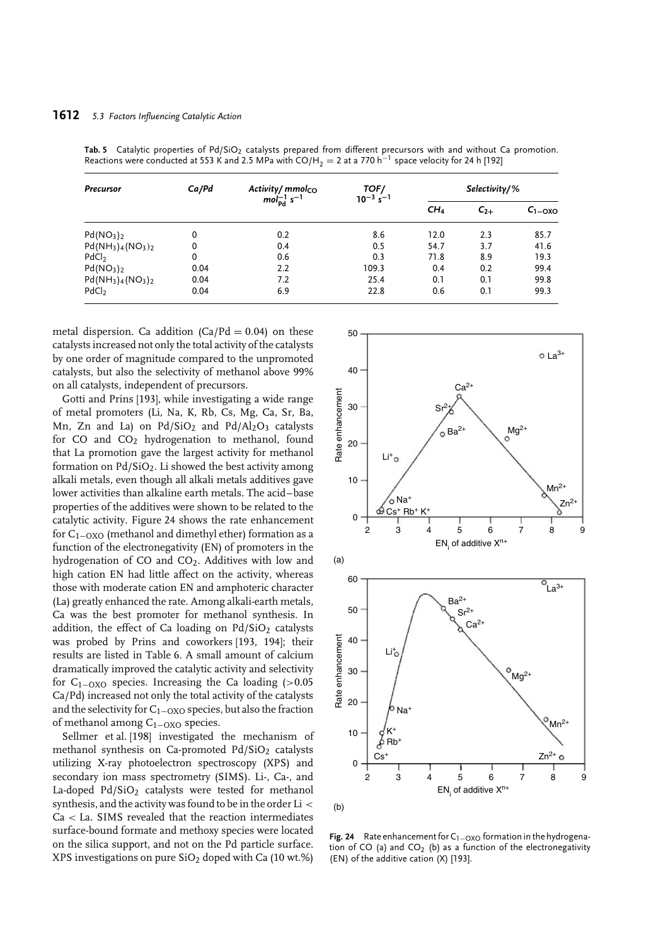### **1612** *5.3 Factors Influencing Catalytic Action*

| <b>Precursor</b>                  | Ca/Pd | Activity/mmolco                     | TOF/<br>$10^{-3}$ s <sup>-1</sup> | $Selectricity/$ % |          |             |
|-----------------------------------|-------|-------------------------------------|-----------------------------------|-------------------|----------|-------------|
|                                   |       | $mol_{\rm Pd}^{-1}$ s <sup>-1</sup> |                                   | CH <sub>4</sub>   | $C_{2+}$ | $C_{1-OXO}$ |
| Pd(NO <sub>3</sub> ) <sub>2</sub> | 0     | 0.2                                 | 8.6                               | 12.0              | 2.3      | 85.7        |
| $Pd(NH_3)_{4}(NO_3)_{2}$          | 0     | 0.4                                 | 0.5                               | 54.7              | 3.7      | 41.6        |
| PdCl <sub>2</sub>                 | 0     | 0.6                                 | 0.3                               | 71.8              | 8.9      | 19.3        |
| Pd(NO <sub>3</sub> ) <sub>2</sub> | 0.04  | 2.2                                 | 109.3                             | 0.4               | 0.2      | 99.4        |
| $Pd(NH_3)_{4}(NO_3)_{2}$          | 0.04  | 7.2                                 | 25.4                              | 0.1               | 0.1      | 99.8        |
| PdCl <sub>2</sub>                 | 0.04  | 6.9                                 | 22.8                              | 0.6               | 0.1      | 99.3        |

Tab. 5 Catalytic properties of Pd/SiO<sub>2</sub> catalysts prepared from different precursors with and without Ca promotion. Reactions were conducted at 553 K and 2.5 MPa with CO/H<sub>2</sub> = 2 at a 770 h<sup>-1</sup> space velocity for 24 h [192]

metal dispersion. Ca addition  $(Ca/Nd = 0.04)$  on these catalysts increased not only the total activity of the catalysts by one order of magnitude compared to the unpromoted catalysts, but also the selectivity of methanol above 99% on all catalysts, independent of precursors.

Gotti and Prins [193], while investigating a wide range of metal promoters (Li, Na, K, Rb, Cs, Mg, Ca, Sr, Ba, Mn, Zn and La) on  $Pd/SiO<sub>2</sub>$  and  $Pd/Al<sub>2</sub>O<sub>3</sub>$  catalysts for CO and  $CO<sub>2</sub>$  hydrogenation to methanol, found that La promotion gave the largest activity for methanol formation on  $Pd/SiO<sub>2</sub>$ . Li showed the best activity among alkali metals, even though all alkali metals additives gave lower activities than alkaline earth metals. The acid–base properties of the additives were shown to be related to the catalytic activity. Figure 24 shows the rate enhancement for C1−OXO (methanol and dimethyl ether) formation as a function of the electronegativity (EN) of promoters in the hydrogenation of  $CO$  and  $CO<sub>2</sub>$ . Additives with low and high cation EN had little affect on the activity, whereas those with moderate cation EN and amphoteric character (La) greatly enhanced the rate. Among alkali-earth metals, Ca was the best promoter for methanol synthesis. In addition, the effect of Ca loading on  $Pd/SiO<sub>2</sub>$  catalysts was probed by Prins and coworkers [193, 194]; their results are listed in Table 6. A small amount of calcium dramatically improved the catalytic activity and selectivity for C1−OXO species. Increasing the Ca loading (*>*0.05 Ca/Pd) increased not only the total activity of the catalysts and the selectivity for  $C_{1-OXO}$  species, but also the fraction of methanol among C1−OXO species.

Sellmer et al. [198] investigated the mechanism of methanol synthesis on Ca-promoted  $Pd/SiO<sub>2</sub>$  catalysts utilizing X-ray photoelectron spectroscopy (XPS) and secondary ion mass spectrometry (SIMS). Li-, Ca-, and La-doped Pd/SiO<sub>2</sub> catalysts were tested for methanol synthesis, and the activity was found to be in the order Li *<* Ca *<* La. SIMS revealed that the reaction intermediates surface-bound formate and methoxy species were located on the silica support, and not on the Pd particle surface. XPS investigations on pure  $SiO<sub>2</sub>$  doped with Ca (10 wt.%)



**Fig. 24** Rate enhancement for C<sub>1−OXO</sub> formation in the hydrogenation of CO (a) and CO<sub>2</sub> (b) as a function of the electronegativity (EN) of the additive cation (X) [193].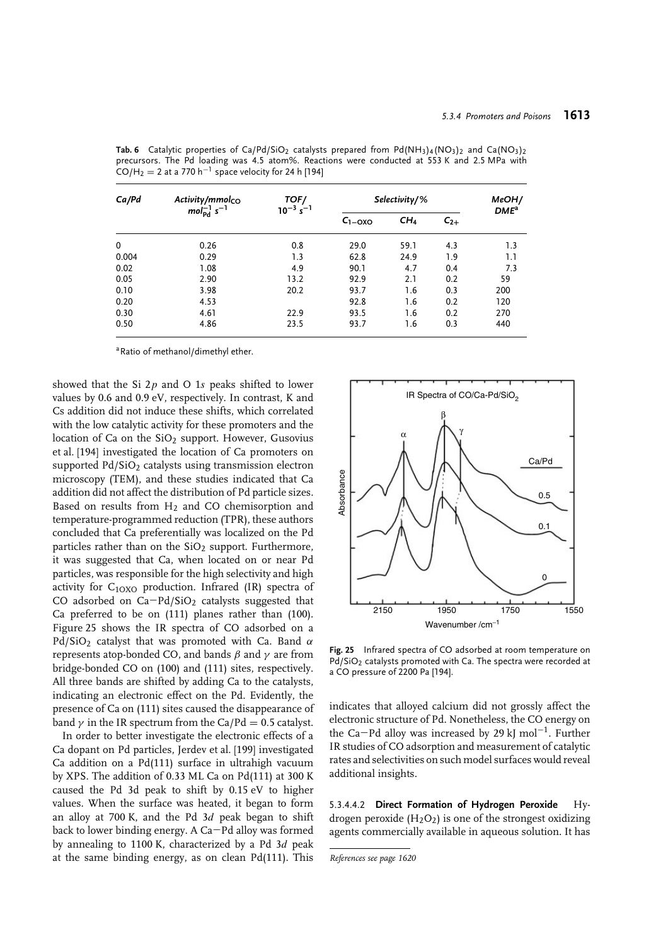| Ca/Pd | Activity/mmol <sub>CO</sub> | TOF/<br>$10^{-3} s^{-1}$ | Selectivity/% |                             |         |     |
|-------|-----------------------------|--------------------------|---------------|-----------------------------|---------|-----|
|       | $molpd-1 s-1$               |                          | $C_{1-OXO}$   | CH <sub>4</sub><br>$C_{2+}$ | $DME^a$ |     |
| 0     | 0.26                        | 0.8                      | 29.0          | 59.1                        | 4.3     | 1.3 |
| 0.004 | 0.29                        | 1.3                      | 62.8          | 24.9                        | 1.9     | 1.1 |
| 0.02  | 1.08                        | 4.9                      | 90.1          | 4.7                         | 0.4     | 7.3 |
| 0.05  | 2.90                        | 13.2                     | 92.9          | 2.1                         | 0.2     | 59  |
| 0.10  | 3.98                        | 20.2                     | 93.7          | 1.6                         | 0.3     | 200 |
| 0.20  | 4.53                        |                          | 92.8          | 1.6                         | 0.2     | 120 |
| 0.30  | 4.61                        | 22.9                     | 93.5          | 1.6                         | 0.2     | 270 |
| 0.50  | 4.86                        | 23.5                     | 93.7          | 1.6                         | 0.3     | 440 |

**Tab. 6** Catalytic properties of Ca/Pd/SiO<sub>2</sub> catalysts prepared from Pd(NH<sub>3</sub>)<sub>4</sub>(NO<sub>3</sub>)<sub>2</sub> and Ca(NO<sub>3</sub>)<sub>2</sub> precursors. The Pd loading was 4.5 atom%. Reactions were conducted at 553 K and 2.5 MPa with  $CO/H<sub>2</sub> = 2$  at a 770 h<sup>-1</sup> space velocity for 24 h [194]

a Ratio of methanol/dimethyl ether.

showed that the Si 2*p* and O 1*s* peaks shifted to lower values by 0.6 and 0.9 eV, respectively. In contrast, K and Cs addition did not induce these shifts, which correlated with the low catalytic activity for these promoters and the location of Ca on the  $SiO<sub>2</sub>$  support. However, Gusovius et al. [194] investigated the location of Ca promoters on supported Pd/SiO<sub>2</sub> catalysts using transmission electron microscopy (TEM), and these studies indicated that Ca addition did not affect the distribution of Pd particle sizes. Based on results from  $H_2$  and CO chemisorption and temperature-programmed reduction (TPR), these authors concluded that Ca preferentially was localized on the Pd particles rather than on the  $SiO<sub>2</sub>$  support. Furthermore, it was suggested that Ca, when located on or near Pd particles, was responsible for the high selectivity and high activity for  $C_{10X0}$  production. Infrared (IR) spectra of CO adsorbed on Ca−Pd/SiO2 catalysts suggested that Ca preferred to be on (111) planes rather than (100). Figure 25 shows the IR spectra of CO adsorbed on a Pd/SiO2 catalyst that was promoted with Ca. Band *α* represents atop-bonded CO, and bands *β* and *γ* are from bridge-bonded CO on (100) and (111) sites, respectively. All three bands are shifted by adding Ca to the catalysts, indicating an electronic effect on the Pd. Evidently, the presence of Ca on (111) sites caused the disappearance of band  $\gamma$  in the IR spectrum from the Ca/Pd = 0.5 catalyst.

In order to better investigate the electronic effects of a Ca dopant on Pd particles, Jerdev et al. [199] investigated Ca addition on a Pd(111) surface in ultrahigh vacuum by XPS. The addition of 0.33 ML Ca on Pd(111) at 300 K caused the Pd 3d peak to shift by 0.15 eV to higher values. When the surface was heated, it began to form an alloy at 700 K, and the Pd 3*d* peak began to shift back to lower binding energy. A Ca−Pd alloy was formed by annealing to 1100 K, characterized by a Pd 3*d* peak at the same binding energy, as on clean Pd(111). This



**Fig. 25** Infrared spectra of CO adsorbed at room temperature on Pd/SiO<sub>2</sub> catalysts promoted with Ca. The spectra were recorded at a CO pressure of 2200 Pa [194].

indicates that alloyed calcium did not grossly affect the electronic structure of Pd. Nonetheless, the CO energy on the Ca−Pd alloy was increased by 29 kJ mol<sup>−</sup>1. Further IR studies of CO adsorption and measurement of catalytic rates and selectivities on such model surfaces would reveal additional insights.

5.3.4.4.2 **Direct Formation of Hydrogen Peroxide** Hydrogen peroxide  $(H_2O_2)$  is one of the strongest oxidizing agents commercially available in aqueous solution. It has

*References see page 1620*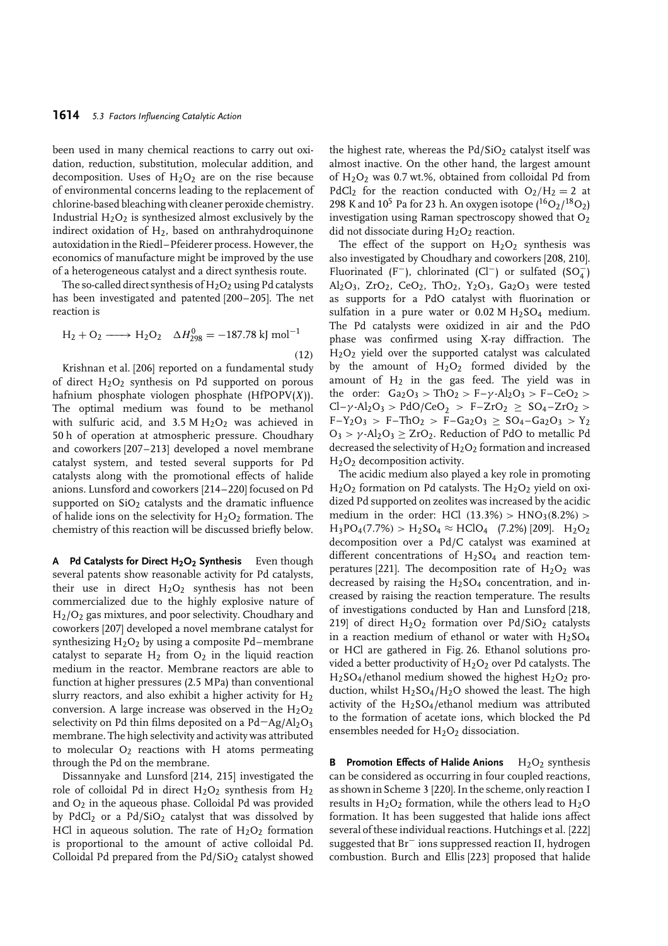been used in many chemical reactions to carry out oxidation, reduction, substitution, molecular addition, and decomposition. Uses of  $H_2O_2$  are on the rise because of environmental concerns leading to the replacement of chlorine-based bleaching with cleaner peroxide chemistry. Industrial  $H_2O_2$  is synthesized almost exclusively by the indirect oxidation of  $H_2$ , based on anthrahydroquinone autoxidation in the Riedl–Pfeiderer process. However, the economics of manufacture might be improved by the use of a heterogeneous catalyst and a direct synthesis route.

The so-called direct synthesis of  $H_2O_2$  using Pd catalysts has been investigated and patented [200–205]. The net reaction is

$$
H_2 + O_2 \longrightarrow H_2O_2 \quad \Delta H_{298}^0 = -187.78 \text{ kJ mol}^{-1}
$$
\n(12)

Krishnan et al. [206] reported on a fundamental study of direct  $H_2O_2$  synthesis on Pd supported on porous hafnium phosphate viologen phosphate (HfPOPV(*X*)). The optimal medium was found to be methanol with sulfuric acid, and  $3.5 M H<sub>2</sub>O<sub>2</sub>$  was achieved in 50 h of operation at atmospheric pressure. Choudhary and coworkers [207–213] developed a novel membrane catalyst system, and tested several supports for Pd catalysts along with the promotional effects of halide anions. Lunsford and coworkers [214–220] focused on Pd supported on SiO<sub>2</sub> catalysts and the dramatic influence of halide ions on the selectivity for  $H_2O_2$  formation. The chemistry of this reaction will be discussed briefly below.

**A Pd Catalysts for Direct H2O2 Synthesis** Even though several patents show reasonable activity for Pd catalysts, their use in direct  $H_2O_2$  synthesis has not been commercialized due to the highly explosive nature of H2/O2 gas mixtures, and poor selectivity. Choudhary and coworkers [207] developed a novel membrane catalyst for synthesizing  $H<sub>2</sub>O<sub>2</sub>$  by using a composite Pd–membrane catalyst to separate  $H_2$  from  $O_2$  in the liquid reaction medium in the reactor. Membrane reactors are able to function at higher pressures (2.5 MPa) than conventional slurry reactors, and also exhibit a higher activity for  $H_2$ conversion. A large increase was observed in the  $H_2O_2$ selectivity on Pd thin films deposited on a Pd $-Ag/Al_2O_3$ membrane. The high selectivity and activity was attributed to molecular  $O_2$  reactions with H atoms permeating through the Pd on the membrane.

Dissannyake and Lunsford [214, 215] investigated the role of colloidal Pd in direct  $H_2O_2$  synthesis from  $H_2$ and  $O_2$  in the aqueous phase. Colloidal Pd was provided by PdCl<sub>2</sub> or a Pd/SiO<sub>2</sub> catalyst that was dissolved by HCl in aqueous solution. The rate of  $H<sub>2</sub>O<sub>2</sub>$  formation is proportional to the amount of active colloidal Pd. Colloidal Pd prepared from the  $Pd/SiO<sub>2</sub>$  catalyst showed the highest rate, whereas the  $Pd/SiO<sub>2</sub>$  catalyst itself was almost inactive. On the other hand, the largest amount of  $H_2O_2$  was 0.7 wt.%, obtained from colloidal Pd from PdCl<sub>2</sub> for the reaction conducted with  $O_2/H_2 = 2$  at 298 K and  $10^5$  Pa for 23 h. An oxygen isotope  $(^{16}O_2/^{18}O_2)$ investigation using Raman spectroscopy showed that  $O<sub>2</sub>$ did not dissociate during  $H<sub>2</sub>O<sub>2</sub>$  reaction.

The effect of the support on  $H_2O_2$  synthesis was also investigated by Choudhary and coworkers [208, 210]. Fluorinated (F<sup>-</sup>), chlorinated (Cl<sup>-</sup>) or sulfated (SO<sub>4</sub>) Al<sub>2</sub>O<sub>3</sub>, ZrO<sub>2</sub>, CeO<sub>2</sub>, ThO<sub>2</sub>, Y<sub>2</sub>O<sub>3</sub>, Ga<sub>2</sub>O<sub>3</sub> were tested as supports for a PdO catalyst with fluorination or sulfation in a pure water or  $0.02$  M H<sub>2</sub>SO<sub>4</sub> medium. The Pd catalysts were oxidized in air and the PdO phase was confirmed using X-ray diffraction. The  $H<sub>2</sub>O<sub>2</sub>$  yield over the supported catalyst was calculated by the amount of  $H_2O_2$  formed divided by the amount of  $H_2$  in the gas feed. The yield was in the order:  $Ga_2O_3$  *>* ThO<sub>2</sub> *>* F– $\gamma$ -Al<sub>2</sub>O<sub>3</sub> *>* F–CeO<sub>2</sub> *>*  $Cl - \gamma \cdot Al_2O_3 > P dO/CeO_2 > F - ZrO_2 > SO_4 - ZrO_2 >$  $F-Y_2O_3 > F-ThO_2 > F-Ga_2O_3 \geq SO_4-Ga_2O_3 > Y_2$ O3 *> γ* -Al2O3 ≥ ZrO2. Reduction of PdO to metallic Pd decreased the selectivity of  $H_2O_2$  formation and increased H2O2 decomposition activity.

The acidic medium also played a key role in promoting  $H<sub>2</sub>O<sub>2</sub>$  formation on Pd catalysts. The  $H<sub>2</sub>O<sub>2</sub>$  yield on oxidized Pd supported on zeolites was increased by the acidic medium in the order: HCl *(*13*.*3%*) >* HNO3*(*8*.*2%*) >*  $H_3PO_4(7.7\%) > H_2SO_4 \approx HClO_4$  (7.2%) [209].  $H_2O_2$ decomposition over a Pd/C catalyst was examined at different concentrations of  $H_2SO_4$  and reaction temperatures [221]. The decomposition rate of  $H_2O_2$  was decreased by raising the  $H<sub>2</sub>SO<sub>4</sub>$  concentration, and increased by raising the reaction temperature. The results of investigations conducted by Han and Lunsford [218, 219] of direct  $H_2O_2$  formation over  $Pd/SiO_2$  catalysts in a reaction medium of ethanol or water with  $H<sub>2</sub>SO<sub>4</sub>$ or HCl are gathered in Fig. 26. Ethanol solutions provided a better productivity of  $H<sub>2</sub>O<sub>2</sub>$  over Pd catalysts. The  $H<sub>2</sub>SO<sub>4</sub>/ethanol$  medium showed the highest  $H<sub>2</sub>O<sub>2</sub>$  production, whilst  $H_2SO_4/H_2O$  showed the least. The high activity of the  $H<sub>2</sub>SO<sub>4</sub>/ethanol$  medium was attributed to the formation of acetate ions, which blocked the Pd ensembles needed for  $H<sub>2</sub>O<sub>2</sub>$  dissociation.

**B** Promotion Effects of Halide Anions  $H_2O_2$  synthesis can be considered as occurring in four coupled reactions, as shown in Scheme 3 [220]. In the scheme, only reaction I results in  $H_2O_2$  formation, while the others lead to  $H_2O$ formation. It has been suggested that halide ions affect several of these individual reactions. Hutchings et al. [222] suggested that Br<sup>−</sup> ions suppressed reaction II, hydrogen combustion. Burch and Ellis [223] proposed that halide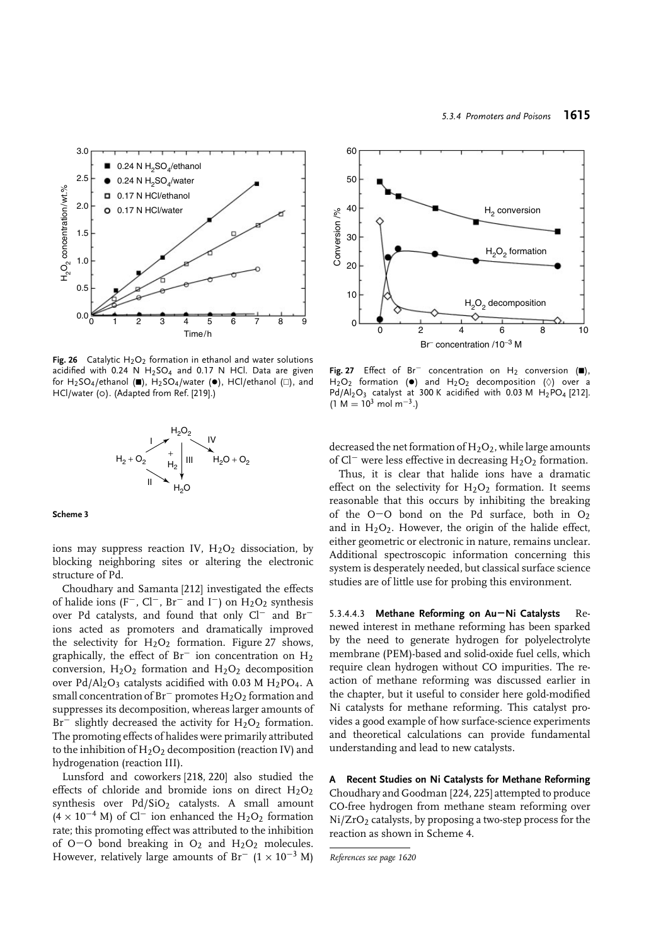

**Fig. 26** Catalytic  $H_2O_2$  formation in ethanol and water solutions acidified with 0.24 N  $H_2SO_4$  and 0.17 N HCl. Data are given for H<sub>2</sub>SO<sub>4</sub>/ethanol ( $\blacksquare$ ), H<sub>2</sub>SO<sub>4</sub>/water ( $\blacksquare$ ), HCl/ethanol ( $\square$ ), and HCl/water (o). (Adapted from Ref. [219].)



**Scheme 3**

ions may suppress reaction IV,  $H_2O_2$  dissociation, by blocking neighboring sites or altering the electronic structure of Pd.

Choudhary and Samanta [212] investigated the effects of halide ions (F<sup>−</sup>, Cl<sup>−</sup>, Br<sup>−</sup> and I<sup>−</sup>) on H<sub>2</sub>O<sub>2</sub> synthesis over Pd catalysts, and found that only Cl<sup>−</sup> and Br<sup>−</sup> ions acted as promoters and dramatically improved the selectivity for  $H<sub>2</sub>O<sub>2</sub>$  formation. Figure 27 shows, graphically, the effect of Br<sup>−</sup> ion concentration on H<sub>2</sub> conversion,  $H_2O_2$  formation and  $H_2O_2$  decomposition over  $Pd/Al_2O_3$  catalysts acidified with 0.03 M H<sub>2</sub>PO<sub>4</sub>. A small concentration of Br<sup>−</sup> promotes  $H_2O_2$  formation and suppresses its decomposition, whereas larger amounts of  $Br^-$  slightly decreased the activity for  $H_2O_2$  formation. The promoting effects of halides were primarily attributed to the inhibition of  $H_2O_2$  decomposition (reaction IV) and hydrogenation (reaction III).

Lunsford and coworkers [218, 220] also studied the effects of chloride and bromide ions on direct  $H_2O_2$ synthesis over  $Pd/SiO<sub>2</sub>$  catalysts. A small amount  $(4 \times 10^{-4}$  M) of Cl<sup>-</sup> ion enhanced the H<sub>2</sub>O<sub>2</sub> formation rate; this promoting effect was attributed to the inhibition of O−O bond breaking in O2 and H2O2 molecules. However, relatively large amounts of Br<sup>-</sup>  $(1 \times 10^{-3}$  M)



Fig. 27 Effect of Br<sup>−</sup> concentration on H<sub>2</sub> conversion (■),  $H_2O_2$  formation ( $\bullet$ ) and  $H_2O_2$  decomposition ( $\Diamond$ ) over a  $Pd/Al_2O_3$  catalyst at 300 K acidified with 0.03 M H<sub>2</sub>PO<sub>4</sub> [212].  $(1 M = 10^3 \text{ mol m}^{-3})$ 

decreased the net formation of  $H<sub>2</sub>O<sub>2</sub>$ , while large amounts of Cl<sup>−</sup> were less effective in decreasing H<sub>2</sub>O<sub>2</sub> formation.

Thus, it is clear that halide ions have a dramatic effect on the selectivity for  $H_2O_2$  formation. It seems reasonable that this occurs by inhibiting the breaking of the O−O bond on the Pd surface, both in O2 and in  $H_2O_2$ . However, the origin of the halide effect, either geometric or electronic in nature, remains unclear. Additional spectroscopic information concerning this system is desperately needed, but classical surface science studies are of little use for probing this environment.

5.3.4.4.3 **Methane Reforming on Au−Ni Catalysts** Renewed interest in methane reforming has been sparked by the need to generate hydrogen for polyelectrolyte membrane (PEM)-based and solid-oxide fuel cells, which require clean hydrogen without CO impurities. The reaction of methane reforming was discussed earlier in the chapter, but it useful to consider here gold-modified Ni catalysts for methane reforming. This catalyst provides a good example of how surface-science experiments and theoretical calculations can provide fundamental understanding and lead to new catalysts.

**A Recent Studies on Ni Catalysts for Methane Reforming** Choudhary and Goodman [224, 225] attempted to produce CO-free hydrogen from methane steam reforming over  $Ni/ZrO<sub>2</sub>$  catalysts, by proposing a two-step process for the reaction as shown in Scheme 4.

*References see page 1620*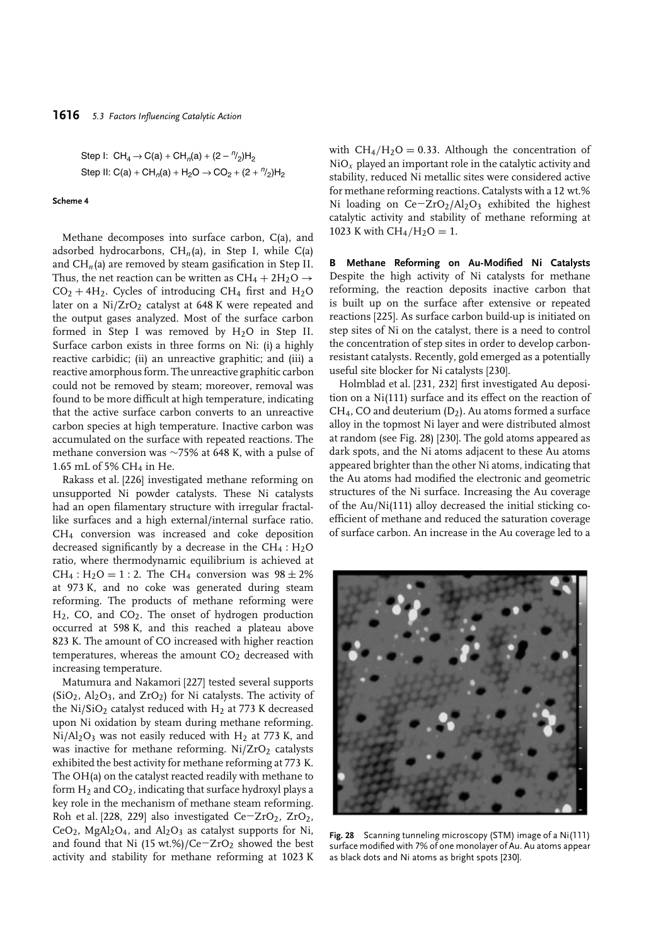Step I:  $CH_4 \rightarrow C(a) + CH_n(a) + (2 - \frac{n}{2})H_2$ Step II: C(a) + CH<sub>n</sub>(a) + H<sub>2</sub>O  $\rightarrow$  CO<sub>2</sub> + (2 +  $\frac{n}{2}$ )H<sub>2</sub>

#### **Scheme 4**

Methane decomposes into surface carbon, C(a), and adsorbed hydrocarbons,  $CH<sub>n</sub>(a)$ , in Step I, while C(a) and  $CH<sub>n</sub>(a)$  are removed by steam gasification in Step II. Thus, the net reaction can be written as  $CH_4 + 2H_2O \rightarrow$  $CO<sub>2</sub> + 4H<sub>2</sub>$ . Cycles of introducing CH<sub>4</sub> first and H<sub>2</sub>O later on a  $Ni/ZrO<sub>2</sub>$  catalyst at 648 K were repeated and the output gases analyzed. Most of the surface carbon formed in Step I was removed by  $H_2O$  in Step II. Surface carbon exists in three forms on Ni: (i) a highly reactive carbidic; (ii) an unreactive graphitic; and (iii) a reactive amorphous form. The unreactive graphitic carbon could not be removed by steam; moreover, removal was found to be more difficult at high temperature, indicating that the active surface carbon converts to an unreactive carbon species at high temperature. Inactive carbon was accumulated on the surface with repeated reactions. The methane conversion was ∼75% at 648 K, with a pulse of 1.65 mL of 5% CH4 in He.

Rakass et al. [226] investigated methane reforming on unsupported Ni powder catalysts. These Ni catalysts had an open filamentary structure with irregular fractallike surfaces and a high external/internal surface ratio. CH4 conversion was increased and coke deposition decreased significantly by a decrease in the  $CH_4$ :  $H_2O$ ratio, where thermodynamic equilibrium is achieved at  $CH_4: H_2O = 1:2$ . The CH<sub>4</sub> conversion was  $98 \pm 2\%$ at 973 K, and no coke was generated during steam reforming. The products of methane reforming were  $H<sub>2</sub>$ , CO, and CO<sub>2</sub>. The onset of hydrogen production occurred at 598 K, and this reached a plateau above 823 K. The amount of CO increased with higher reaction temperatures, whereas the amount  $CO<sub>2</sub>$  decreased with increasing temperature.

Matumura and Nakamori [227] tested several supports  $(SiO<sub>2</sub>, Al<sub>2</sub>O<sub>3</sub>, and ZrO<sub>2</sub>)$  for Ni catalysts. The activity of the Ni/SiO<sub>2</sub> catalyst reduced with H<sub>2</sub> at 773 K decreased upon Ni oxidation by steam during methane reforming.  $Ni/Al<sub>2</sub>O<sub>3</sub>$  was not easily reduced with H<sub>2</sub> at 773 K, and was inactive for methane reforming.  $Ni/ZrO<sub>2</sub>$  catalysts exhibited the best activity for methane reforming at 773 K. The OH(a) on the catalyst reacted readily with methane to form  $H_2$  and  $CO_2$ , indicating that surface hydroxyl plays a key role in the mechanism of methane steam reforming. Roh et al. [228, 229] also investigated Ce−ZrO2, ZrO2,  $CeO<sub>2</sub>$ , MgAl<sub>2</sub>O<sub>4</sub>, and Al<sub>2</sub>O<sub>3</sub> as catalyst supports for Ni, and found that Ni (15 wt.%)/Ce $-ZrO<sub>2</sub>$  showed the best activity and stability for methane reforming at 1023 K

with  $CH_4/H_2O = 0.33$ . Although the concentration of  $NiO<sub>x</sub>$  played an important role in the catalytic activity and stability, reduced Ni metallic sites were considered active for methane reforming reactions. Catalysts with a 12 wt.% Ni loading on Ce−ZrO2/Al2O3 exhibited the highest catalytic activity and stability of methane reforming at 1023 K with  $CH_4/H_2O = 1$ .

**B Methane Reforming on Au-Modified Ni Catalysts** Despite the high activity of Ni catalysts for methane reforming, the reaction deposits inactive carbon that is built up on the surface after extensive or repeated reactions [225]. As surface carbon build-up is initiated on step sites of Ni on the catalyst, there is a need to control the concentration of step sites in order to develop carbonresistant catalysts. Recently, gold emerged as a potentially useful site blocker for Ni catalysts [230].

Holmblad et al. [231, 232] first investigated Au deposition on a Ni(111) surface and its effect on the reaction of CH4, CO and deuterium (D2). Au atoms formed a surface alloy in the topmost Ni layer and were distributed almost at random (see Fig. 28) [230]. The gold atoms appeared as dark spots, and the Ni atoms adjacent to these Au atoms appeared brighter than the other Ni atoms, indicating that the Au atoms had modified the electronic and geometric structures of the Ni surface. Increasing the Au coverage of the Au/Ni(111) alloy decreased the initial sticking coefficient of methane and reduced the saturation coverage of surface carbon. An increase in the Au coverage led to a



**Fig. 28** Scanning tunneling microscopy (STM) image of a Ni(111) surface modified with 7% of one monolayer of Au. Au atoms appear as black dots and Ni atoms as bright spots [230].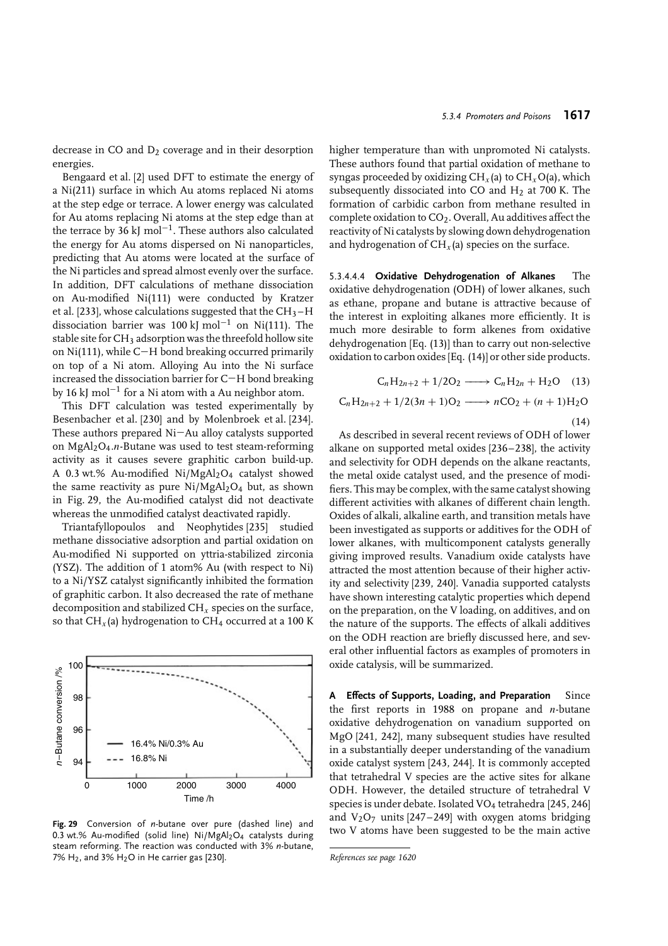decrease in CO and  $D_2$  coverage and in their desorption energies.

Bengaard et al. [2] used DFT to estimate the energy of a Ni(211) surface in which Au atoms replaced Ni atoms at the step edge or terrace. A lower energy was calculated for Au atoms replacing Ni atoms at the step edge than at the terrace by 36 kJ mol<sup>-1</sup>. These authors also calculated the energy for Au atoms dispersed on Ni nanoparticles, predicting that Au atoms were located at the surface of the Ni particles and spread almost evenly over the surface. In addition, DFT calculations of methane dissociation on Au-modified Ni(111) were conducted by Kratzer et al. [233], whose calculations suggested that the  $CH_3-H$ dissociation barrier was 100 kJ mol<sup>-1</sup> on Ni(111). The stable site for CH<sub>3</sub> adsorption was the threefold hollow site on Ni(111), while C−H bond breaking occurred primarily on top of a Ni atom. Alloying Au into the Ni surface increased the dissociation barrier for C−H bond breaking by 16 kJ mol−<sup>1</sup> for a Ni atom with a Au neighbor atom.

This DFT calculation was tested experimentally by Besenbacher et al. [230] and by Molenbroek et al. [234]. These authors prepared Ni−Au alloy catalysts supported on MgAl2O4*.n*-Butane was used to test steam-reforming activity as it causes severe graphitic carbon build-up. A 0.3 wt.% Au-modified Ni/MgAl2O4 catalyst showed the same reactivity as pure  $Ni/MgAl<sub>2</sub>O<sub>4</sub>$  but, as shown in Fig. 29, the Au-modified catalyst did not deactivate whereas the unmodified catalyst deactivated rapidly.

Triantafyllopoulos and Neophytides [235] studied methane dissociative adsorption and partial oxidation on Au-modified Ni supported on yttria-stabilized zirconia (YSZ). The addition of 1 atom% Au (with respect to Ni) to a Ni/YSZ catalyst significantly inhibited the formation of graphitic carbon. It also decreased the rate of methane decomposition and stabilized CH*x* species on the surface, so that CH<sub>x</sub>(a) hydrogenation to CH<sub>4</sub> occurred at a 100 K



**Fig. 29** Conversion of *n*-butane over pure (dashed line) and 0.3 wt.% Au-modified (solid line)  $Ni/MgAl<sub>2</sub>O<sub>4</sub>$  catalysts during steam reforming. The reaction was conducted with 3% *n*-butane, 7% H<sub>2</sub>, and 3% H<sub>2</sub>O in He carrier gas [230].

higher temperature than with unpromoted Ni catalysts. These authors found that partial oxidation of methane to syngas proceeded by oxidizing CH*x* (a) to CH*x*O(a), which subsequently dissociated into CO and  $H_2$  at 700 K. The formation of carbidic carbon from methane resulted in complete oxidation to  $CO<sub>2</sub>$ . Overall, Au additives affect the reactivity of Ni catalysts by slowing down dehydrogenation and hydrogenation of  $CH<sub>x</sub>(a)$  species on the surface.

5.3.4.4.4 **Oxidative Dehydrogenation of Alkanes** The oxidative dehydrogenation (ODH) of lower alkanes, such as ethane, propane and butane is attractive because of the interest in exploiting alkanes more efficiently. It is much more desirable to form alkenes from oxidative dehydrogenation [Eq. (13)] than to carry out non-selective oxidation to carbon oxides [Eq. (14)] or other side products.

$$
C_nH_{2n+2} + 1/2O_2 \longrightarrow C_nH_{2n} + H_2O \quad (13)
$$

$$
C_nH_{2n+2} + 1/2(3n + 1)O_2 \longrightarrow nCO_2 + (n+1)H_2O
$$
\n(14)

As described in several recent reviews of ODH of lower alkane on supported metal oxides [236–238], the activity and selectivity for ODH depends on the alkane reactants, the metal oxide catalyst used, and the presence of modifiers. This may be complex, with the same catalyst showing different activities with alkanes of different chain length. Oxides of alkali, alkaline earth, and transition metals have been investigated as supports or additives for the ODH of lower alkanes, with multicomponent catalysts generally giving improved results. Vanadium oxide catalysts have attracted the most attention because of their higher activity and selectivity [239, 240]. Vanadia supported catalysts have shown interesting catalytic properties which depend on the preparation, on the V loading, on additives, and on the nature of the supports. The effects of alkali additives on the ODH reaction are briefly discussed here, and several other influential factors as examples of promoters in oxide catalysis, will be summarized.

**A Effects of Supports, Loading, and Preparation** Since the first reports in 1988 on propane and *n*-butane oxidative dehydrogenation on vanadium supported on MgO [241, 242], many subsequent studies have resulted in a substantially deeper understanding of the vanadium oxide catalyst system [243, 244]. It is commonly accepted that tetrahedral V species are the active sites for alkane ODH. However, the detailed structure of tetrahedral V species is under debate. Isolated VO<sub>4</sub> tetrahedra [245, 246] and  $V_2O_7$  units [247–249] with oxygen atoms bridging two V atoms have been suggested to be the main active

```
References see page 1620
```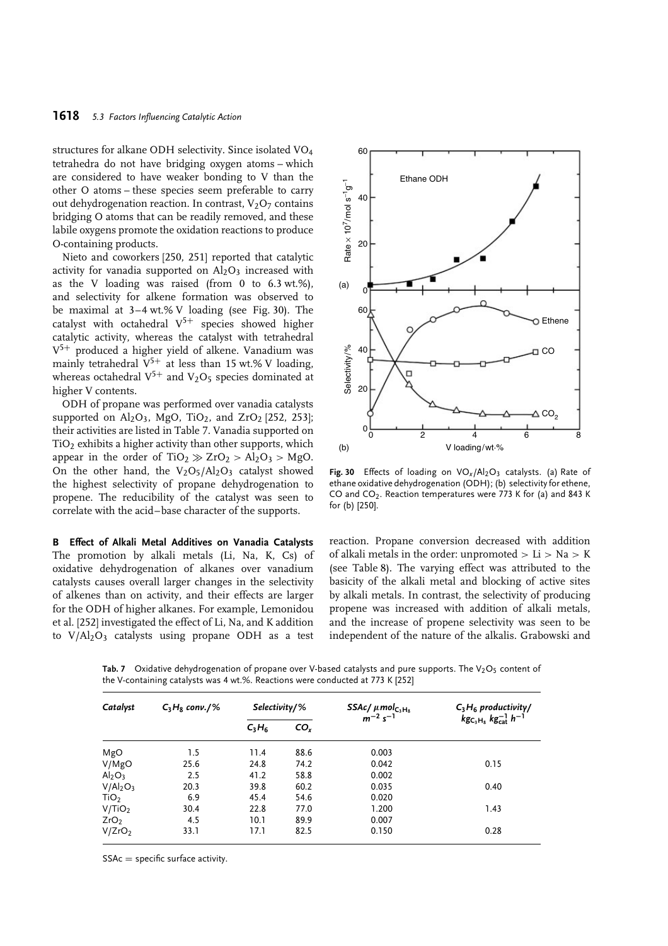structures for alkane ODH selectivity. Since isolated VO4 tetrahedra do not have bridging oxygen atoms – which are considered to have weaker bonding to V than the other O atoms – these species seem preferable to carry out dehydrogenation reaction. In contrast,  $V_2O_7$  contains bridging O atoms that can be readily removed, and these labile oxygens promote the oxidation reactions to produce O-containing products.

Nieto and coworkers [250, 251] reported that catalytic activity for vanadia supported on  $Al_2O_3$  increased with as the V loading was raised (from 0 to  $6.3$  wt.%), and selectivity for alkene formation was observed to be maximal at 3–4 wt.% V loading (see Fig. 30). The catalyst with octahedral  $V^{5+}$  species showed higher catalytic activity, whereas the catalyst with tetrahedral  $V^{5+}$  produced a higher yield of alkene. Vanadium was mainly tetrahedral  $V^{5+}$  at less than 15 wt.% V loading, whereas octahedral  $V^{5+}$  and  $V_2O_5$  species dominated at higher V contents.

ODH of propane was performed over vanadia catalysts supported on  $Al_2O_3$ , MgO, TiO<sub>2</sub>, and ZrO<sub>2</sub> [252, 253]; their activities are listed in Table 7. Vanadia supported on  $TiO<sub>2</sub>$  exhibits a higher activity than other supports, which appear in the order of  $TiO_2 \gg ZrO_2 > Al_2O_3 > MgO$ . On the other hand, the  $V_2O_5/Al_2O_3$  catalyst showed the highest selectivity of propane dehydrogenation to propene. The reducibility of the catalyst was seen to correlate with the acid–base character of the supports.

**B Effect of Alkali Metal Additives on Vanadia Catalysts** The promotion by alkali metals (Li, Na, K, Cs) of oxidative dehydrogenation of alkanes over vanadium catalysts causes overall larger changes in the selectivity of alkenes than on activity, and their effects are larger for the ODH of higher alkanes. For example, Lemonidou et al. [252] investigated the effect of Li, Na, and K addition to V/Al<sub>2</sub>O<sub>3</sub> catalysts using propane ODH as a test



Fig. 30 Effects of loading on VO<sub>x</sub>/Al<sub>2</sub>O<sub>3</sub> catalysts. (a) Rate of ethane oxidative dehydrogenation (ODH); (b) selectivity for ethene, CO and CO<sub>2</sub>. Reaction temperatures were 773 K for (a) and 843 K for (b) [250].

reaction. Propane conversion decreased with addition of alkali metals in the order: unpromoted *>* Li *>* Na *>* K (see Table 8). The varying effect was attributed to the basicity of the alkali metal and blocking of active sites by alkali metals. In contrast, the selectivity of producing propene was increased with addition of alkali metals, and the increase of propene selectivity was seen to be independent of the nature of the alkalis. Grabowski and

Tab. 7 Oxidative dehydrogenation of propane over V-based catalysts and pure supports. The V<sub>2</sub>O<sub>5</sub> content of the V-containing catalysts was 4 wt.%. Reactions were conducted at 773 K [252]

| Catalyst                         |      | $C_3H_8$ conv./% | $Selectricity/$ % |       | SSAc/ $\mu$ mol <sub>C<sub>3</sub>H<sub>8</sub><br/>m<sup>-2</sup> s<sup>-1</sup></sub> | $C_3H_6$ productivity/ |
|----------------------------------|------|------------------|-------------------|-------|-----------------------------------------------------------------------------------------|------------------------|
|                                  |      | $C_3H_6$         | CO <sub>r</sub>   |       | $kgC_3H_8}$ $kg_{cat}^{-1}$ $h^{-1}$                                                    |                        |
| MgO                              | 1.5  | 11.4             | 88.6              | 0.003 |                                                                                         |                        |
| V/MgO                            | 25.6 | 24.8             | 74.2              | 0.042 | 0.15                                                                                    |                        |
| Al <sub>2</sub> O <sub>3</sub>   | 2.5  | 41.2             | 58.8              | 0.002 |                                                                                         |                        |
| V/Al <sub>2</sub> O <sub>3</sub> | 20.3 | 39.8             | 60.2              | 0.035 | 0.40                                                                                    |                        |
| TiO <sub>2</sub>                 | 6.9  | 45.4             | 54.6              | 0.020 |                                                                                         |                        |
| V/TiO <sub>2</sub>               | 30.4 | 22.8             | 77.0              | 1.200 | 1.43                                                                                    |                        |
| ZrO <sub>2</sub>                 | 4.5  | 10.1             | 89.9              | 0.007 |                                                                                         |                        |
| V/ZrO <sub>2</sub>               | 33.1 | 17.1             | 82.5              | 0.150 | 0.28                                                                                    |                        |

 $SSAc = specific surface activity.$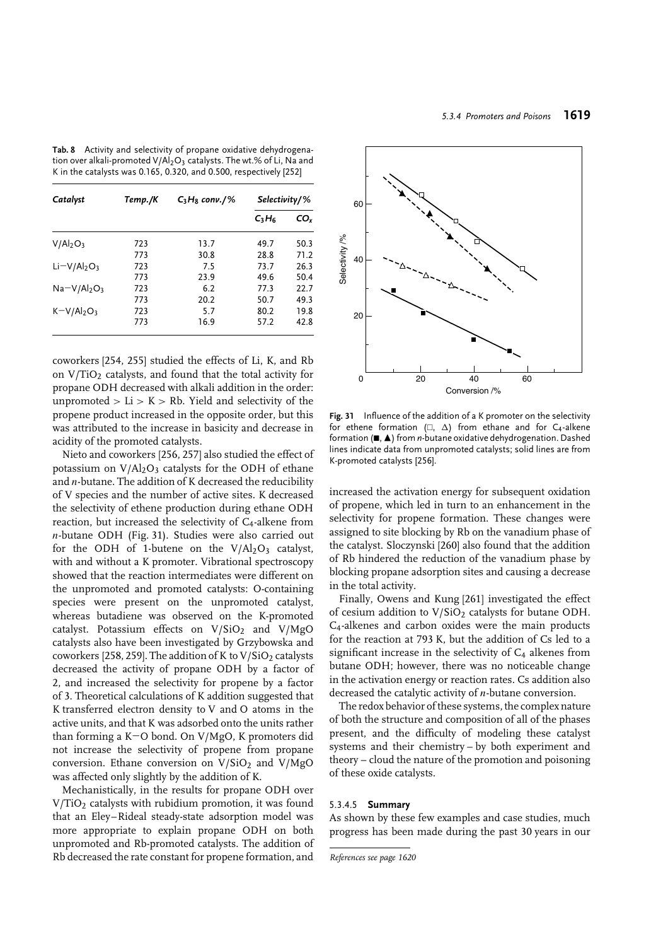**Tab. 8** Activity and selectivity of propane oxidative dehydrogenation over alkali-promoted  $V/Al_2O_3$  catalysts. The wt.% of Li, Na and K in the catalysts was 0.165, 0.320, and 0.500, respectively [252]

| Catalyst     | Temp./K | $C_3H_8$ conv./% | $Selectricity/$ % |      |
|--------------|---------|------------------|-------------------|------|
|              |         |                  | $C_3H_6$          | CO.  |
| $V/Al_2O_3$  | 723     | 13.7             | 49.7              | 50.3 |
|              | 773     | 30.8             | 28.8              | 71.2 |
| $Li-V/Al2O3$ | 723     | 7.5              | 73.7              | 26.3 |
|              | 773     | 23.9             | 49.6              | 50.4 |
| $Na-V/Al2O3$ | 723     | 6.2              | 77.3              | 22.7 |
|              | 773     | 20.2             | 50.7              | 49.3 |
| $K=V/Al2O3$  | 723     | 5.7              | 80.2              | 19.8 |
|              | 773     | 16.9             | 57.2              | 42.8 |

coworkers [254, 255] studied the effects of Li, K, and Rb on  $V/TiO<sub>2</sub>$  catalysts, and found that the total activity for propane ODH decreased with alkali addition in the order: unpromoted  $>$  Li  $>$  K  $>$  Rb. Yield and selectivity of the propene product increased in the opposite order, but this was attributed to the increase in basicity and decrease in acidity of the promoted catalysts.

Nieto and coworkers [256, 257] also studied the effect of potassium on  $V/Al_2O_3$  catalysts for the ODH of ethane and *n*-butane. The addition of K decreased the reducibility of V species and the number of active sites. K decreased the selectivity of ethene production during ethane ODH reaction, but increased the selectivity of C<sub>4</sub>-alkene from *n*-butane ODH (Fig. 31). Studies were also carried out for the ODH of 1-butene on the  $V/Al_2O_3$  catalyst, with and without a K promoter. Vibrational spectroscopy showed that the reaction intermediates were different on the unpromoted and promoted catalysts: O-containing species were present on the unpromoted catalyst, whereas butadiene was observed on the K-promoted catalyst. Potassium effects on  $V/SiO<sub>2</sub>$  and  $V/MgO$ catalysts also have been investigated by Grzybowska and coworkers [258, 259]. The addition of K to  $V/SiO<sub>2</sub>$  catalysts decreased the activity of propane ODH by a factor of 2, and increased the selectivity for propene by a factor of 3. Theoretical calculations of K addition suggested that K transferred electron density to V and O atoms in the active units, and that K was adsorbed onto the units rather than forming a K−O bond. On V/MgO, K promoters did not increase the selectivity of propene from propane conversion. Ethane conversion on  $V/SiO<sub>2</sub>$  and  $V/MgO$ was affected only slightly by the addition of K.

Mechanistically, in the results for propane ODH over V/TiO<sub>2</sub> catalysts with rubidium promotion, it was found that an Eley–Rideal steady-state adsorption model was more appropriate to explain propane ODH on both unpromoted and Rb-promoted catalysts. The addition of Rb decreased the rate constant for propene formation, and



**Fig. 31** Influence of the addition of a K promoter on the selectivity for ethene formation ( $\Box$ ,  $\Delta$ ) from ethane and for C<sub>4</sub>-alkene formation ( $\blacksquare$ ,  $\blacktriangle$ ) from *n*-butane oxidative dehydrogenation. Dashed lines indicate data from unpromoted catalysts; solid lines are from K-promoted catalysts [256].

increased the activation energy for subsequent oxidation of propene, which led in turn to an enhancement in the selectivity for propene formation. These changes were assigned to site blocking by Rb on the vanadium phase of the catalyst. Sloczynski [260] also found that the addition of Rb hindered the reduction of the vanadium phase by blocking propane adsorption sites and causing a decrease in the total activity.

Finally, Owens and Kung [261] investigated the effect of cesium addition to  $V/SiO<sub>2</sub>$  catalysts for butane ODH. C4-alkenes and carbon oxides were the main products for the reaction at 793 K, but the addition of Cs led to a significant increase in the selectivity of  $C_4$  alkenes from butane ODH; however, there was no noticeable change in the activation energy or reaction rates. Cs addition also decreased the catalytic activity of *n*-butane conversion.

The redox behavior of these systems, the complex nature of both the structure and composition of all of the phases present, and the difficulty of modeling these catalyst systems and their chemistry – by both experiment and theory – cloud the nature of the promotion and poisoning of these oxide catalysts.

### 5.3.4.5 **Summary**

As shown by these few examples and case studies, much progress has been made during the past 30 years in our

*References see page 1620*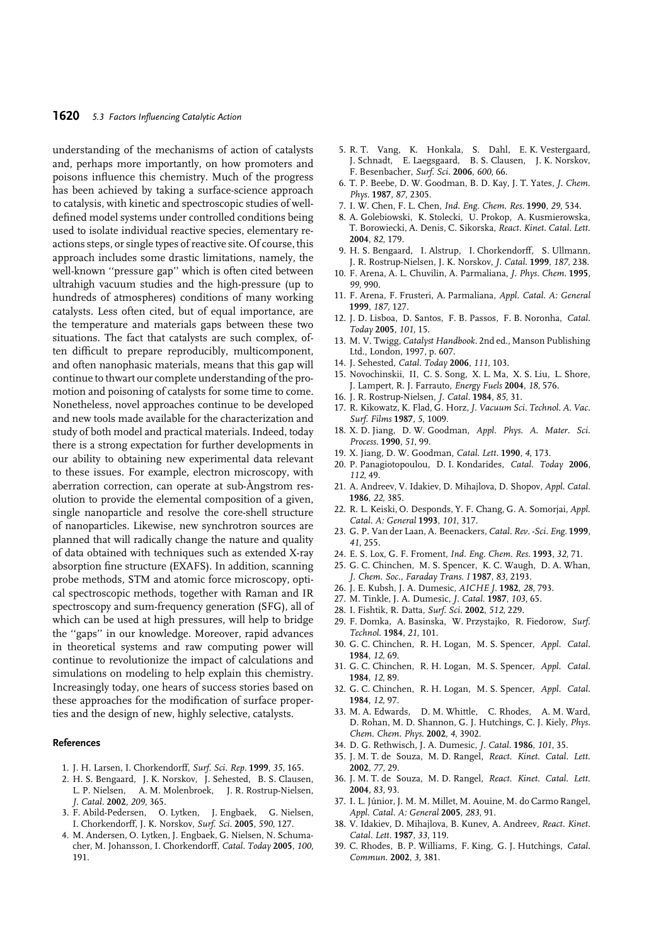understanding of the mechanisms of action of catalysts and, perhaps more importantly, on how promoters and poisons influence this chemistry. Much of the progress has been achieved by taking a surface-science approach to catalysis, with kinetic and spectroscopic studies of welldefined model systems under controlled conditions being used to isolate individual reactive species, elementary reactions steps, or single types of reactive site. Of course, this approach includes some drastic limitations, namely, the well-known ''pressure gap'' which is often cited between ultrahigh vacuum studies and the high-pressure (up to hundreds of atmospheres) conditions of many working catalysts. Less often cited, but of equal importance, are the temperature and materials gaps between these two situations. The fact that catalysts are such complex, often difficult to prepare reproducibly, multicomponent, and often nanophasic materials, means that this gap will continue to thwart our complete understanding of the promotion and poisoning of catalysts for some time to come. Nonetheless, novel approaches continue to be developed and new tools made available for the characterization and study of both model and practical materials. Indeed, today there is a strong expectation for further developments in our ability to obtaining new experimental data relevant to these issues. For example, electron microscopy, with aberration correction, can operate at sub-Angstrom resolution to provide the elemental composition of a given, single nanoparticle and resolve the core-shell structure of nanoparticles. Likewise, new synchrotron sources are planned that will radically change the nature and quality of data obtained with techniques such as extended X-ray absorption fine structure (EXAFS). In addition, scanning probe methods, STM and atomic force microscopy, optical spectroscopic methods, together with Raman and IR spectroscopy and sum-frequency generation (SFG), all of which can be used at high pressures, will help to bridge the ''gaps'' in our knowledge. Moreover, rapid advances in theoretical systems and raw computing power will continue to revolutionize the impact of calculations and simulations on modeling to help explain this chemistry. Increasingly today, one hears of success stories based on these approaches for the modification of surface properties and the design of new, highly selective, catalysts.

#### **References**

- 1. J. H. Larsen, I. Chorkendorff, *Surf. Sci. Rep.* **1999**, *35*, 165.
- 2. H. S. Bengaard, J. K. Norskov, J. Sehested, B. S. Clausen, L. P. Nielsen, A. M. Molenbroek, J. R. Rostrup-Nielsen, *J. Catal.* **2002**, *209*, 365.
- 3. F. Abild-Pedersen, O. Lytken, J. Engbaek, G. Nielsen, I. Chorkendorff, J. K. Norskov, *Surf. Sci.* **2005**, *590*, 127.
- 4. M. Andersen, O. Lytken, J. Engbaek, G. Nielsen, N. Schumacher, M. Johansson, I. Chorkendorff, *Catal. Today* **2005**, *100*, 191.
- 5. R. T. Vang, K. Honkala, S. Dahl, E. K. Vestergaard, J. Schnadt, E. Laegsgaard, B. S. Clausen, J. K. Norskov, F. Besenbacher, *Surf. Sci.* **2006**, *600*, 66.
- 6. T. P. Beebe, D. W. Goodman, B. D. Kay, J. T. Yates, *J. Chem. Phys.* **1987**, *87*, 2305.
- 7. I. W. Chen, F. L. Chen, *Ind. Eng. Chem. Res.* **1990**, *29*, 534.
- 8. A. Golebiowski, K. Stolecki, U. Prokop, A. Kusmierowska, T. Borowiecki, A. Denis, C. Sikorska, *React. Kinet. Catal. Lett.* **2004**, *82*, 179.
- 9. H. S. Bengaard, I. Alstrup, I. Chorkendorff, S. Ullmann, J. R. Rostrup-Nielsen, J. K. Norskov, *J. Catal.* **1999**, *187*, 238.
- 10. F. Arena, A. L. Chuvilin, A. Parmaliana, *J. Phys. Chem.* **1995**, *99*, 990.
- 11. F. Arena, F. Frusteri, A. Parmaliana, *Appl. Catal. A: General* **1999**, *187*, 127.
- 12. J. D. Lisboa, D. Santos, F. B. Passos, F. B. Noronha, *Catal. Today* **2005**, *101*, 15.
- 13. M. V. Twigg, *Catalyst Handbook*. 2nd ed., Manson Publishing Ltd., London, 1997, p. 607.
- 14. J. Sehested, *Catal. Today* **2006**, *111*, 103.
- 15. Novochinskii, II, C. S. Song, X. L. Ma, X. S. Liu, L. Shore, J. Lampert, R. J. Farrauto, *Energy Fuels* **2004**, *18*, 576.
- 16. J. R. Rostrup-Nielsen, *J. Catal.* **1984**, *85*, 31.
- 17. R. Kikowatz, K. Flad, G. Horz, *J. Vacuum Sci. Technol. A. Vac. Surf. Films* **1987**, *5*, 1009.
- 18. X. D. Jiang, D. W. Goodman, *Appl. Phys. A. Mater. Sci. Process.* **1990**, *51*, 99.
- 19. X. Jiang, D. W. Goodman, *Catal. Lett.* **1990**, *4*, 173.
- 20. P. Panagiotopoulou, D. I. Kondarides, *Catal. Today* **2006**, *112*, 49.
- 21. A. Andreev, V. Idakiev, D. Mihajlova, D. Shopov, *Appl. Catal.* **1986**, *22*, 385.
- 22. R. L. Keiski, O. Desponds, Y. F. Chang, G. A. Somorjai, *Appl. Catal. A: General* **1993**, *101*, 317.
- 23. G. P. Van der Laan, A. Beenackers, *Catal. Rev. -Sci. Eng.* **1999**, *41*, 255.
- 24. E. S. Lox, G. F. Froment, *Ind. Eng. Chem. Res.* **1993**, *32*, 71.
- 25. G. C. Chinchen, M. S. Spencer, K. C. Waugh, D. A. Whan, *J. Chem. Soc., Faraday Trans. I* **1987**, *83*, 2193.
- 26. J. E. Kubsh, J. A. Dumesic, *AICHE J.* **1982**, *28*, 793.
- 27. M. Tinkle, J. A. Dumesic, *J. Catal.* **1987**, *103*, 65.
- 28. I. Fishtik, R. Datta, *Surf. Sci.* **2002**, *512*, 229.
- 29. F. Domka, A. Basinska, W. Przystajko, R. Fiedorow, *Surf. Technol.* **1984**, *21*, 101.
- 30. G. C. Chinchen, R. H. Logan, M. S. Spencer, *Appl. Catal.* **1984**, *12*, 69.
- 31. G. C. Chinchen, R. H. Logan, M. S. Spencer, *Appl. Catal.* **1984**, *12*, 89.
- 32. G. C. Chinchen, R. H. Logan, M. S. Spencer, *Appl. Catal.* **1984**, *12*, 97.
- 33. M. A. Edwards, D. M. Whittle, C. Rhodes, A. M. Ward, D. Rohan, M. D. Shannon, G. J. Hutchings, C. J. Kiely, *Phys. Chem. Chem. Phys.* **2002**, *4*, 3902.
- 34. D. G. Rethwisch, J. A. Dumesic, *J. Catal.* **1986**, *101*, 35.
- 35. J. M. T. de Souza, M. D. Rangel, *React. Kinet. Catal. Lett.* **2002**, *77*, 29.
- 36. J. M. T. de Souza, M. D. Rangel, *React. Kinet. Catal. Lett.* **2004**, *83*, 93.
- 37. I. L. Júnior, J. M. M. Millet, M. Aouine, M. do Carmo Rangel, *Appl. Catal. A: General* **2005**, *283*, 91.
- 38. V. Idakiev, D. Mihajlova, B. Kunev, A. Andreev, *React. Kinet. Catal. Lett.* **1987**, *33*, 119.
- 39. C. Rhodes, B. P. Williams, F. King, G. J. Hutchings, *Catal. Commun.* **2002**, *3*, 381.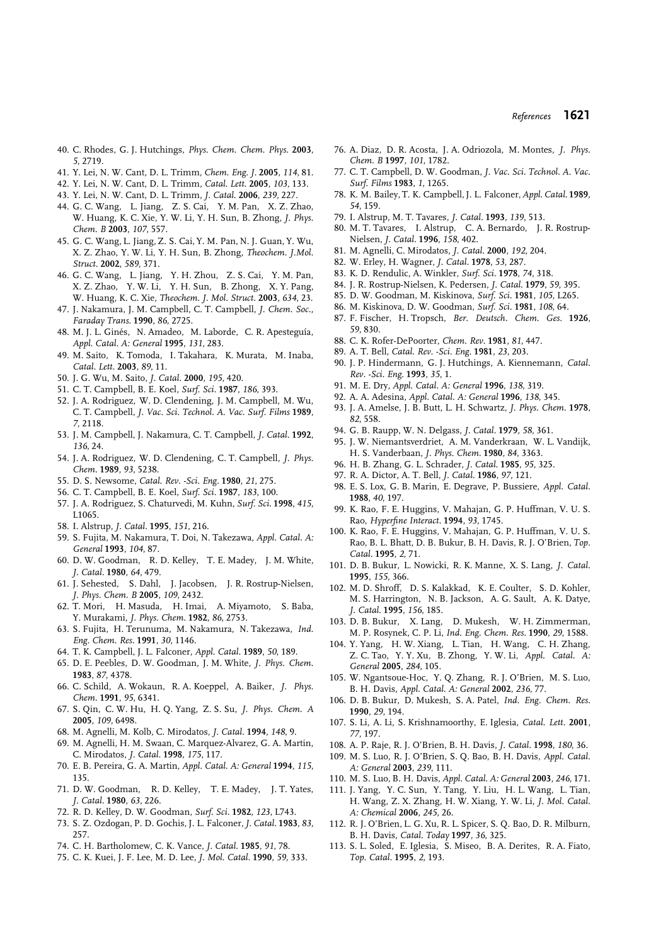- 40. C. Rhodes, G. J. Hutchings, *Phys. Chem. Chem. Phys.* **2003**, *5*, 2719.
- 41. Y. Lei, N. W. Cant, D. L. Trimm, *Chem. Eng. J.* **2005**, *114*, 81.
- 42. Y. Lei, N. W. Cant, D. L. Trimm, *Catal. Lett.* **2005**, *103*, 133.
- 43. Y. Lei, N. W. Cant, D. L. Trimm, *J. Catal.* **2006**, *239*, 227.
- 44. G. C. Wang, L. Jiang, Z. S. Cai, Y. M. Pan, X. Z. Zhao, W. Huang, K. C. Xie, Y. W. Li, Y. H. Sun, B. Zhong, *J. Phys. Chem. B* **2003**, *107*, 557.
- 45. G. C. Wang, L. Jiang, Z. S. Cai, Y. M. Pan, N. J. Guan, Y. Wu, X. Z. Zhao, Y. W. Li, Y. H. Sun, B. Zhong, *Theochem. J.Mol. Struct.* **2002**, *589*, 371.
- 46. G. C. Wang, L. Jiang, Y. H. Zhou, Z. S. Cai, Y. M. Pan, X. Z. Zhao, Y. W. Li, Y. H. Sun, B. Zhong, X. Y. Pang, W. Huang, K. C. Xie, *Theochem. J. Mol. Struct.* **2003**, *634*, 23.
- 47. J. Nakamura, J. M. Campbell, C. T. Campbell, *J. Chem. Soc., Faraday Trans.* **1990**, *86*, 2725.
- 48. M. J. L. Ginés, N. Amadeo, M. Laborde, C. R. Apesteguía, *Appl. Catal. A: General* **1995**, *131*, 283.
- 49. M. Saito, K. Tomoda, I. Takahara, K. Murata, M. Inaba, *Catal. Lett.* **2003**, *89*, 11.
- 50. J. G. Wu, M. Saito, *J. Catal.* **2000**, *195*, 420.
- 51. C. T. Campbell, B. E. Koel, *Surf. Sci.* **1987**, *186*, 393.
- 52. J. A. Rodriguez, W. D. Clendening, J. M. Campbell, M. Wu, C. T. Campbell, *J. Vac. Sci. Technol. A. Vac. Surf. Films* **1989**, *7*, 2118.
- 53. J. M. Campbell, J. Nakamura, C. T. Campbell, *J. Catal.* **1992**, *136*, 24.
- 54. J. A. Rodriguez, W. D. Clendening, C. T. Campbell, *J. Phys. Chem.* **1989**, *93*, 5238.
- 55. D. S. Newsome, *Catal. Rev. -Sci. Eng.* **1980**, *21*, 275.
- 56. C. T. Campbell, B. E. Koel, *Surf. Sci.* **1987**, *183*, 100.
- 57. J. A. Rodriguez, S. Chaturvedi, M. Kuhn, *Surf. Sci.* **1998**, *415*, L1065.
- 58. I. Alstrup, *J. Catal.* **1995**, *151*, 216.
- 59. S. Fujita, M. Nakamura, T. Doi, N. Takezawa, *Appl. Catal. A: General* **1993**, *104*, 87.
- 60. D. W. Goodman, R. D. Kelley, T. E. Madey, J. M. White, *J. Catal.* **1980**, *64*, 479.
- 61. J. Sehested, S. Dahl, J. Jacobsen, J. R. Rostrup-Nielsen, *J. Phys. Chem. B* **2005**, *109*, 2432.
- 62. T. Mori, H. Masuda, H. Imai, A. Miyamoto, S. Baba, Y. Murakami, *J. Phys. Chem.* **1982**, *86*, 2753.
- 63. S. Fujita, H. Terunuma, M. Nakamura, N. Takezawa, *Ind. Eng. Chem. Res.* **1991**, *30*, 1146.
- 64. T. K. Campbell, J. L. Falconer, *Appl. Catal.* **1989**, *50*, 189.
- 65. D. E. Peebles, D. W. Goodman, J. M. White, *J. Phys. Chem.* **1983**, *87*, 4378.
- 66. C. Schild, A. Wokaun, R. A. Koeppel, A. Baiker, *J. Phys. Chem.* **1991**, *95*, 6341.
- 67. S. Qin, C. W. Hu, H. Q. Yang, Z. S. Su, *J. Phys. Chem. A* **2005**, *109*, 6498.
- 68. M. Agnelli, M. Kolb, C. Mirodatos, *J. Catal.* **1994**, *148*, 9.
- 69. M. Agnelli, H. M. Swaan, C. Marquez-Alvarez, G. A. Martin, C. Mirodatos, *J. Catal.* **1998**, *175*, 117.
- 70. E. B. Pereira, G. A. Martin, *Appl. Catal. A: General* **1994**, *115*, 135.
- 71. D. W. Goodman, R. D. Kelley, T. E. Madey, J. T. Yates, *J. Catal.* **1980**, *63*, 226.
- 72. R. D. Kelley, D. W. Goodman, *Surf. Sci.* **1982**, *123*, L743.
- 73. S. Z. Ozdogan, P. D. Gochis, J. L. Falconer, *J. Catal.* **1983**, *83*, 257.
- 74. C. H. Bartholomew, C. K. Vance, *J. Catal.* **1985**, *91*, 78.
- 75. C. K. Kuei, J. F. Lee, M. D. Lee, *J. Mol. Catal.* **1990**, *59*, 333.
- 76. A. Diaz, D. R. Acosta, J. A. Odriozola, M. Montes, *J. Phys. Chem. B* **1997**, *101*, 1782.
- 77. C. T. Campbell, D. W. Goodman, *J. Vac. Sci. Technol. A. Vac. Surf. Films* **1983**, *1*, 1265.
- 78. K. M. Bailey, T. K. Campbell, J. L. Falconer,*Appl. Catal.* **1989**, *54*, 159.
- 79. I. Alstrup, M. T. Tavares, *J. Catal.* **1993**, *139*, 513.
- 80. M. T. Tavares, I. Alstrup, C. A. Bernardo, J. R. Rostrup-Nielsen, *J. Catal.* **1996**, *158*, 402.
- 81. M. Agnelli, C. Mirodatos, *J. Catal.* **2000**, *192*, 204.
- 82. W. Erley, H. Wagner, *J. Catal.* **1978**, *53*, 287.
- 83. K. D. Rendulic, A. Winkler, *Surf. Sci.* **1978**, *74*, 318.
- 84. J. R. Rostrup-Nielsen, K. Pedersen, *J. Catal.* **1979**, *59*, 395.
- 85. D. W. Goodman, M. Kiskinova, *Surf. Sci.* **1981**, *105*, L265.
- 86. M. Kiskinova, D. W. Goodman, *Surf. Sci.* **1981**, *108*, 64.
- 87. F. Fischer, H. Tropsch, *Ber. Deutsch. Chem. Ges.* **1926**, *59*, 830.
- 88. C. K. Rofer-DePoorter, *Chem. Rev.* **1981**, *81*, 447.
- 89. A. T. Bell, *Catal. Rev. -Sci. Eng.* **1981**, *23*, 203.
- 90. J. P. Hindermann, G. J. Hutchings, A. Kiennemann, *Catal. Rev. -Sci. Eng.* **1993**, *35*, 1.
- 91. M. E. Dry, *Appl. Catal. A: General* **1996**, *138*, 319.
- 92. A. A. Adesina, *Appl. Catal. A: General* **1996**, *138*, 345.
- 93. J. A. Amelse, J. B. Butt, L. H. Schwartz, *J. Phys. Chem.* **1978**, *82*, 558.
- 94. G. B. Raupp, W. N. Delgass, *J. Catal.* **1979**, *58*, 361.
- 95. J. W. Niemantsverdriet, A. M. Vanderkraan, W. L. Vandijk, H. S. Vanderbaan, *J. Phys. Chem.* **1980**, *84*, 3363.
- 96. H. B. Zhang, G. L. Schrader, *J. Catal.* **1985**, *95*, 325.
- 97. R. A. Dictor, A. T. Bell, *J. Catal.* **1986**, *97*, 121.
- 98. E. S. Lox, G. B. Marin, E. Degrave, P. Bussiere, *Appl. Catal.* **1988**, *40*, 197.
- 99. K. Rao, F. E. Huggins, V. Mahajan, G. P. Huffman, V. U. S. Rao, *Hyperfine Interact.* **1994**, *93*, 1745.
- 100. K. Rao, F. E. Huggins, V. Mahajan, G. P. Huffman, V. U. S. Rao, B. L. Bhatt, D. B. Bukur, B. H. Davis, R. J. O'Brien, *Top. Catal.* **1995**, *2*, 71.
- 101. D. B. Bukur, L. Nowicki, R. K. Manne, X. S. Lang, *J. Catal.* **1995**, *155*, 366.
- 102. M. D. Shroff, D. S. Kalakkad, K. E. Coulter, S. D. Kohler, M. S. Harrington, N. B. Jackson, A. G. Sault, A. K. Datye, *J. Catal.* **1995**, *156*, 185.
- 103. D. B. Bukur, X. Lang, D. Mukesh, W. H. Zimmerman, M. P. Rosynek, C. P. Li, *Ind. Eng. Chem. Res.* **1990**, *29*, 1588.
- 104. Y. Yang, H. W. Xiang, L. Tian, H. Wang, C. H. Zhang, Z. C. Tao, Y. Y. Xu, B. Zhong, Y. W. Li, *Appl. Catal. A: General* **2005**, *284*, 105.
- 105. W. Ngantsoue-Hoc, Y. Q. Zhang, R. J. O'Brien, M. S. Luo, B. H. Davis, *Appl. Catal. A: General* **2002**, *236*, 77.
- 106. D. B. Bukur, D. Mukesh, S. A. Patel, *Ind. Eng. Chem. Res.* **1990**, *29*, 194.
- 107. S. Li, A. Li, S. Krishnamoorthy, E. Iglesia, *Catal. Lett.* **2001**, *77*, 197.
- 108. A. P. Raje, R. J. O'Brien, B. H. Davis, *J. Catal.* **1998**, *180*, 36.
- 109. M. S. Luo, R. J. O'Brien, S. Q. Bao, B. H. Davis, *Appl. Catal. A: General* **2003**, *239*, 111.
- 110. M. S. Luo, B. H. Davis, *Appl. Catal. A: General* **2003**, *246*, 171.
- 111. J. Yang, Y. C. Sun, Y. Tang, Y. Liu, H. L. Wang, L. Tian, H. Wang, Z. X. Zhang, H. W. Xiang, Y. W. Li, *J. Mol. Catal. A: Chemical* **2006**, *245*, 26.
- 112. R. J. O'Brien, L. G. Xu, R. L. Spicer, S. Q. Bao, D. R. Milburn, B. H. Davis, *Catal. Today* **1997**, *36*, 325.
- 113. S. L. Soled, E. Iglesia, S. Miseo, B. A. Derites, R. A. Fiato, *Top. Catal.* **1995**, *2*, 193.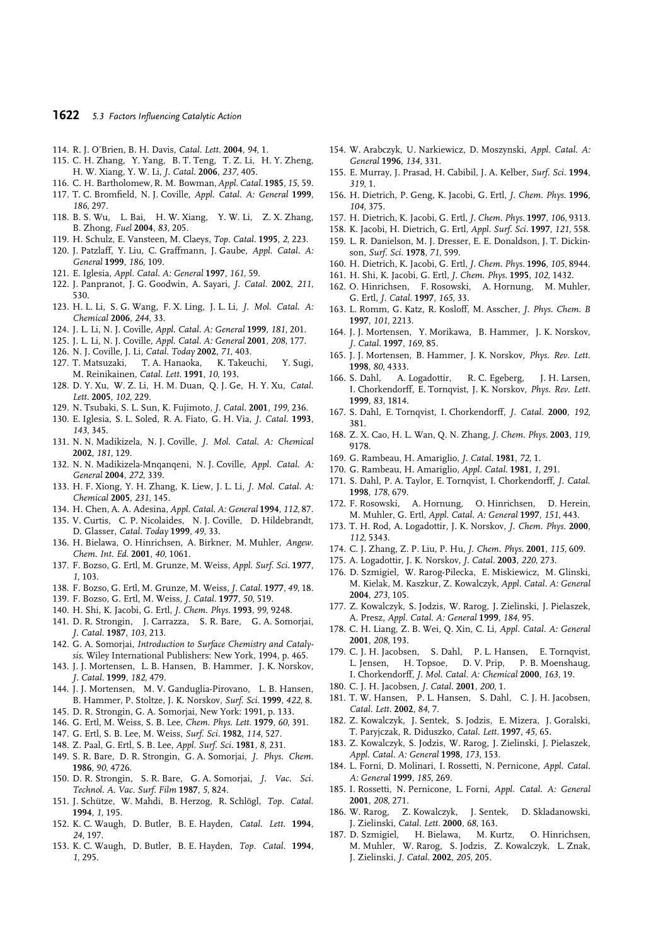#### **1622** *5.3 Factors Influencing Catalytic Action*

- 114. R. J. O'Brien, B. H. Davis, *Catal. Lett.* **2004**, *94*, 1.
- 115. C. H. Zhang, Y. Yang, B. T. Teng, T. Z. Li, H. Y. Zheng, H. W. Xiang, Y. W. Li, *J. Catal.* **2006**, *237*, 405.
- 116. C. H. Bartholomew, R. M. Bowman,*Appl. Catal.* **1985**, *15*, 59.
- 117. T. C. Bromfield, N. J. Coville, *Appl. Catal. A: General* **1999**, *186*, 297.
- 118. B. S. Wu, L. Bai, H. W. Xiang, Y. W. Li, Z. X. Zhang, B. Zhong, *Fuel* **2004**, *83*, 205.
- 119. H. Schulz, E. Vansteen, M. Claeys, *Top. Catal.* **1995**, *2*, 223.
- 120. J. Patzlaff, Y. Liu, C. Graffmann, J. Gaube, *Appl. Catal. A: General* **1999**, *186*, 109.
- 121. E. Iglesia, *Appl. Catal. A: General* **1997**, *161*, 59.
- 122. J. Panpranot, J. G. Goodwin, A. Sayari, *J. Catal.* **2002**, *211*, 530.
- 123. H. L. Li, S. G. Wang, F. X. Ling, J. L. Li, *J. Mol. Catal. A: Chemical* **2006**, *244*, 33.
- 124. J. L. Li, N. J. Coville, *Appl. Catal. A: General* **1999**, *181*, 201.
- 125. J. L. Li, N. J. Coville, *Appl. Catal. A: General* **2001**, *208*, 177.
- 
- 126. N. J. Coville, J. Li, *Catal. Today* **2002**, *71*, 403. 127. T. Matsuzaki, T. A. Hanaoka, K. Takeuchi, Y. Sugi, M. Reinikainen, *Catal. Lett.* **1991**, *10*, 193.
- 128. D. Y. Xu, W. Z. Li, H. M. Duan, Q. J. Ge, H. Y. Xu, *Catal. Lett.* **2005**, *102*, 229.
- 129. N. Tsubaki, S. L. Sun, K. Fujimoto, *J. Catal.* **2001**, *199*, 236.
- 130. E. Iglesia, S. L. Soled, R. A. Fiato, G. H. Via, *J. Catal.* **1993**, *143*, 345.
- 131. N. N. Madikizela, N. J. Coville, *J. Mol. Catal. A: Chemical* **2002**, *181*, 129.
- 132. N. N. Madikizela-Mnqanqeni, N. J. Coville, *Appl. Catal. A: General* **2004**, *272*, 339.
- 133. H. F. Xiong, Y. H. Zhang, K. Liew, J. L. Li, *J. Mol. Catal. A: Chemical* **2005**, *231*, 145.
- 134. H. Chen, A. A. Adesina, *Appl. Catal. A: General* **1994**, *112*, 87.
- 135. V. Curtis, C. P. Nicolaides, N. J. Coville, D. Hildebrandt, D. Glasser, *Catal. Today* **1999**, *49*, 33.
- 136. H. Bielawa, O. Hinrichsen, A. Birkner, M. Muhler, *Angew. Chem. Int. Ed.* **2001**, *40*, 1061.
- 137. F. Bozso, G. Ertl, M. Grunze, M. Weiss, *Appl. Surf. Sci.* **1977**, *1*, 103.
- 138. F. Bozso, G. Ertl, M. Grunze, M. Weiss, *J. Catal.* **1977**, *49*, 18.
- 139. F. Bozso, G. Ertl, M. Weiss, *J. Catal.* **1977**, *50*, 519.
- 140. H. Shi, K. Jacobi, G. Ertl, *J. Chem. Phys.* **1993**, *99*, 9248.
- 141. D. R. Strongin, J. Carrazza, S. R. Bare, G. A. Somorjai, *J. Catal.* **1987**, *103*, 213.
- 142. G. A. Somorjai, *Introduction to Surface Chemistry and Catalysis*. Wiley International Publishers: New York, 1994, p. 465.
- 143. J. J. Mortensen, L. B. Hansen, B. Hammer, J. K. Norskov, *J. Catal.* **1999**, *182*, 479.
- 144. J. J. Mortensen, M. V. Ganduglia-Pirovano, L. B. Hansen, B. Hammer, P. Stoltze, J. K. Norskov, *Surf. Sci.* **1999**, *422*, 8.
- 145. D. R. Strongin, G. A. Somorjai, New York: 1991, p. 133.
- 146. G. Ertl, M. Weiss, S. B. Lee, *Chem. Phys. Lett.* **1979**, *60*, 391.
- 147. G. Ertl, S. B. Lee, M. Weiss, *Surf. Sci.* **1982**, *114*, 527.
- 148. Z. Paal, G. Ertl, S. B. Lee, *Appl. Surf. Sci.* **1981**, *8*, 231.
- 149. S. R. Bare, D. R. Strongin, G. A. Somorjai, *J. Phys. Chem.* **1986**, *90*, 4726.
- 150. D. R. Strongin, S. R. Bare, G. A. Somorjai, *J. Vac. Sci. Technol. A. Vac. Surf. Film* **1987**, *5*, 824.
- 151. J. Schütze, W. Mahdi, B. Herzog, R. Schlögl, Top. Catal. **1994**, *1*, 195.
- 152. K. C. Waugh, D. Butler, B. E. Hayden, *Catal. Lett.* **1994**, *24*, 197.
- 153. K. C. Waugh, D. Butler, B. E. Hayden, *Top. Catal.* **1994**, *1*, 295.
- 154. W. Arabczyk, U. Narkiewicz, D. Moszynski, *Appl. Catal. A: General* **1996**, *134*, 331.
- 155. E. Murray, J. Prasad, H. Cabibil, J. A. Kelber, *Surf. Sci.* **1994**, *319*, 1.
- 156. H. Dietrich, P. Geng, K. Jacobi, G. Ertl, *J. Chem. Phys.* **1996**, *104*, 375.
- 157. H. Dietrich, K. Jacobi, G. Ertl, *J. Chem. Phys.* **1997**, *106*, 9313.
- 158. K. Jacobi, H. Dietrich, G. Ertl, *Appl. Surf. Sci.* **1997**, *121*, 558.
- 159. L. R. Danielson, M. J. Dresser, E. E. Donaldson, J. T. Dickinson, *Surf. Sci.* **1978**, *71*, 599.
- 160. H. Dietrich, K. Jacobi, G. Ertl, *J. Chem. Phys.* **1996**, *105*, 8944.
- 161. H. Shi, K. Jacobi, G. Ertl, *J. Chem. Phys.* **1995**, *102*, 1432.
- 162. O. Hinrichsen, F. Rosowski, A. Hornung, M. Muhler, G. Ertl, *J. Catal.* **1997**, *165*, 33.
- 163. L. Romm, G. Katz, R. Kosloff, M. Asscher, *J. Phys. Chem. B* **1997**, *101*, 2213.
- 164. J. J. Mortensen, Y. Morikawa, B. Hammer, J. K. Norskov, *J. Catal.* **1997**, *169*, 85.
- 165. J. J. Mortensen, B. Hammer, J. K. Norskov, *Phys. Rev. Lett.* **1998**, *80*, 4333.
- 166. S. Dahl, A. Logadottir, R. C. Egeberg, J. H. Larsen, I. Chorkendorff, E. Tornqvist, J. K. Norskov, *Phys. Rev. Lett.* **1999**, *83*, 1814.
- 167. S. Dahl, E. Tornqvist, I. Chorkendorff, *J. Catal.* **2000**, *192*, 381.
- 168. Z. X. Cao, H. L. Wan, Q. N. Zhang, *J. Chem. Phys.* **2003**, *119*, 9178.
- 169. G. Rambeau, H. Amariglio, *J. Catal.* **1981**, *72*, 1.
- 170. G. Rambeau, H. Amariglio, *Appl. Catal.* **1981**, *1*, 291.
- 171. S. Dahl, P. A. Taylor, E. Tornqvist, I. Chorkendorff, *J. Catal.* **1998**, *178*, 679.
- 172. F. Rosowski, A. Hornung, O. Hinrichsen, D. Herein, M. Muhler, G. Ertl, *Appl. Catal. A: General* **1997**, *151*, 443.
- 173. T. H. Rod, A. Logadottir, J. K. Norskov, *J. Chem. Phys.* **2000**, *112*, 5343.
- 174. C. J. Zhang, Z. P. Liu, P. Hu, *J. Chem. Phys.* **2001**, *115*, 609.
- 175. A. Logadottir, J. K. Norskov, *J. Catal.* **2003**, *220*, 273.
- 176. D. Szmigiel, W. Rarog-Pilecka, E. Miskiewicz, M. Glinski, M. Kielak, M. Kaszkur, Z. Kowalczyk, *Appl. Catal. A: General* **2004**, *273*, 105.
- 177. Z. Kowalczyk, S. Jodzis, W. Rarog, J. Zielinski, J. Pielaszek, A. Presz, *Appl. Catal. A: General* **1999**, *184*, 95.
- 178. C. H. Liang, Z. B. Wei, Q. Xin, C. Li, *Appl. Catal. A: General* **2001**, *208*, 193.
- 179. C. J. H. Jacobsen, S. Dahl, P. L. Hansen, E. Tornqvist, L. Jensen, H. Topsoe, D. V. Prip, P. B. Moenshaug, I. Chorkendorff, *J. Mol. Catal. A: Chemical* **2000**, *163*, 19.
- 180. C. J. H. Jacobsen, *J. Catal.* **2001**, *200*, 1.
- 181. T. W. Hansen, P. L. Hansen, S. Dahl, C. J. H. Jacobsen, *Catal. Lett.* **2002**, *84*, 7.
- 182. Z. Kowalczyk, J. Sentek, S. Jodzis, E. Mizera, J. Goralski, T. Paryjczak, R. Diduszko, *Catal. Lett.* **1997**, *45*, 65.
- 183. Z. Kowalczyk, S. Jodzis, W. Rarog, J. Zielinski, J. Pielaszek, *Appl. Catal. A: General* **1998**, *173*, 153.
- 184. L. Forni, D. Molinari, I. Rossetti, N. Pernicone, *Appl. Catal. A: General* **1999**, *185*, 269.
- 185. I. Rossetti, N. Pernicone, L. Forni, *Appl. Catal. A: General* **2001**, *208*, 271.
- 186. W. Rarog, Z. Kowalczyk, J. Sentek, D. Skladanowski, J. Zielinski, *Catal. Lett.* **2000**, *68*, 163.
- 187. D. Szmigiel, H. Bielawa, M. Kurtz, O. Hinrichsen, M. Muhler, W. Rarog, S. Jodzis, Z. Kowalczyk, L. Znak, J. Zielinski, *J. Catal.* **2002**, *205*, 205.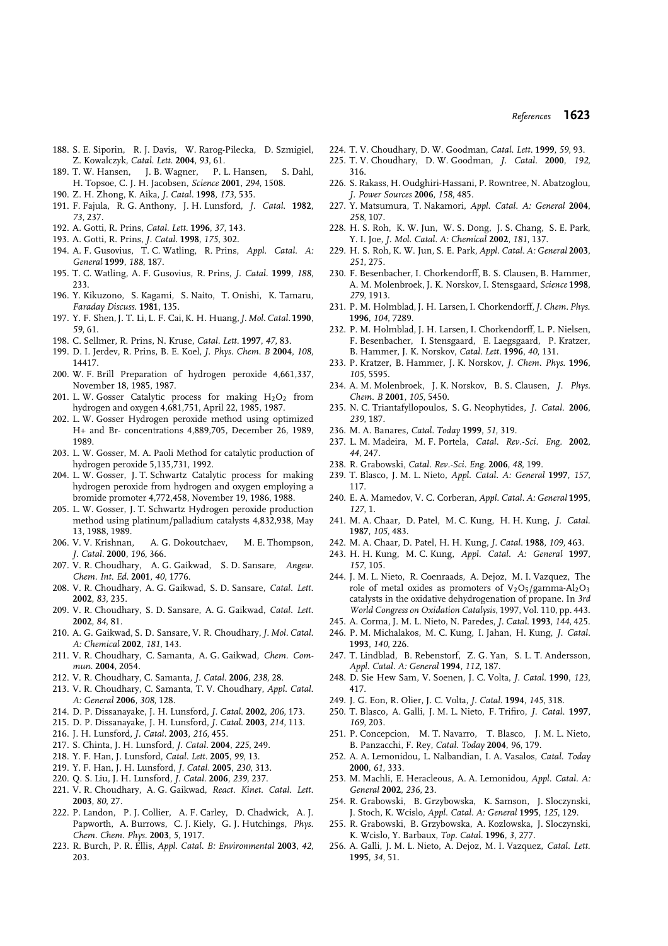- 188. S. E. Siporin, R. J. Davis, W. Rarog-Pilecka, D. Szmigiel, Z. Kowalczyk, *Catal. Lett.* **2004**, *93*, 61.
- 189. T. W. Hansen, J. B. Wagner, P. L. Hansen, S. Dahl, H. Topsoe, C. J. H. Jacobsen, *Science* **2001**, *294*, 1508.
- 190. Z. H. Zhong, K. Aika, *J. Catal.* **1998**, *173*, 535.
- 191. F. Fajula, R. G. Anthony, J. H. Lunsford, *J. Catal.* **1982**, *73*, 237.
- 192. A. Gotti, R. Prins, *Catal. Lett.* **1996**, *37*, 143.
- 193. A. Gotti, R. Prins, *J. Catal.* **1998**, *175*, 302.
- 194. A. F. Gusovius, T. C. Watling, R. Prins, *Appl. Catal. A: General* **1999**, *188*, 187.
- 195. T. C. Watling, A. F. Gusovius, R. Prins, *J. Catal.* **1999**, *188*, 233.
- 196. Y. Kikuzono, S. Kagami, S. Naito, T. Onishi, K. Tamaru, *Faraday Discuss.* **1981**, 135.
- 197. Y. F. Shen, J. T. Li, L. F. Cai, K. H. Huang,*J. Mol. Catal.* **1990**, *59*, 61.
- 198. C. Sellmer, R. Prins, N. Kruse, *Catal. Lett.* **1997**, *47*, 83.
- 199. D. I. Jerdev, R. Prins, B. E. Koel, *J. Phys. Chem. B* **2004**, *108*, 14417.
- 200. W. F. Brill Preparation of hydrogen peroxide 4,661,337, November 18, 1985, 1987.
- 201. L. W. Gosser Catalytic process for making  $H_2O_2$  from hydrogen and oxygen 4,681,751, April 22, 1985, 1987.
- 202. L. W. Gosser Hydrogen peroxide method using optimized H+ and Br- concentrations 4,889,705, December 26, 1989, 1989.
- 203. L. W. Gosser, M. A. Paoli Method for catalytic production of hydrogen peroxide 5,135,731, 1992.
- 204. L. W. Gosser, J. T. Schwartz Catalytic process for making hydrogen peroxide from hydrogen and oxygen employing a bromide promoter 4,772,458, November 19, 1986, 1988.
- 205. L. W. Gosser, J. T. Schwartz Hydrogen peroxide production method using platinum/palladium catalysts 4,832,938, May 13, 1988, 1989.
- 206. V. V. Krishnan, A. G. Dokoutchaev, M. E. Thompson, *J. Catal.* **2000**, *196*, 366.
- 207. V. R. Choudhary, A. G. Gaikwad, S. D. Sansare, *Angew. Chem. Int. Ed.* **2001**, *40*, 1776.
- 208. V. R. Choudhary, A. G. Gaikwad, S. D. Sansare, *Catal. Lett.* **2002**, *83*, 235.
- 209. V. R. Choudhary, S. D. Sansare, A. G. Gaikwad, *Catal. Lett.* **2002**, *84*, 81.
- 210. A. G. Gaikwad, S. D. Sansare, V. R. Choudhary, *J. Mol. Catal. A: Chemical* **2002**, *181*, 143.
- 211. V. R. Choudhary, C. Samanta, A. G. Gaikwad, *Chem. Commun.* **2004**, 2054.
- 212. V. R. Choudhary, C. Samanta, *J. Catal.* **2006**, *238*, 28.
- 213. V. R. Choudhary, C. Samanta, T. V. Choudhary, *Appl. Catal. A: General* **2006**, *308*, 128.
- 214. D. P. Dissanayake, J. H. Lunsford, *J. Catal.* **2002**, *206*, 173.
- 215. D. P. Dissanayake, J. H. Lunsford, *J. Catal.* **2003**, *214*, 113.
- 216. J. H. Lunsford, *J. Catal.* **2003**, *216*, 455.
- 217. S. Chinta, J. H. Lunsford, *J. Catal.* **2004**, *225*, 249.
- 218. Y. F. Han, J. Lunsford, *Catal. Lett.* **2005**, *99*, 13.
- 219. Y. F. Han, J. H. Lunsford, *J. Catal.* **2005**, *230*, 313.
- 220. Q. S. Liu, J. H. Lunsford, *J. Catal.* **2006**, *239*, 237.
- 221. V. R. Choudhary, A. G. Gaikwad, *React. Kinet. Catal. Lett.* **2003**, *80*, 27.
- 222. P. Landon, P. J. Collier, A. F. Carley, D. Chadwick, A. J. Papworth, A. Burrows, C. J. Kiely, G. J. Hutchings, *Phys. Chem. Chem. Phys.* **2003**, *5*, 1917.
- 223. R. Burch, P. R. Ellis, *Appl. Catal. B: Environmental* **2003**, *42*, 203.
- 224. T. V. Choudhary, D. W. Goodman, *Catal. Lett.* **1999**, *59*, 93.
- 225. T. V. Choudhary, D. W. Goodman, *J. Catal.* **2000**, *192*, 316.
- 226. S. Rakass, H. Oudghiri-Hassani, P. Rowntree, N. Abatzoglou, *J. Power Sources* **2006**, *158*, 485.
- 227. Y. Matsumura, T. Nakamori, *Appl. Catal. A: General* **2004**, *258*, 107.
- 228. H. S. Roh, K. W. Jun, W. S. Dong, J. S. Chang, S. E. Park, Y. I. Joe, *J. Mol. Catal. A: Chemical* **2002**, *181*, 137.
- 229. H. S. Roh, K. W. Jun, S. E. Park, *Appl. Catal. A: General* **2003**, *251*, 275.
- 230. F. Besenbacher, I. Chorkendorff, B. S. Clausen, B. Hammer, A. M. Molenbroek, J. K. Norskov, I. Stensgaard, *Science* **1998**, *279*, 1913.
- 231. P. M. Holmblad, J. H. Larsen, I. Chorkendorff,*J. Chem. Phys.* **1996**, *104*, 7289.
- 232. P. M. Holmblad, J. H. Larsen, I. Chorkendorff, L. P. Nielsen, F. Besenbacher, I. Stensgaard, E. Laegsgaard, P. Kratzer, B. Hammer, J. K. Norskov, *Catal. Lett.* **1996**, *40*, 131.
- 233. P. Kratzer, B. Hammer, J. K. Norskov, *J. Chem. Phys.* **1996**, *105*, 5595.
- 234. A. M. Molenbroek, J. K. Norskov, B. S. Clausen, *J. Phys. Chem. B* **2001**, *105*, 5450.
- 235. N. C. Triantafyllopoulos, S. G. Neophytides, *J. Catal.* **2006**, *239*, 187.
- 236. M. A. Banares, *Catal. Today* **1999**, *51*, 319.
- 237. L. M. Madeira, M. F. Portela, *Catal. Rev.-Sci. Eng.* **2002**, *44*, 247.
- 238. R. Grabowski, *Catal. Rev.-Sci. Eng.* **2006**, *48*, 199.
- 239. T. Blasco, J. M. L. Nieto, *Appl. Catal. A: General* **1997**, *157*, 117.
- 240. E. A. Mamedov, V. C. Corberan, *Appl. Catal. A: General* **1995**, *127*, 1.
- 241. M. A. Chaar, D. Patel, M. C. Kung, H. H. Kung, *J. Catal.* **1987**, *105*, 483.
- 242. M. A. Chaar, D. Patel, H. H. Kung, *J. Catal.* **1988**, *109*, 463.
- 243. H. H. Kung, M. C. Kung, *Appl. Catal. A: General* **1997**, *157*, 105.
- 244. J. M. L. Nieto, R. Coenraads, A. Dejoz, M. I. Vazquez, The role of metal oxides as promoters of  $V_2O_5/gamma$ -Al<sub>2</sub>O<sub>3</sub> catalysts in the oxidative dehydrogenation of propane. In *3rd World Congress on Oxidation Catalysis*, 1997, Vol. 110, pp. 443.
- 245. A. Corma, J. M. L. Nieto, N. Paredes, *J. Catal.* **1993**, *144*, 425.
- 246. P. M. Michalakos, M. C. Kung, I. Jahan, H. Kung, *J. Catal.* **1993**, *140*, 226.
- 247. T. Lindblad, B. Rebenstorf, Z. G. Yan, S. L. T. Andersson, *Appl. Catal. A: General* **1994**, *112*, 187.
- 248. D. Sie Hew Sam, V. Soenen, J. C. Volta, *J. Catal.* **1990**, *123*, 417.
- 249. J. G. Eon, R. Olier, J. C. Volta, *J. Catal.* **1994**, *145*, 318.
- 250. T. Blasco, A. Galli, J. M. L. Nieto, F. Trifiro, *J. Catal.* **1997**, *169*, 203.
- 251. P. Concepcion, M. T. Navarro, T. Blasco, J. M. L. Nieto, B. Panzacchi, F. Rey, *Catal. Today* **2004**, *96*, 179.
- 252. A. A. Lemonidou, L. Nalbandian, I. A. Vasalos, *Catal. Today* **2000**, *61*, 333.
- 253. M. Machli, E. Heracleous, A. A. Lemonidou, *Appl. Catal. A: General* **2002**, *236*, 23.
- 254. R. Grabowski, B. Grzybowska, K. Samson, J. Sloczynski, J. Stoch, K. Wcislo, *Appl. Catal. A: General* **1995**, *125*, 129.
- 255. R. Grabowski, B. Grzybowska, A. Kozlowska, J. Sloczynski, K. Wcislo, Y. Barbaux, *Top. Catal.* **1996**, *3*, 277.
- 256. A. Galli, J. M. L. Nieto, A. Dejoz, M. I. Vazquez, *Catal. Lett.* **1995**, *34*, 51.